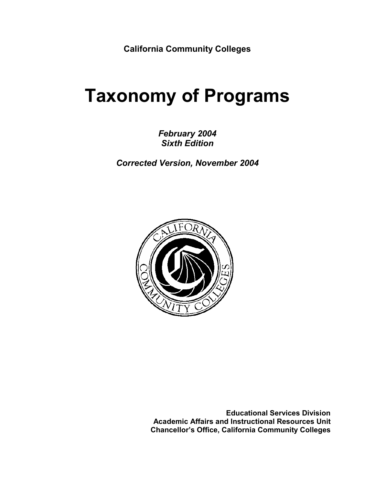**California Community Colleges**

# **Taxonomy of Programs**

*February 2004 Sixth Edition*

*Corrected Version, November 2004*



**Educational Services Division Academic Affairs and Instructional Resources Unit Chancellor's Office, California Community Colleges**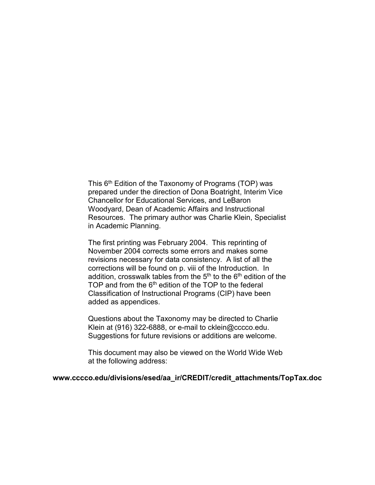This  $6<sup>th</sup>$  Edition of the Taxonomy of Programs (TOP) was prepared under the direction of Dona Boatright, Interim Vice Chancellor for Educational Services, and LeBaron Woodyard, Dean of Academic Affairs and Instructional Resources. The primary author was Charlie Klein, Specialist in Academic Planning.

The first printing was February 2004. This reprinting of November 2004 corrects some errors and makes some revisions necessary for data consistency. A list of all the corrections will be found on p. viii of the Introduction. In addition, crosswalk tables from the  $5<sup>th</sup>$  to the  $6<sup>th</sup>$  edition of the TOP and from the  $6<sup>th</sup>$  edition of the TOP to the federal Classification of Instructional Programs (CIP) have been added as appendices.

Questions about the Taxonomy may be directed to Charlie Klein at (916) 322-6888, or e-mail to cklein@cccco.edu. Suggestions for future revisions or additions are welcome.

This document may also be viewed on the World Wide Web at the following address:

#### **www.cccco.edu/divisions/esed/aa\_ir/CREDIT/credit\_attachments/TopTax.doc**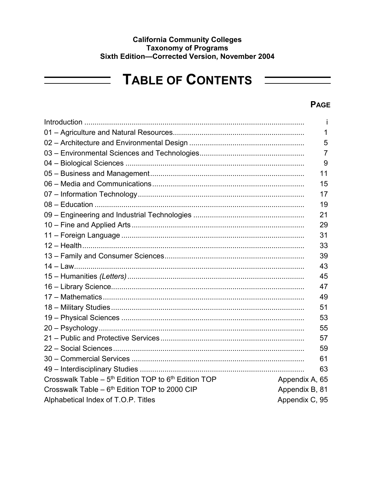California Community Colleges<br>Taxonomy of Programs<br>Sixth Edition—Corrected Version, November 2004

# **TABLE OF CONTENTS**

### **PAGE**

|                                                                                 |                | 1              |
|---------------------------------------------------------------------------------|----------------|----------------|
|                                                                                 |                | 5              |
|                                                                                 |                | $\overline{7}$ |
|                                                                                 |                | 9              |
|                                                                                 |                | 11             |
|                                                                                 |                | 15             |
|                                                                                 |                | 17             |
|                                                                                 |                | 19             |
|                                                                                 |                | 21             |
|                                                                                 |                | 29             |
|                                                                                 |                | 31             |
|                                                                                 |                | 33             |
|                                                                                 |                | 39             |
|                                                                                 |                | 43             |
|                                                                                 |                | 45             |
|                                                                                 |                | 47             |
|                                                                                 |                | 49             |
|                                                                                 |                | 51             |
|                                                                                 |                | 53             |
|                                                                                 |                | 55             |
|                                                                                 |                | 57             |
|                                                                                 |                | 59             |
|                                                                                 |                | 61             |
|                                                                                 |                | 63             |
| Crosswalk Table $-5$ <sup>th</sup> Edition TOP to $6$ <sup>th</sup> Edition TOP | Appendix A, 65 |                |
| Crosswalk Table $-6$ <sup>th</sup> Edition TOP to 2000 CIP                      | Appendix B, 81 |                |
| Alphabetical Index of T.O.P. Titles                                             | Appendix C, 95 |                |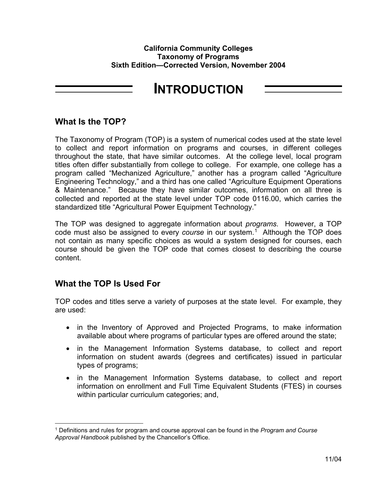## **INTRODUCTION**

### **What Is the TOP?**

The Taxonomy of Program (TOP) is a system of numerical codes used at the state level to collect and report information on programs and courses, in different colleges throughout the state, that have similar outcomes. At the college level, local program titles often differ substantially from college to college. For example, one college has a program called "Mechanized Agriculture," another has a program called "Agriculture Engineering Technology," and a third has one called "Agriculture Equipment Operations & Maintenance." Because they have similar outcomes, information on all three is collected and reported at the state level under TOP code 0116.00, which carries the standardized title "Agricultural Power Equipment Technology."

The TOP was designed to aggregate information about *programs*. However, a TOP code must also be assigned to every *course* in our system.<sup>[1](#page-4-0)</sup> Although the TOP does not contain as many specific choices as would a system designed for courses, each course should be given the TOP code that comes closest to describing the course content.

### **What the TOP Is Used For**

TOP codes and titles serve a variety of purposes at the state level. For example, they are used:

- in the Inventory of Approved and Projected Programs, to make information available about where programs of particular types are offered around the state;
- in the Management Information Systems database, to collect and report information on student awards (degrees and certificates) issued in particular types of programs;
- in the Management Information Systems database, to collect and report information on enrollment and Full Time Equivalent Students (FTES) in courses within particular curriculum categories; and,

<span id="page-4-0"></span> <sup>1</sup> Definitions and rules for program and course approval can be found in the *Program and Course Approval Handbook* published by the Chancellor's Office.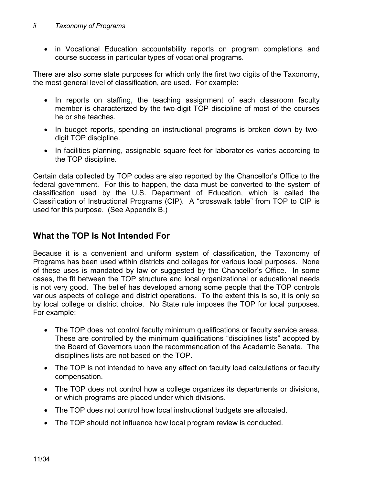### *ii Taxonomy of Programs*

• in Vocational Education accountability reports on program completions and course success in particular types of vocational programs.

There are also some state purposes for which only the first two digits of the Taxonomy, the most general level of classification, are used. For example:

- In reports on staffing, the teaching assignment of each classroom faculty member is characterized by the two-digit TOP discipline of most of the courses he or she teaches.
- In budget reports, spending on instructional programs is broken down by twodigit TOP discipline.
- In facilities planning, assignable square feet for laboratories varies according to the TOP discipline.

Certain data collected by TOP codes are also reported by the Chancellor's Office to the federal government. For this to happen, the data must be converted to the system of classification used by the U.S. Department of Education, which is called the Classification of Instructional Programs (CIP). A "crosswalk table" from TOP to CIP is used for this purpose. (See Appendix B.)

### **What the TOP Is Not Intended For**

Because it is a convenient and uniform system of classification, the Taxonomy of Programs has been used within districts and colleges for various local purposes. None of these uses is mandated by law or suggested by the Chancellor's Office. In some cases, the fit between the TOP structure and local organizational or educational needs is not very good. The belief has developed among some people that the TOP controls various aspects of college and district operations. To the extent this is so, it is only so by local college or district choice. No State rule imposes the TOP for local purposes. For example:

- The TOP does not control faculty minimum qualifications or faculty service areas. These are controlled by the minimum qualifications "disciplines lists" adopted by the Board of Governors upon the recommendation of the Academic Senate. The disciplines lists are not based on the TOP.
- The TOP is not intended to have any effect on faculty load calculations or faculty compensation.
- The TOP does not control how a college organizes its departments or divisions, or which programs are placed under which divisions.
- The TOP does not control how local instructional budgets are allocated.
- The TOP should not influence how local program review is conducted.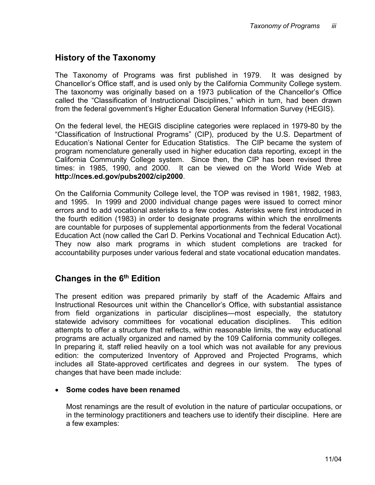### **History of the Taxonomy**

The Taxonomy of Programs was first published in 1979. It was designed by Chancellor's Office staff, and is used only by the California Community College system. The taxonomy was originally based on a 1973 publication of the Chancellor's Office called the "Classification of Instructional Disciplines," which in turn, had been drawn from the federal government's Higher Education General Information Survey (HEGIS).

On the federal level, the HEGIS discipline categories were replaced in 1979-80 by the "Classification of Instructional Programs" (CIP), produced by the U.S. Department of Education's National Center for Education Statistics. The CIP became the system of program nomenclature generally used in higher education data reporting, except in the California Community College system. Since then, the CIP has been revised three times: in 1985, 1990, and 2000. It can be viewed on the World Wide Web at **http://nces.ed.gov/pubs2002/cip2000**.

On the California Community College level, the TOP was revised in 1981, 1982, 1983, and 1995. In 1999 and 2000 individual change pages were issued to correct minor errors and to add vocational asterisks to a few codes. Asterisks were first introduced in the fourth edition (1983) in order to designate programs within which the enrollments are countable for purposes of supplemental apportionments from the federal Vocational Education Act (now called the Carl D. Perkins Vocational and Technical Education Act). They now also mark programs in which student completions are tracked for accountability purposes under various federal and state vocational education mandates.

### **Changes in the 6th Edition**

The present edition was prepared primarily by staff of the Academic Affairs and Instructional Resources unit within the Chancellor's Office, with substantial assistance from field organizations in particular disciplines—most especially, the statutory statewide advisory committees for vocational education disciplines. This edition attempts to offer a structure that reflects, within reasonable limits, the way educational programs are actually organized and named by the 109 California community colleges. In preparing it, staff relied heavily on a tool which was not available for any previous edition: the computerized Inventory of Approved and Projected Programs, which includes all State-approved certificates and degrees in our system. The types of changes that have been made include:

### • **Some codes have been renamed**

Most renamings are the result of evolution in the nature of particular occupations, or in the terminology practitioners and teachers use to identify their discipline. Here are a few examples: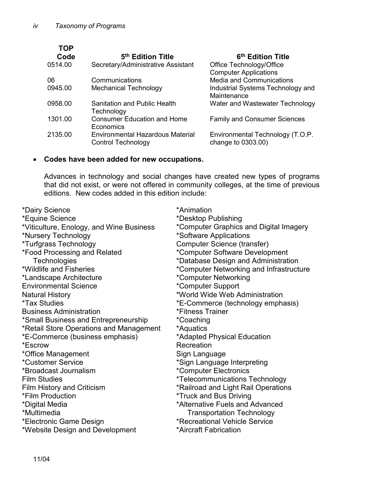| TOP<br>Code | 5 <sup>th</sup> Edition Title                                 | 6 <sup>th</sup> Edition Title                                   |
|-------------|---------------------------------------------------------------|-----------------------------------------------------------------|
| 0514.00     | Secretary/Administrative Assistant                            | Office Technology/Office                                        |
| 06          | Communications                                                | <b>Computer Applications</b><br><b>Media and Communications</b> |
|             |                                                               |                                                                 |
| 0945.00     | <b>Mechanical Technology</b>                                  | Industrial Systems Technology and                               |
|             |                                                               | Maintenance                                                     |
| 0958.00     | <b>Sanitation and Public Health</b><br>Technology             | Water and Wastewater Technology                                 |
| 1301.00     | <b>Consumer Education and Home</b><br>Economics               | <b>Family and Consumer Sciences</b>                             |
| 2135.00     | <b>Environmental Hazardous Material</b><br>Control Technology | Environmental Technology (T.O.P.<br>change to 0303.00)          |

### • **Codes have been added for new occupations.**

Advances in technology and social changes have created new types of programs that did not exist, or were not offered in community colleges, at the time of previous editions. New codes added in this edition include:

| *Dairy Science                           | *Animation                              |
|------------------------------------------|-----------------------------------------|
| *Equine Science                          | *Desktop Publishing                     |
| *Viticulture, Enology, and Wine Business | *Computer Graphics and Digital Imagery  |
| *Nursery Technology                      | *Software Applications                  |
| *Turfgrass Technology                    | Computer Science (transfer)             |
| *Food Processing and Related             | *Computer Software Development          |
| Technologies                             | *Database Design and Administration     |
| *Wildlife and Fisheries                  | *Computer Networking and Infrastructure |
| *Landscape Architecture                  | *Computer Networking                    |
| <b>Environmental Science</b>             | *Computer Support                       |
| <b>Natural History</b>                   | *World Wide Web Administration          |
| <i><b>*Tax Studies</b></i>               | *E-Commerce (technology emphasis)       |
| <b>Business Administration</b>           | *Fitness Trainer                        |
| *Small Business and Entrepreneurship     | *Coaching                               |
| *Retail Store Operations and Management  | *Aquatics                               |
| *E-Commerce (business emphasis)          | *Adapted Physical Education             |
| *Escrow                                  | Recreation                              |
| *Office Management                       | Sign Language                           |
| *Customer Service                        | *Sign Language Interpreting             |
| *Broadcast Journalism                    | *Computer Electronics                   |
| <b>Film Studies</b>                      | *Telecommunications Technology          |
| <b>Film History and Criticism</b>        | *Railroad and Light Rail Operations     |
| *Film Production                         | *Truck and Bus Driving                  |
| *Digital Media                           | *Alternative Fuels and Advanced         |
| *Multimedia                              | <b>Transportation Technology</b>        |
| *Electronic Game Design                  | <b>*Recreational Vehicle Service</b>    |
| *Website Design and Development          | *Aircraft Fabrication                   |
|                                          |                                         |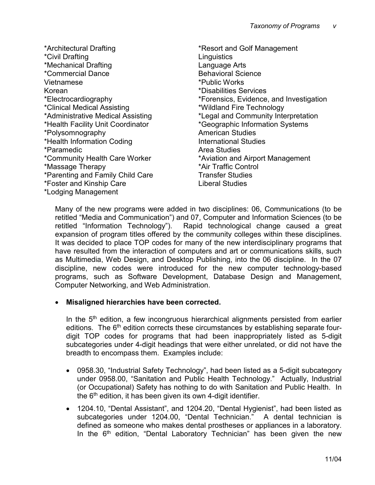- \*Architectural Drafting \*Civil Drafting \*Mechanical Drafting \*Commercial Dance Vietnamese Korean \*Electrocardiography \*Clinical Medical Assisting \*Administrative Medical Assisting \*Health Facility Unit Coordinator \*Polysomnography \*Health Information Coding \*Paramedic \*Community Health Care Worker \*Massage Therapy \*Parenting and Family Child Care \*Foster and Kinship Care \*Lodging Management
- \*Resort and Golf Management **Linguistics** Language Arts Behavioral Science \*Public Works \*Disabilities Services \*Forensics, Evidence, and Investigation \*Wildland Fire Technology \*Legal and Community Interpretation \*Geographic Information Systems American Studies International Studies Area Studies \*Aviation and Airport Management \*Air Traffic Control Transfer Studies Liberal Studies

Many of the new programs were added in two disciplines: 06, Communications (to be retitled "Media and Communication") and 07, Computer and Information Sciences (to be retitled "Information Technology"). Rapid technological change caused a great expansion of program titles offered by the community colleges within these disciplines. It was decided to place TOP codes for many of the new interdisciplinary programs that have resulted from the interaction of computers and art or communications skills, such as Multimedia, Web Design, and Desktop Publishing, into the 06 discipline. In the 07 discipline, new codes were introduced for the new computer technology-based programs, such as Software Development, Database Design and Management, Computer Networking, and Web Administration.

### • **Misaligned hierarchies have been corrected.**

In the  $5<sup>th</sup>$  edition, a few incongruous hierarchical alignments persisted from earlier editions. The 6<sup>th</sup> edition corrects these circumstances by establishing separate fourdigit TOP codes for programs that had been inappropriately listed as 5-digit subcategories under 4-digit headings that were either unrelated, or did not have the breadth to encompass them. Examples include:

- 0958.30, "Industrial Safety Technology", had been listed as a 5-digit subcategory under 0958.00, "Sanitation and Public Health Technology." Actually, Industrial (or Occupational) Safety has nothing to do with Sanitation and Public Health. In the  $6<sup>th</sup>$  edition, it has been given its own 4-digit identifier.
- 1204.10, "Dental Assistant", and 1204.20, "Dental Hygienist", had been listed as subcategories under 1204.00, "Dental Technician." A dental technician is defined as someone who makes dental prostheses or appliances in a laboratory. In the  $6<sup>th</sup>$  edition, "Dental Laboratory Technician" has been given the new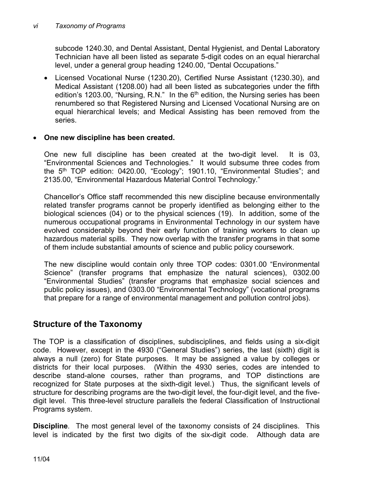subcode 1240.30, and Dental Assistant, Dental Hygienist, and Dental Laboratory Technician have all been listed as separate 5-digit codes on an equal hierarchal level, under a general group heading 1240.00, "Dental Occupations."

• Licensed Vocational Nurse (1230.20), Certified Nurse Assistant (1230.30), and Medical Assistant (1208.00) had all been listed as subcategories under the fifth edition's 1203.00, "Nursing, R.N." In the  $6<sup>th</sup>$  edition, the Nursing series has been renumbered so that Registered Nursing and Licensed Vocational Nursing are on equal hierarchical levels; and Medical Assisting has been removed from the series.

### • **One new discipline has been created.**

One new full discipline has been created at the two-digit level. It is 03, "Environmental Sciences and Technologies." It would subsume three codes from the 5<sup>th</sup> TOP edition: 0420.00, "Ecology"; 1901.10, "Environmental Studies"; and 2135.00, "Environmental Hazardous Material Control Technology."

Chancellor's Office staff recommended this new discipline because environmentally related transfer programs cannot be properly identified as belonging either to the biological sciences (04) or to the physical sciences (19). In addition, some of the numerous occupational programs in Environmental Technology in our system have evolved considerably beyond their early function of training workers to clean up hazardous material spills. They now overlap with the transfer programs in that some of them include substantial amounts of science and public policy coursework.

The new discipline would contain only three TOP codes: 0301.00 "Environmental Science" (transfer programs that emphasize the natural sciences), 0302.00 "Environmental Studies" (transfer programs that emphasize social sciences and public policy issues), and 0303.00 "Environmental Technology" (vocational programs that prepare for a range of environmental management and pollution control jobs).

### **Structure of the Taxonomy**

The TOP is a classification of disciplines, subdisciplines, and fields using a six-digit code. However, except in the 4930 ("General Studies") series, the last (sixth) digit is always a null (zero) for State purposes. It may be assigned a value by colleges or districts for their local purposes. (Within the 4930 series, codes are intended to describe stand-alone courses, rather than programs, and TOP distinctions are recognized for State purposes at the sixth-digit level.) Thus, the significant levels of structure for describing programs are the two-digit level, the four-digit level, and the fivedigit level. This three-level structure parallels the federal Classification of Instructional Programs system.

**Discipline***.* The most general level of the taxonomy consists of 24 disciplines. This level is indicated by the first two digits of the six-digit code. Although data are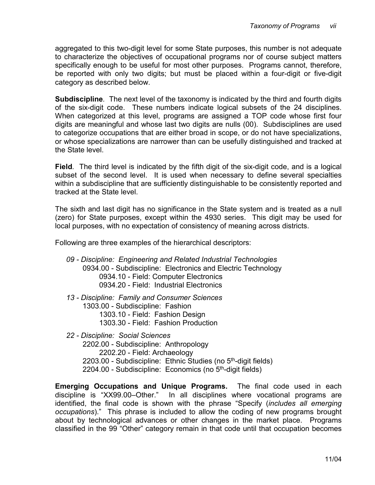aggregated to this two-digit level for some State purposes, this number is not adequate to characterize the objectives of occupational programs nor of course subject matters specifically enough to be useful for most other purposes. Programs cannot, therefore, be reported with only two digits; but must be placed within a four-digit or five-digit category as described below.

**Subdiscipline***.* The next level of the taxonomy is indicated by the third and fourth digits of the six-digit code. These numbers indicate logical subsets of the 24 disciplines. When categorized at this level, programs are assigned a TOP code whose first four digits are meaningful and whose last two digits are nulls (00). Subdisciplines are used to categorize occupations that are either broad in scope, or do not have specializations, or whose specializations are narrower than can be usefully distinguished and tracked at the State level.

**Field***.* The third level is indicated by the fifth digit of the six-digit code, and is a logical subset of the second level. It is used when necessary to define several specialties within a subdiscipline that are sufficiently distinguishable to be consistently reported and tracked at the State level.

The sixth and last digit has no significance in the State system and is treated as a null (zero) for State purposes, except within the 4930 series. This digit may be used for local purposes, with no expectation of consistency of meaning across districts.

Following are three examples of the hierarchical descriptors:

- *09 - Discipline: Engineering and Related Industrial Technologies* 0934.00 - Subdiscipline: Electronics and Electric Technology 0934.10 - Field: Computer Electronics 0934.20 - Field: Industrial Electronics
- *13 - Discipline: Family and Consumer Sciences* 1303.00 - Subdiscipline: Fashion 1303.10 - Field: Fashion Design 1303.30 - Field: Fashion Production
- *22 - Discipline: Social Sciences* 2202.00 - Subdiscipline: Anthropology 2202.20 - Field: Archaeology 2203.00 - Subdiscipline: Ethnic Studies (no 5<sup>th</sup>-digit fields) 2204.00 - Subdiscipline: Economics (no 5<sup>th</sup>-digit fields)

**Emerging Occupations and Unique Programs.** The final code used in each discipline is "XX99.00–Other." In all disciplines where vocational programs are identified, the final code is shown with the phrase "Specify (*includes all emerging occupations*)." This phrase is included to allow the coding of new programs brought about by technological advances or other changes in the market place. Programs classified in the 99 "Other" category remain in that code until that occupation becomes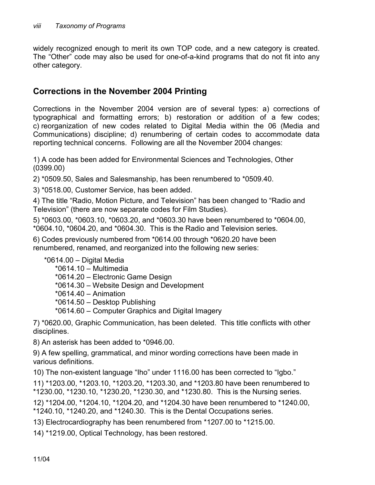widely recognized enough to merit its own TOP code, and a new category is created. The "Other" code may also be used for one-of-a-kind programs that do not fit into any other category.

### **Corrections in the November 2004 Printing**

Corrections in the November 2004 version are of several types: a) corrections of typographical and formatting errors; b) restoration or addition of a few codes; c) reorganization of new codes related to Digital Media within the 06 (Media and Communications) discipline; d) renumbering of certain codes to accommodate data reporting technical concerns. Following are all the November 2004 changes:

1) A code has been added for Environmental Sciences and Technologies, Other (0399.00)

2) \*0509.50, Sales and Salesmanship, has been renumbered to \*0509.40.

3) \*0518.00, Customer Service, has been added.

4) The title "Radio, Motion Picture, and Television" has been changed to "Radio and Television" (there are now separate codes for Film Studies).

5) \*0603.00, \*0603.10, \*0603.20, and \*0603.30 have been renumbered to \*0604.00, \*0604.10, \*0604.20, and \*0604.30. This is the Radio and Television series.

6) Codes previously numbered from \*0614.00 through \*0620.20 have been renumbered, renamed, and reorganized into the following new series:

### \*0614.00 – Digital Media

- \*0614.10 Multimedia
- \*0614.20 Electronic Game Design
- \*0614.30 Website Design and Development
- $*0614.40 -$  Animation
- \*0614.50 Desktop Publishing
- \*0614.60 Computer Graphics and Digital Imagery

7) \*0620.00, Graphic Communication, has been deleted. This title conflicts with other disciplines.

8) An asterisk has been added to \*0946.00.

9) A few spelling, grammatical, and minor wording corrections have been made in various definitions.

10) The non-existent language "Iho" under 1116.00 has been corrected to "Igbo."

11) \*1203.00, \*1203.10, \*1203.20, \*1203.30, and \*1203.80 have been renumbered to \*1230.00, \*1230.10, \*1230.20, \*1230.30, and \*1230.80. This is the Nursing series. 12) \*1204.00, \*1204.10, \*1204.20, and \*1204.30 have been renumbered to \*1240.00,

\*1240.10, \*1240.20, and \*1240.30. This is the Dental Occupations series.

13) Electrocardiography has been renumbered from \*1207.00 to \*1215.00.

14) \*1219.00, Optical Technology, has been restored.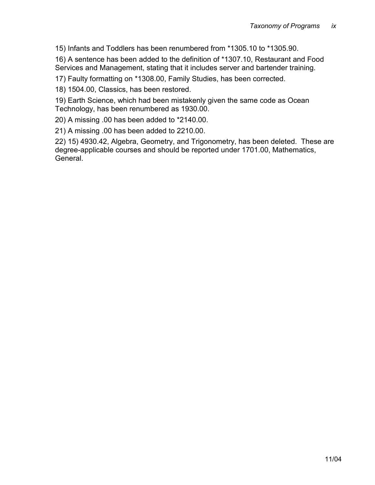15) Infants and Toddlers has been renumbered from \*1305.10 to \*1305.90.

16) A sentence has been added to the definition of \*1307.10, Restaurant and Food Services and Management, stating that it includes server and bartender training.

17) Faulty formatting on \*1308.00, Family Studies, has been corrected.

18) 1504.00, Classics, has been restored.

19) Earth Science, which had been mistakenly given the same code as Ocean Technology, has been renumbered as 1930.00.

20) A missing .00 has been added to \*2140.00.

21) A missing .00 has been added to 2210.00.

22) 15) 4930.42, Algebra, Geometry, and Trigonometry, has been deleted. These are degree-applicable courses and should be reported under 1701.00, Mathematics, General.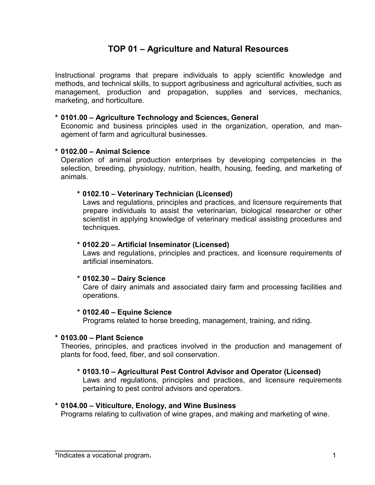### **TOP 01 – Agriculture and Natural Resources**

Instructional programs that prepare individuals to apply scientific knowledge and methods, and technical skills, to support agribusiness and agricultural activities, such as management, production and propagation, supplies and services, mechanics, marketing, and horticulture.

### **\* 0101.00 – Agriculture Technology and Sciences, General**

Economic and business principles used in the organization, operation, and management of farm and agricultural businesses.

### **\* 0102.00 – Animal Science**

Operation of animal production enterprises by developing competencies in the selection, breeding, physiology, nutrition, health, housing, feeding, and marketing of animals.

### **\* 0102.10 – Veterinary Technician (Licensed)**

Laws and regulations, principles and practices, and licensure requirements that prepare individuals to assist the veterinarian, biological researcher or other scientist in applying knowledge of veterinary medical assisting procedures and techniques.

### **\* 0102.20 – Artificial Inseminator (Licensed)**

Laws and regulations, principles and practices, and licensure requirements of artificial inseminators.

### **\* 0102.30 – Dairy Science**

Care of dairy animals and associated dairy farm and processing facilities and operations.

### **\* 0102.40 – Equine Science**

Programs related to horse breeding, management, training, and riding.

### **\* 0103.00 – Plant Science**

Theories, principles, and practices involved in the production and management of plants for food, feed, fiber, and soil conservation.

### **\* 0103.10 – Agricultural Pest Control Advisor and Operator (Licensed)**

Laws and regulations, principles and practices, and licensure requirements pertaining to pest control advisors and operators.

### **\* 0104.00 – Viticulture, Enology, and Wine Business**

Programs relating to cultivation of wine grapes, and making and marketing of wine.

<sup>\*</sup>Indicates a vocational program**.** 1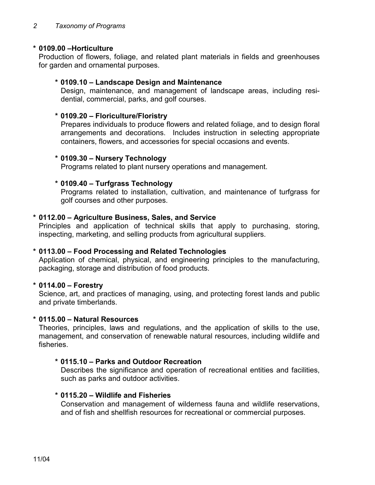### **\* 0109.00 –Horticulture**

Production of flowers, foliage, and related plant materials in fields and greenhouses for garden and ornamental purposes.

#### **\* 0109.10 – Landscape Design and Maintenance**

Design, maintenance, and management of landscape areas, including residential, commercial, parks, and golf courses.

#### **\* 0109.20 – Floriculture/Floristry**

Prepares individuals to produce flowers and related foliage, and to design floral arrangements and decorations. Includes instruction in selecting appropriate containers, flowers, and accessories for special occasions and events.

#### **\* 0109.30 – Nursery Technology**

Programs related to plant nursery operations and management.

### **\* 0109.40 – Turfgrass Technology**

Programs related to installation, cultivation, and maintenance of turfgrass for golf courses and other purposes.

#### **\* 0112.00 – Agriculture Business, Sales, and Service**

Principles and application of technical skills that apply to purchasing, storing, inspecting, marketing, and selling products from agricultural suppliers.

### **\* 0113.00 – Food Processing and Related Technologies**

Application of chemical, physical, and engineering principles to the manufacturing, packaging, storage and distribution of food products.

#### **\* 0114.00 – Forestry**

Science, art, and practices of managing, using, and protecting forest lands and public and private timberlands.

#### **\* 0115.00 – Natural Resources**

Theories, principles, laws and regulations, and the application of skills to the use, management, and conservation of renewable natural resources, including wildlife and fisheries.

#### **\* 0115.10 – Parks and Outdoor Recreation**

Describes the significance and operation of recreational entities and facilities, such as parks and outdoor activities.

#### **\* 0115.20 – Wildlife and Fisheries**

Conservation and management of wilderness fauna and wildlife reservations, and of fish and shellfish resources for recreational or commercial purposes.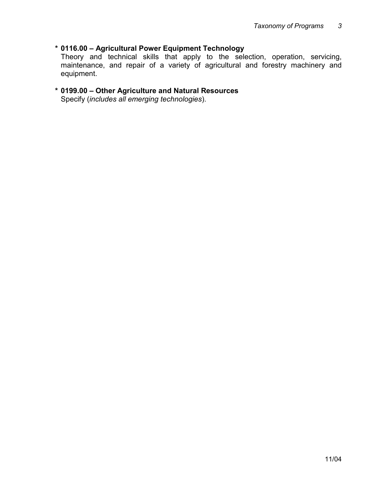### **\* 0116.00 – Agricultural Power Equipment Technology**

Theory and technical skills that apply to the selection, operation, servicing, maintenance, and repair of a variety of agricultural and forestry machinery and equipment.

### **\* 0199.00 – Other Agriculture and Natural Resources**

Specify (*includes all emerging technologies*).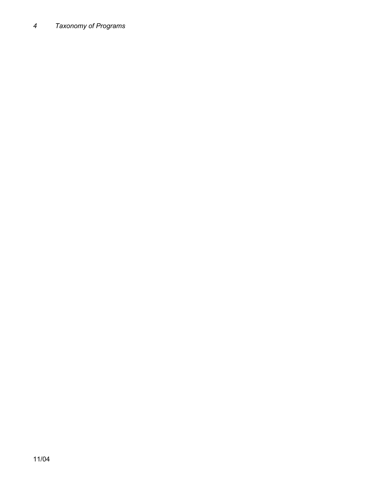### *4 Taxonomy of Programs*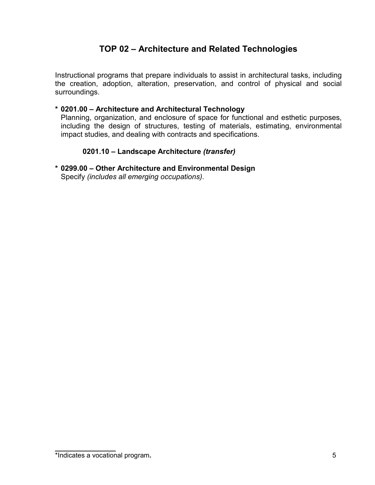### **TOP 02 – Architecture and Related Technologies**

Instructional programs that prepare individuals to assist in architectural tasks, including the creation, adoption, alteration, preservation, and control of physical and social surroundings.

### **\* 0201.00 – Architecture and Architectural Technology**

Planning, organization, and enclosure of space for functional and esthetic purposes, including the design of structures, testing of materials, estimating, environmental impact studies, and dealing with contracts and specifications.

### **0201.10 – Landscape Architecture** *(transfer)*

**\* 0299.00 – Other Architecture and Environmental Design** Specify *(includes all emerging occupations)*.

<sup>\*</sup>Indicates a vocational program**.** 5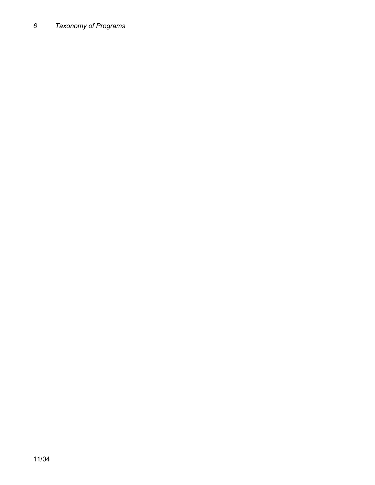### *6 Taxonomy of Programs*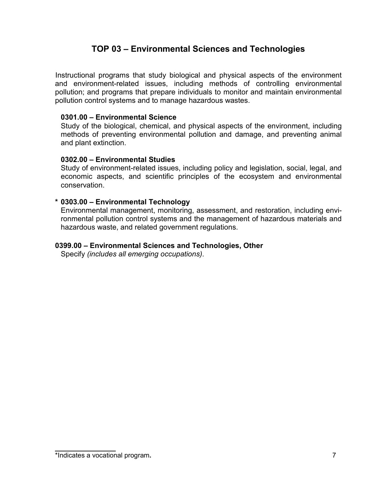### **TOP 03 – Environmental Sciences and Technologies**

Instructional programs that study biological and physical aspects of the environment and environment-related issues, including methods of controlling environmental pollution; and programs that prepare individuals to monitor and maintain environmental pollution control systems and to manage hazardous wastes.

### **0301.00 – Environmental Science**

Study of the biological, chemical, and physical aspects of the environment, including methods of preventing environmental pollution and damage, and preventing animal and plant extinction.

### **0302.00 – Environmental Studies**

Study of environment-related issues, including policy and legislation, social, legal, and economic aspects, and scientific principles of the ecosystem and environmental conservation.

### **\* 0303.00 – Environmental Technology**

Environmental management, monitoring, assessment, and restoration, including environmental pollution control systems and the management of hazardous materials and hazardous waste, and related government regulations.

### **0399.00 – Environmental Sciences and Technologies, Other**

Specify *(includes all emerging occupations)*.

<sup>\*</sup>Indicates a vocational program**.** 7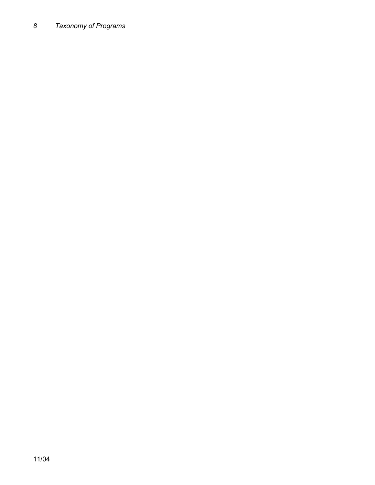### *8 Taxonomy of Programs*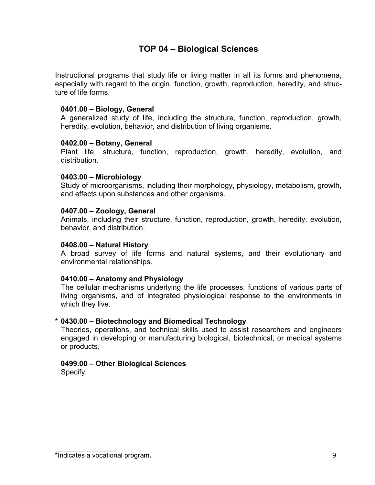### **TOP 04 – Biological Sciences**

Instructional programs that study life or living matter in all its forms and phenomena, especially with regard to the origin, function, growth, reproduction, heredity, and structure of life forms.

### **0401.00 – Biology, General**

A generalized study of life, including the structure, function, reproduction, growth, heredity, evolution, behavior, and distribution of living organisms.

### **0402.00 – Botany, General**

Plant life, structure, function, reproduction, growth, heredity, evolution, and distribution.

### **0403.00 – Microbiology**

Study of microorganisms, including their morphology, physiology, metabolism, growth, and effects upon substances and other organisms.

### **0407.00 – Zoology, General**

Animals, including their structure, function, reproduction, growth, heredity, evolution, behavior, and distribution.

### **0408.00 – Natural History**

A broad survey of life forms and natural systems, and their evolutionary and environmental relationships.

### **0410.00 – Anatomy and Physiology**

The cellular mechanisms underlying the life processes, functions of various parts of living organisms, and of integrated physiological response to the environments in which they live.

### **\* 0430.00 – Biotechnology and Biomedical Technology**

Theories, operations, and technical skills used to assist researchers and engineers engaged in developing or manufacturing biological, biotechnical, or medical systems or products.

### **0499.00 – Other Biological Sciences**

Specify.

<sup>\*</sup>Indicates a vocational program**.** 9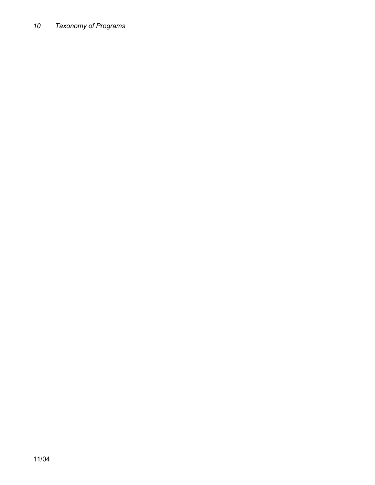### *10 Taxonomy of Programs*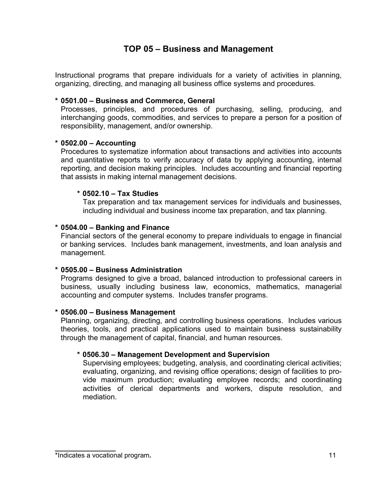### **TOP 05 – Business and Management**

Instructional programs that prepare individuals for a variety of activities in planning, organizing, directing, and managing all business office systems and procedures.

### **\* 0501.00 – Business and Commerce, General**

Processes, principles, and procedures of purchasing, selling, producing, and interchanging goods, commodities, and services to prepare a person for a position of responsibility, management, and/or ownership.

### **\* 0502.00 – Accounting**

Procedures to systematize information about transactions and activities into accounts and quantitative reports to verify accuracy of data by applying accounting, internal reporting, and decision making principles. Includes accounting and financial reporting that assists in making internal management decisions.

### **\* 0502.10 – Tax Studies**

Tax preparation and tax management services for individuals and businesses, including individual and business income tax preparation, and tax planning.

### **\* 0504.00 – Banking and Finance**

Financial sectors of the general economy to prepare individuals to engage in financial or banking services. Includes bank management, investments, and loan analysis and management.

### **\* 0505.00 – Business Administration**

Programs designed to give a broad, balanced introduction to professional careers in business, usually including business law, economics, mathematics, managerial accounting and computer systems. Includes transfer programs.

### **\* 0506.00 – Business Management**

Planning, organizing, directing, and controlling business operations. Includes various theories, tools, and practical applications used to maintain business sustainability through the management of capital, financial, and human resources.

### **\* 0506.30 – Management Development and Supervision**

Supervising employees; budgeting, analysis, and coordinating clerical activities; evaluating, organizing, and revising office operations; design of facilities to provide maximum production; evaluating employee records; and coordinating activities of clerical departments and workers, dispute resolution, and mediation.

<sup>\*</sup>Indicates a vocational program**.** 11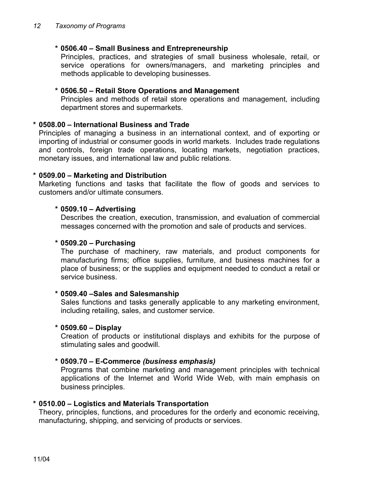### **\* 0506.40 – Small Business and Entrepreneurship**

Principles, practices, and strategies of small business wholesale, retail, or service operations for owners/managers, and marketing principles and methods applicable to developing businesses.

### **\* 0506.50 – Retail Store Operations and Management**

Principles and methods of retail store operations and management, including department stores and supermarkets.

### **\* 0508.00 – International Business and Trade**

Principles of managing a business in an international context, and of exporting or importing of industrial or consumer goods in world markets. Includes trade regulations and controls, foreign trade operations, locating markets, negotiation practices, monetary issues, and international law and public relations.

### **\* 0509.00 – Marketing and Distribution**

Marketing functions and tasks that facilitate the flow of goods and services to customers and/or ultimate consumers.

### **\* 0509.10 – Advertising**

Describes the creation, execution, transmission, and evaluation of commercial messages concerned with the promotion and sale of products and services.

### **\* 0509.20 – Purchasing**

The purchase of machinery, raw materials, and product components for manufacturing firms; office supplies, furniture, and business machines for a place of business; or the supplies and equipment needed to conduct a retail or service business.

### **\* 0509.40 –Sales and Salesmanship**

Sales functions and tasks generally applicable to any marketing environment, including retailing, sales, and customer service.

### **\* 0509.60 – Display**

Creation of products or institutional displays and exhibits for the purpose of stimulating sales and goodwill.

### **\* 0509.70 – E-Commerce** *(business emphasis)*

Programs that combine marketing and management principles with technical applications of the Internet and World Wide Web, with main emphasis on business principles.

### **\* 0510.00 – Logistics and Materials Transportation**

Theory, principles, functions, and procedures for the orderly and economic receiving, manufacturing, shipping, and servicing of products or services.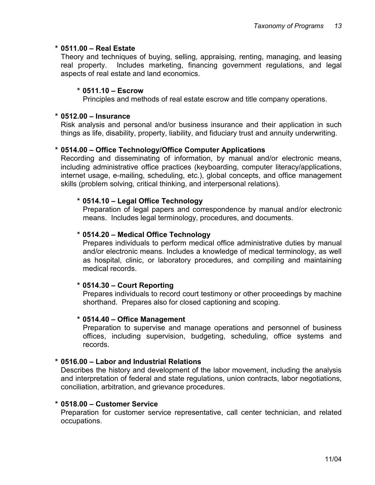### **\* 0511.00 – Real Estate**

Theory and techniques of buying, selling, appraising, renting, managing, and leasing real property. Includes marketing, financing government regulations, and legal aspects of real estate and land economics.

### **\* 0511.10 – Escrow**

Principles and methods of real estate escrow and title company operations.

### **\* 0512.00 – Insurance**

Risk analysis and personal and/or business insurance and their application in such things as life, disability, property, liability, and fiduciary trust and annuity underwriting.

### **\* 0514.00 – Office Technology/Office Computer Applications**

Recording and disseminating of information, by manual and/or electronic means, including administrative office practices (keyboarding, computer literacy/applications, internet usage, e-mailing, scheduling, etc.), global concepts, and office management skills (problem solving, critical thinking, and interpersonal relations).

### **\* 0514.10 – Legal Office Technology**

Preparation of legal papers and correspondence by manual and/or electronic means. Includes legal terminology, procedures, and documents.

### **\* 0514.20 – Medical Office Technology**

Prepares individuals to perform medical office administrative duties by manual and/or electronic means. Includes a knowledge of medical terminology, as well as hospital, clinic, or laboratory procedures, and compiling and maintaining medical records.

### **\* 0514.30 – Court Reporting**

Prepares individuals to record court testimony or other proceedings by machine shorthand. Prepares also for closed captioning and scoping.

### **\* 0514.40 – Office Management**

Preparation to supervise and manage operations and personnel of business offices, including supervision, budgeting, scheduling, office systems and records.

### **\* 0516.00 – Labor and Industrial Relations**

Describes the history and development of the labor movement, including the analysis and interpretation of federal and state regulations, union contracts, labor negotiations, conciliation, arbitration, and grievance procedures.

### **\* 0518.00 – Customer Service**

Preparation for customer service representative, call center technician, and related occupations.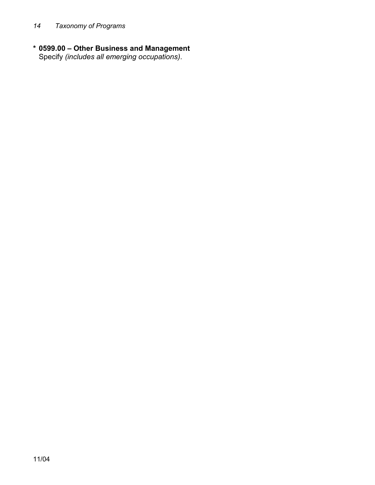### *14 Taxonomy of Programs*

**\* 0599.00 – Other Business and Management** Specify *(includes all emerging occupations)*.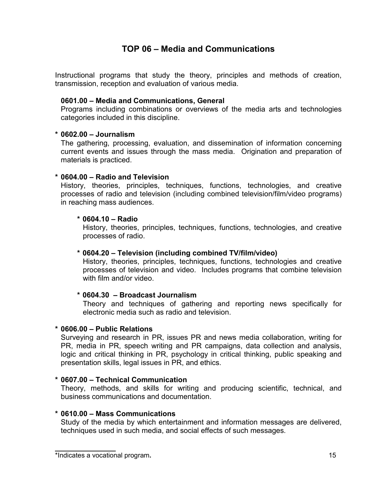### **TOP 06 – Media and Communications**

Instructional programs that study the theory, principles and methods of creation, transmission, reception and evaluation of various media.

### **0601.00 – Media and Communications, General**

Programs including combinations or overviews of the media arts and technologies categories included in this discipline.

### **\* 0602.00 – Journalism**

The gathering, processing, evaluation, and dissemination of information concerning current events and issues through the mass media. Origination and preparation of materials is practiced.

### **\* 0604.00 – Radio and Television**

History, theories, principles, techniques, functions, technologies, and creative processes of radio and television (including combined television/film/video programs) in reaching mass audiences.

### **\* 0604.10 – Radio**

History, theories, principles, techniques, functions, technologies, and creative processes of radio.

### **\* 0604.20 – Television (including combined TV/film/video)**

History, theories, principles, techniques, functions, technologies and creative processes of television and video. Includes programs that combine television with film and/or video.

### **\* 0604.30 – Broadcast Journalism**

Theory and techniques of gathering and reporting news specifically for electronic media such as radio and television.

### **\* 0606.00 – Public Relations**

Surveying and research in PR, issues PR and news media collaboration, writing for PR, media in PR, speech writing and PR campaigns, data collection and analysis, logic and critical thinking in PR, psychology in critical thinking, public speaking and presentation skills, legal issues in PR, and ethics.

### **\* 0607.00 – Technical Communication**

Theory, methods, and skills for writing and producing scientific, technical, and business communications and documentation.

### **\* 0610.00 – Mass Communications**

Study of the media by which entertainment and information messages are delivered, techniques used in such media, and social effects of such messages.

<sup>\*</sup>Indicates a vocational program**.** 15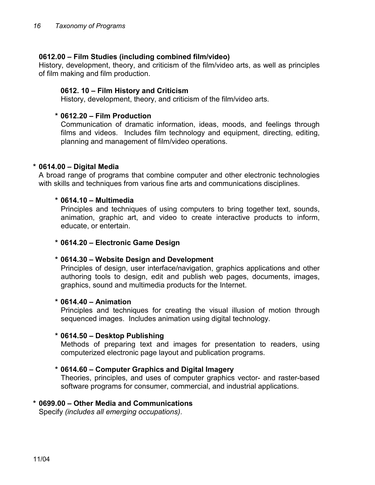### **0612.00 – Film Studies (including combined film/video)**

History, development, theory, and criticism of the film/video arts, as well as principles of film making and film production.

### **0612. 10 – Film History and Criticism**

History, development, theory, and criticism of the film/video arts.

### **\* 0612.20 – Film Production**

Communication of dramatic information, ideas, moods, and feelings through films and videos. Includes film technology and equipment, directing, editing, planning and management of film/video operations.

### **\* 0614.00 – Digital Media**

A broad range of programs that combine computer and other electronic technologies with skills and techniques from various fine arts and communications disciplines.

### **\* 0614.10 – Multimedia**

Principles and techniques of using computers to bring together text, sounds, animation, graphic art, and video to create interactive products to inform, educate, or entertain.

### **\* 0614.20 – Electronic Game Design**

### **\* 0614.30 – Website Design and Development**

Principles of design, user interface/navigation, graphics applications and other authoring tools to design, edit and publish web pages, documents, images, graphics, sound and multimedia products for the Internet.

### **\* 0614.40 – Animation**

Principles and techniques for creating the visual illusion of motion through sequenced images. Includes animation using digital technology.

### **\* 0614.50 – Desktop Publishing**

Methods of preparing text and images for presentation to readers, using computerized electronic page layout and publication programs.

### **\* 0614.60 – Computer Graphics and Digital Imagery**

Theories, principles, and uses of computer graphics vector- and raster-based software programs for consumer, commercial, and industrial applications.

### **\* 0699.00 – Other Media and Communications**

Specify *(includes all emerging occupations)*.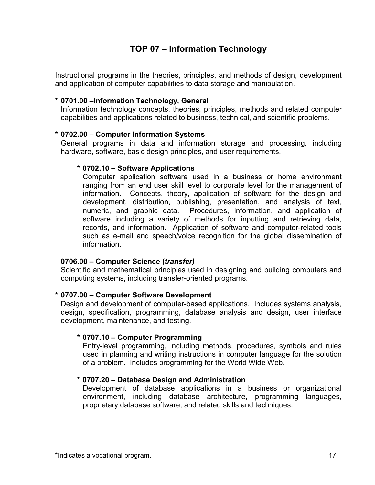### **TOP 07 – Information Technology**

Instructional programs in the theories, principles, and methods of design, development and application of computer capabilities to data storage and manipulation.

### **\* 0701.00 –Information Technology, General**

Information technology concepts, theories, principles, methods and related computer capabilities and applications related to business, technical, and scientific problems.

### **\* 0702.00 – Computer Information Systems**

General programs in data and information storage and processing, including hardware, software, basic design principles, and user requirements.

#### **\* 0702.10 – Software Applications**

Computer application software used in a business or home environment ranging from an end user skill level to corporate level for the management of information. Concepts, theory, application of software for the design and development, distribution, publishing, presentation, and analysis of text, numeric, and graphic data. Procedures, information, and application of software including a variety of methods for inputting and retrieving data, records, and information. Application of software and computer-related tools such as e-mail and speech/voice recognition for the global dissemination of information.

### **0706.00 – Computer Science (***transfer)*

Scientific and mathematical principles used in designing and building computers and computing systems, including transfer-oriented programs.

### **\* 0707.00 – Computer Software Development**

Design and development of computer-based applications. Includes systems analysis, design, specification, programming, database analysis and design, user interface development, maintenance, and testing.

### **\* 0707.10 – Computer Programming**

Entry-level programming, including methods, procedures, symbols and rules used in planning and writing instructions in computer language for the solution of a problem. Includes programming for the World Wide Web.

### **\* 0707.20 – Database Design and Administration**

Development of database applications in a business or organizational environment, including database architecture, programming languages, proprietary database software, and related skills and techniques.

<sup>\*</sup>Indicates a vocational program**.** 17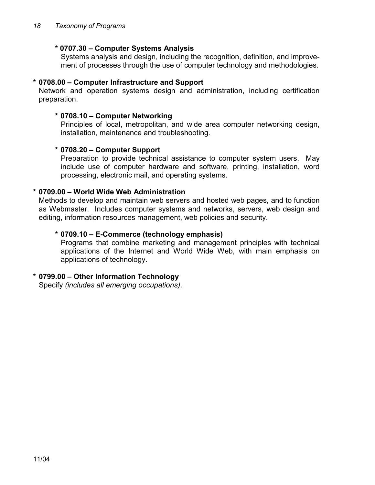### **\* 0707.30 – Computer Systems Analysis**

Systems analysis and design, including the recognition, definition, and improvement of processes through the use of computer technology and methodologies.

### **\* 0708.00 – Computer Infrastructure and Support**

Network and operation systems design and administration, including certification preparation.

### **\* 0708.10 – Computer Networking**

Principles of local, metropolitan, and wide area computer networking design, installation, maintenance and troubleshooting.

### **\* 0708.20 – Computer Support**

Preparation to provide technical assistance to computer system users. May include use of computer hardware and software, printing, installation, word processing, electronic mail, and operating systems.

### **\* 0709.00 – World Wide Web Administration**

Methods to develop and maintain web servers and hosted web pages, and to function as Webmaster. Includes computer systems and networks, servers, web design and editing, information resources management, web policies and security.

### **\* 0709.10 – E-Commerce (technology emphasis)**

Programs that combine marketing and management principles with technical applications of the Internet and World Wide Web, with main emphasis on applications of technology.

### **\* 0799.00 – Other Information Technology**

Specify *(includes all emerging occupations)*.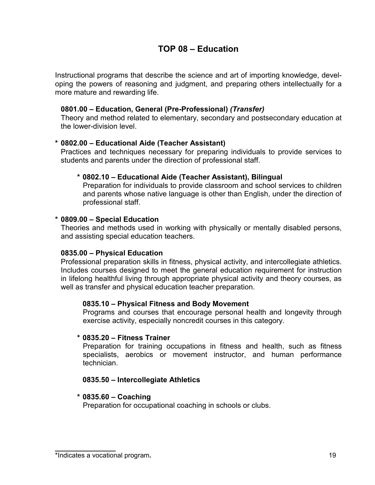### **TOP 08 – Education**

Instructional programs that describe the science and art of importing knowledge, developing the powers of reasoning and judgment, and preparing others intellectually for a more mature and rewarding life.

### **0801.00 – Education, General (Pre-Professional)** *(Transfer)*

Theory and method related to elementary, secondary and postsecondary education at the lower-division level.

### **\* 0802.00 – Educational Aide (Teacher Assistant)**

Practices and techniques necessary for preparing individuals to provide services to students and parents under the direction of professional staff.

### **\* 0802.10 – Educational Aide (Teacher Assistant), Bilingual**

Preparation for individuals to provide classroom and school services to children and parents whose native language is other than English, under the direction of professional staff.

### **\* 0809.00 – Special Education**

Theories and methods used in working with physically or mentally disabled persons, and assisting special education teachers.

### **0835.00 – Physical Education**

Professional preparation skills in fitness, physical activity, and intercollegiate athletics. Includes courses designed to meet the general education requirement for instruction in lifelong healthful living through appropriate physical activity and theory courses, as well as transfer and physical education teacher preparation.

### **0835.10 – Physical Fitness and Body Movement**

Programs and courses that encourage personal health and longevity through exercise activity, especially noncredit courses in this category.

### **\* 0835.20 – Fitness Trainer**

Preparation for training occupations in fitness and health, such as fitness specialists, aerobics or movement instructor, and human performance technician.

### **0835.50 – Intercollegiate Athletics**

### **\* 0835.60 – Coaching**

Preparation for occupational coaching in schools or clubs.

<sup>\*</sup>Indicates a vocational program**.** 19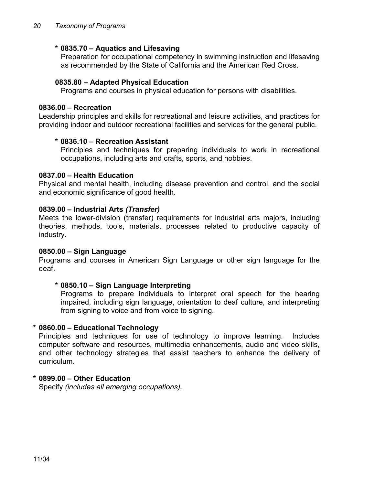### **\* 0835.70 – Aquatics and Lifesaving**

Preparation for occupational competency in swimming instruction and lifesaving as recommended by the State of California and the American Red Cross.

### **0835.80 – Adapted Physical Education**

Programs and courses in physical education for persons with disabilities.

### **0836.00 – Recreation**

Leadership principles and skills for recreational and leisure activities, and practices for providing indoor and outdoor recreational facilities and services for the general public.

### **\* 0836.10 – Recreation Assistant**

Principles and techniques for preparing individuals to work in recreational occupations, including arts and crafts, sports, and hobbies.

### **0837.00 – Health Education**

Physical and mental health, including disease prevention and control, and the social and economic significance of good health.

### **0839.00 – Industrial Arts** *(Transfer)*

Meets the lower-division (transfer) requirements for industrial arts majors, including theories, methods, tools, materials, processes related to productive capacity of industry.

### **0850.00 – Sign Language**

Programs and courses in American Sign Language or other sign language for the deaf.

### **\* 0850.10 – Sign Language Interpreting**

Programs to prepare individuals to interpret oral speech for the hearing impaired, including sign language, orientation to deaf culture, and interpreting from signing to voice and from voice to signing.

### **\* 0860.00 – Educational Technology**

Principles and techniques for use of technology to improve learning. Includes computer software and resources, multimedia enhancements, audio and video skills, and other technology strategies that assist teachers to enhance the delivery of curriculum.

### **\* 0899.00 – Other Education**

Specify *(includes all emerging occupations)*.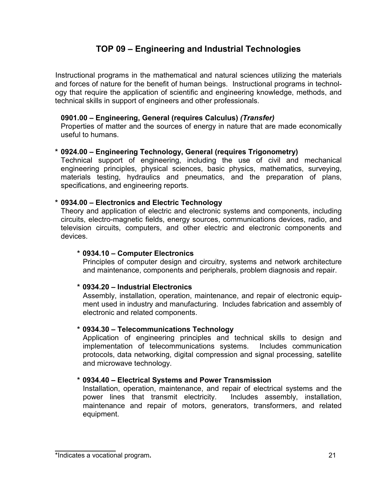### **TOP 09 – Engineering and Industrial Technologies**

Instructional programs in the mathematical and natural sciences utilizing the materials and forces of nature for the benefit of human beings. Instructional programs in technology that require the application of scientific and engineering knowledge, methods, and technical skills in support of engineers and other professionals.

### **0901.00 – Engineering, General (requires Calculus)** *(Transfer)*

Properties of matter and the sources of energy in nature that are made economically useful to humans.

### **\* 0924.00 – Engineering Technology, General (requires Trigonometry)**

Technical support of engineering, including the use of civil and mechanical engineering principles, physical sciences, basic physics, mathematics, surveying, materials testing, hydraulics and pneumatics, and the preparation of plans, specifications, and engineering reports.

### **\* 0934.00 – Electronics and Electric Technology**

Theory and application of electric and electronic systems and components, including circuits, electro-magnetic fields, energy sources, communications devices, radio, and television circuits, computers, and other electric and electronic components and devices.

### **\* 0934.10 – Computer Electronics**

Principles of computer design and circuitry, systems and network architecture and maintenance, components and peripherals, problem diagnosis and repair.

### **\* 0934.20 – Industrial Electronics**

Assembly, installation, operation, maintenance, and repair of electronic equipment used in industry and manufacturing. Includes fabrication and assembly of electronic and related components.

#### **\* 0934.30 – Telecommunications Technology**

Application of engineering principles and technical skills to design and implementation of telecommunications systems. Includes communication protocols, data networking, digital compression and signal processing, satellite and microwave technology.

### **\* 0934.40 – Electrical Systems and Power Transmission**

Installation, operation, maintenance, and repair of electrical systems and the power lines that transmit electricity. Includes assembly, installation, maintenance and repair of motors, generators, transformers, and related equipment.

<sup>\*</sup>Indicates a vocational program**.** 21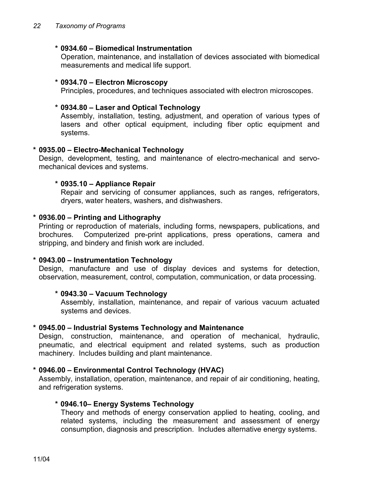### **\* 0934.60 – Biomedical Instrumentation**

Operation, maintenance, and installation of devices associated with biomedical measurements and medical life support.

### **\* 0934.70 – Electron Microscopy**

Principles, procedures, and techniques associated with electron microscopes.

### **\* 0934.80 – Laser and Optical Technology**

Assembly, installation, testing, adjustment, and operation of various types of lasers and other optical equipment, including fiber optic equipment and systems.

### **\* 0935.00 – Electro-Mechanical Technology**

Design, development, testing, and maintenance of electro-mechanical and servomechanical devices and systems.

### **\* 0935.10 – Appliance Repair**

Repair and servicing of consumer appliances, such as ranges, refrigerators, dryers, water heaters, washers, and dishwashers.

### **\* 0936.00 – Printing and Lithography**

Printing or reproduction of materials, including forms, newspapers, publications, and brochures. Computerized pre-print applications, press operations, camera and stripping, and bindery and finish work are included.

### **\* 0943.00 – Instrumentation Technology**

Design, manufacture and use of display devices and systems for detection, observation, measurement, control, computation, communication, or data processing.

### **\* 0943.30 – Vacuum Technology**

Assembly, installation, maintenance, and repair of various vacuum actuated systems and devices.

### **\* 0945.00 – Industrial Systems Technology and Maintenance**

Design, construction, maintenance, and operation of mechanical, hydraulic, pneumatic, and electrical equipment and related systems, such as production machinery. Includes building and plant maintenance.

### **\* 0946.00 – Environmental Control Technology (HVAC)**

Assembly, installation, operation, maintenance, and repair of air conditioning, heating, and refrigeration systems.

### **\* 0946.10– Energy Systems Technology**

Theory and methods of energy conservation applied to heating, cooling, and related systems, including the measurement and assessment of energy consumption, diagnosis and prescription. Includes alternative energy systems.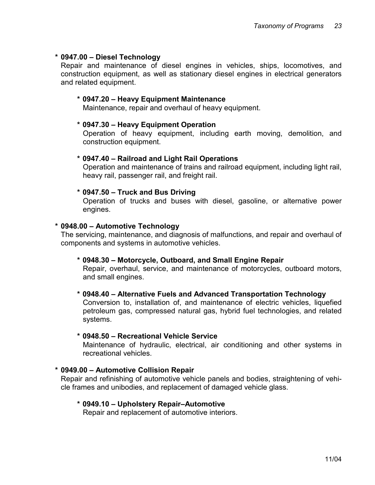#### **\* 0947.00 – Diesel Technology**

Repair and maintenance of diesel engines in vehicles, ships, locomotives, and construction equipment, as well as stationary diesel engines in electrical generators and related equipment.

## **\* 0947.20 – Heavy Equipment Maintenance**

Maintenance, repair and overhaul of heavy equipment.

#### **\* 0947.30 – Heavy Equipment Operation**

Operation of heavy equipment, including earth moving, demolition, and construction equipment.

#### **\* 0947.40 – Railroad and Light Rail Operations**

Operation and maintenance of trains and railroad equipment, including light rail, heavy rail, passenger rail, and freight rail.

#### **\* 0947.50 – Truck and Bus Driving**

Operation of trucks and buses with diesel, gasoline, or alternative power engines.

#### **\* 0948.00 – Automotive Technology**

The servicing, maintenance, and diagnosis of malfunctions, and repair and overhaul of components and systems in automotive vehicles.

#### **\* 0948.30 – Motorcycle, Outboard, and Small Engine Repair**

Repair, overhaul, service, and maintenance of motorcycles, outboard motors, and small engines.

# **\* 0948.40 – Alternative Fuels and Advanced Transportation Technology**

Conversion to, installation of, and maintenance of electric vehicles, liquefied petroleum gas, compressed natural gas, hybrid fuel technologies, and related systems.

#### **\* 0948.50 – Recreational Vehicle Service**

Maintenance of hydraulic, electrical, air conditioning and other systems in recreational vehicles.

#### **\* 0949.00 – Automotive Collision Repair**

Repair and refinishing of automotive vehicle panels and bodies, straightening of vehicle frames and unibodies, and replacement of damaged vehicle glass.

#### **\* 0949.10 – Upholstery Repair–Automotive**

Repair and replacement of automotive interiors.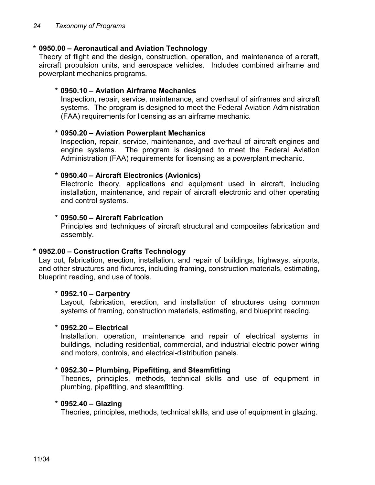## **\* 0950.00 – Aeronautical and Aviation Technology**

Theory of flight and the design, construction, operation, and maintenance of aircraft, aircraft propulsion units, and aerospace vehicles. Includes combined airframe and powerplant mechanics programs.

## **\* 0950.10 – Aviation Airframe Mechanics**

Inspection, repair, service, maintenance, and overhaul of airframes and aircraft systems. The program is designed to meet the Federal Aviation Administration (FAA) requirements for licensing as an airframe mechanic.

## **\* 0950.20 – Aviation Powerplant Mechanics**

Inspection, repair, service, maintenance, and overhaul of aircraft engines and engine systems. The program is designed to meet the Federal Aviation Administration (FAA) requirements for licensing as a powerplant mechanic.

## **\* 0950.40 – Aircraft Electronics (Avionics)**

Electronic theory, applications and equipment used in aircraft, including installation, maintenance, and repair of aircraft electronic and other operating and control systems.

#### **\* 0950.50 – Aircraft Fabrication**

Principles and techniques of aircraft structural and composites fabrication and assembly.

#### **\* 0952.00 – Construction Crafts Technology**

Lay out, fabrication, erection, installation, and repair of buildings, highways, airports, and other structures and fixtures, including framing, construction materials, estimating, blueprint reading, and use of tools.

#### **\* 0952.10 – Carpentry**

Layout, fabrication, erection, and installation of structures using common systems of framing, construction materials, estimating, and blueprint reading.

#### **\* 0952.20 – Electrical**

Installation, operation, maintenance and repair of electrical systems in buildings, including residential, commercial, and industrial electric power wiring and motors, controls, and electrical-distribution panels.

# **\* 0952.30 – Plumbing, Pipefitting, and Steamfitting**

Theories, principles, methods, technical skills and use of equipment in plumbing, pipefitting, and steamfitting.

#### **\* 0952.40 – Glazing**

Theories, principles, methods, technical skills, and use of equipment in glazing.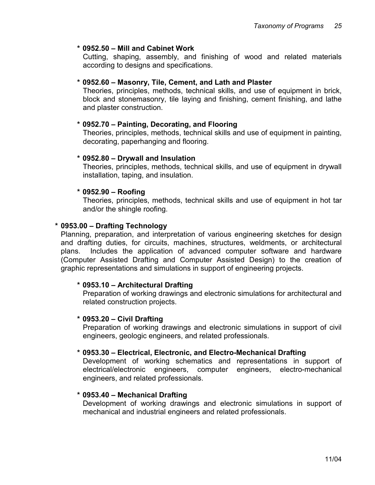#### **\* 0952.50 – Mill and Cabinet Work**

Cutting, shaping, assembly, and finishing of wood and related materials according to designs and specifications.

## **\* 0952.60 – Masonry, Tile, Cement, and Lath and Plaster**

Theories, principles, methods, technical skills, and use of equipment in brick, block and stonemasonry, tile laying and finishing, cement finishing, and lathe and plaster construction.

## **\* 0952.70 – Painting, Decorating, and Flooring**

Theories, principles, methods, technical skills and use of equipment in painting, decorating, paperhanging and flooring.

## **\* 0952.80 – Drywall and Insulation**

Theories, principles, methods, technical skills, and use of equipment in drywall installation, taping, and insulation.

## **\* 0952.90 – Roofing**

Theories, principles, methods, technical skills and use of equipment in hot tar and/or the shingle roofing.

## **\* 0953.00 – Drafting Technology**

Planning, preparation, and interpretation of various engineering sketches for design and drafting duties, for circuits, machines, structures, weldments, or architectural plans. Includes the application of advanced computer software and hardware (Computer Assisted Drafting and Computer Assisted Design) to the creation of graphic representations and simulations in support of engineering projects.

#### **\* 0953.10 – Architectural Drafting**

Preparation of working drawings and electronic simulations for architectural and related construction projects.

#### **\* 0953.20 – Civil Drafting**

Preparation of working drawings and electronic simulations in support of civil engineers, geologic engineers, and related professionals.

# **\* 0953.30 – Electrical, Electronic, and Electro-Mechanical Drafting**

Development of working schematics and representations in support of electrical/electronic engineers, computer engineers, electro-mechanical engineers, and related professionals.

#### **\* 0953.40 – Mechanical Drafting**

Development of working drawings and electronic simulations in support of mechanical and industrial engineers and related professionals.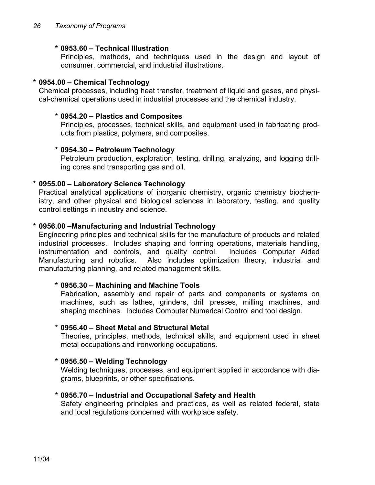#### **\* 0953.60 – Technical Illustration**

Principles, methods, and techniques used in the design and layout of consumer, commercial, and industrial illustrations.

## **\* 0954.00 – Chemical Technology**

Chemical processes, including heat transfer, treatment of liquid and gases, and physical-chemical operations used in industrial processes and the chemical industry.

## **\* 0954.20 – Plastics and Composites**

Principles, processes, technical skills, and equipment used in fabricating products from plastics, polymers, and composites.

## **\* 0954.30 – Petroleum Technology**

Petroleum production, exploration, testing, drilling, analyzing, and logging drilling cores and transporting gas and oil.

## **\* 0955.00 – Laboratory Science Technology**

Practical analytical applications of inorganic chemistry, organic chemistry biochemistry, and other physical and biological sciences in laboratory, testing, and quality control settings in industry and science.

## **\* 0956.00 –Manufacturing and Industrial Technology**

Engineering principles and technical skills for the manufacture of products and related industrial processes. Includes shaping and forming operations, materials handling, instrumentation and controls, and quality control. Includes Computer Aided Manufacturing and robotics. Also includes optimization theory, industrial and manufacturing planning, and related management skills.

#### **\* 0956.30 – Machining and Machine Tools**

Fabrication, assembly and repair of parts and components or systems on machines, such as lathes, grinders, drill presses, milling machines, and shaping machines. Includes Computer Numerical Control and tool design.

#### **\* 0956.40 – Sheet Metal and Structural Metal**

Theories, principles, methods, technical skills, and equipment used in sheet metal occupations and ironworking occupations.

#### **\* 0956.50 – Welding Technology**

Welding techniques, processes, and equipment applied in accordance with diagrams, blueprints, or other specifications.

#### **\* 0956.70 – Industrial and Occupational Safety and Health**

Safety engineering principles and practices, as well as related federal, state and local regulations concerned with workplace safety.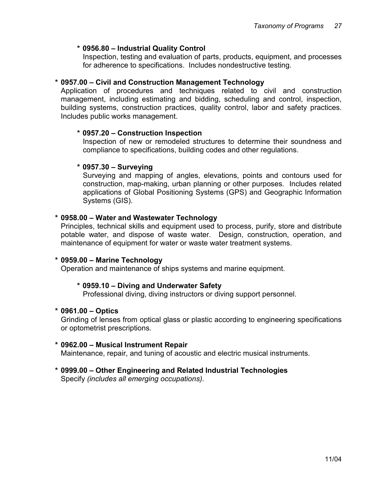# **\* 0956.80 – Industrial Quality Control**

Inspection, testing and evaluation of parts, products, equipment, and processes for adherence to specifications. Includes nondestructive testing.

## **\* 0957.00 – Civil and Construction Management Technology**

Application of procedures and techniques related to civil and construction management, including estimating and bidding, scheduling and control, inspection, building systems, construction practices, quality control, labor and safety practices. Includes public works management.

## **\* 0957.20 – Construction Inspection**

Inspection of new or remodeled structures to determine their soundness and compliance to specifications, building codes and other regulations.

## **\* 0957.30 – Surveying**

Surveying and mapping of angles, elevations, points and contours used for construction, map-making, urban planning or other purposes. Includes related applications of Global Positioning Systems (GPS) and Geographic Information Systems (GIS).

## **\* 0958.00 – Water and Wastewater Technology**

Principles, technical skills and equipment used to process, purify, store and distribute potable water, and dispose of waste water. Design, construction, operation, and maintenance of equipment for water or waste water treatment systems.

#### **\* 0959.00 – Marine Technology**

Operation and maintenance of ships systems and marine equipment.

#### **\* 0959.10 – Diving and Underwater Safety**

Professional diving, diving instructors or diving support personnel.

#### **\* 0961.00 – Optics**

Grinding of lenses from optical glass or plastic according to engineering specifications or optometrist prescriptions.

#### **\* 0962.00 – Musical Instrument Repair**

Maintenance, repair, and tuning of acoustic and electric musical instruments.

# **\* 0999.00 – Other Engineering and Related Industrial Technologies**

Specify *(includes all emerging occupations)*.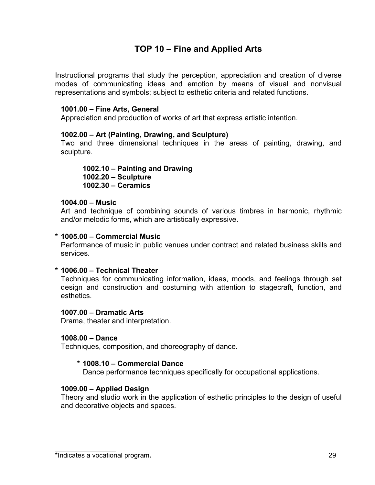# **TOP 10 – Fine and Applied Arts**

Instructional programs that study the perception, appreciation and creation of diverse modes of communicating ideas and emotion by means of visual and nonvisual representations and symbols; subject to esthetic criteria and related functions.

#### **1001.00 – Fine Arts, General**

Appreciation and production of works of art that express artistic intention.

#### **1002.00 – Art (Painting, Drawing, and Sculpture)**

Two and three dimensional techniques in the areas of painting, drawing, and sculpture.

## **1002.10 – Painting and Drawing 1002.20 – Sculpture 1002.30 – Ceramics**

#### **1004.00 – Music**

Art and technique of combining sounds of various timbres in harmonic, rhythmic and/or melodic forms, which are artistically expressive.

#### **\* 1005.00 – Commercial Music**

Performance of music in public venues under contract and related business skills and services.

## **\* 1006.00 – Technical Theater**

Techniques for communicating information, ideas, moods, and feelings through set design and construction and costuming with attention to stagecraft, function, and esthetics.

#### **1007.00 – Dramatic Arts**

Drama, theater and interpretation.

#### **1008.00 – Dance**

Techniques, composition, and choreography of dance.

#### **\* 1008.10 – Commercial Dance**

Dance performance techniques specifically for occupational applications.

# **1009.00 – Applied Design**

Theory and studio work in the application of esthetic principles to the design of useful and decorative objects and spaces.

<sup>\*</sup>Indicates a vocational program**.** 29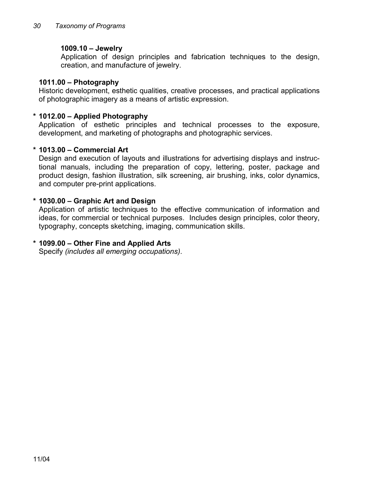## **1009.10 – Jewelry**

Application of design principles and fabrication techniques to the design, creation, and manufacture of jewelry.

## **1011.00 – Photography**

Historic development, esthetic qualities, creative processes, and practical applications of photographic imagery as a means of artistic expression.

## **\* 1012.00 – Applied Photography**

Application of esthetic principles and technical processes to the exposure, development, and marketing of photographs and photographic services.

# **\* 1013.00 – Commercial Art**

Design and execution of layouts and illustrations for advertising displays and instructional manuals, including the preparation of copy, lettering, poster, package and product design, fashion illustration, silk screening, air brushing, inks, color dynamics, and computer pre-print applications.

## **\* 1030.00 – Graphic Art and Design**

Application of artistic techniques to the effective communication of information and ideas, for commercial or technical purposes. Includes design principles, color theory, typography, concepts sketching, imaging, communication skills.

## **\* 1099.00 – Other Fine and Applied Arts**

Specify *(includes all emerging occupations)*.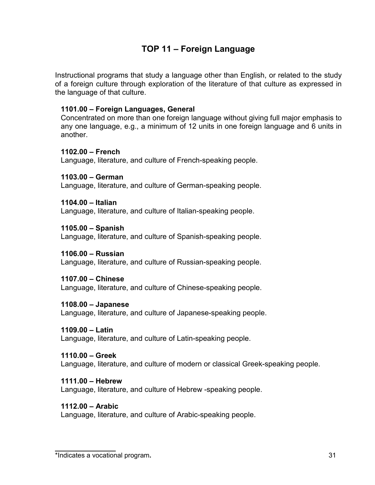# **TOP 11 – Foreign Language**

Instructional programs that study a language other than English, or related to the study of a foreign culture through exploration of the literature of that culture as expressed in the language of that culture.

#### **1101.00 – Foreign Languages, General**

Concentrated on more than one foreign language without giving full major emphasis to any one language, e.g., a minimum of 12 units in one foreign language and 6 units in another.

**1102.00 – French** Language, literature, and culture of French-speaking people.

#### **1103.00 – German**

Language, literature, and culture of German-speaking people.

#### **1104.00 – Italian**

Language, literature, and culture of Italian-speaking people.

#### **1105.00 – Spanish**

Language, literature, and culture of Spanish-speaking people.

#### **1106.00 – Russian**

Language, literature, and culture of Russian-speaking people.

#### **1107.00 – Chinese**

Language, literature, and culture of Chinese-speaking people.

#### **1108.00 – Japanese**

Language, literature, and culture of Japanese-speaking people.

#### **1109.00 – Latin**

Language, literature, and culture of Latin-speaking people.

#### **1110.00 – Greek**

Language, literature, and culture of modern or classical Greek-speaking people.

#### **1111.00 – Hebrew**

Language, literature, and culture of Hebrew -speaking people.

#### **1112.00 – Arabic**

Language, literature, and culture of Arabic-speaking people.

<sup>\*</sup>Indicates a vocational program**.** 31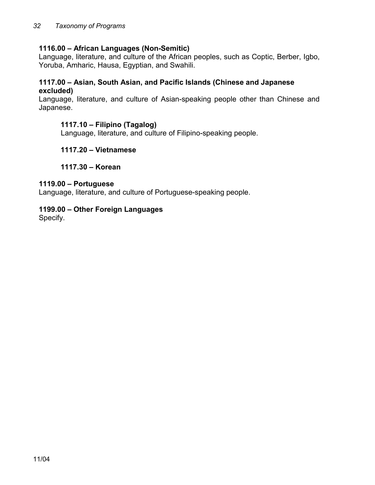## **1116.00 – African Languages (Non-Semitic)**

Language, literature, and culture of the African peoples, such as Coptic, Berber, Igbo, Yoruba, Amharic, Hausa, Egyptian, and Swahili.

## **1117.00 – Asian, South Asian, and Pacific Islands (Chinese and Japanese excluded)**

Language, literature, and culture of Asian-speaking people other than Chinese and Japanese.

## **1117.10 – Filipino (Tagalog)**

Language, literature, and culture of Filipino-speaking people.

#### **1117.20 – Vietnamese**

#### **1117.30 – Korean**

#### **1119.00 – Portuguese**

Language, literature, and culture of Portuguese-speaking people.

#### **1199.00 – Other Foreign Languages**

Specify.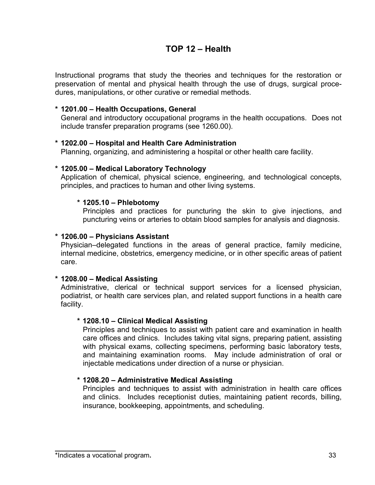# **TOP 12 – Health**

Instructional programs that study the theories and techniques for the restoration or preservation of mental and physical health through the use of drugs, surgical procedures, manipulations, or other curative or remedial methods.

#### **\* 1201.00 – Health Occupations, General**

General and introductory occupational programs in the health occupations. Does not include transfer preparation programs (see 1260.00).

## **\* 1202.00 – Hospital and Health Care Administration**

Planning, organizing, and administering a hospital or other health care facility.

## **\* 1205.00 – Medical Laboratory Technology**

Application of chemical, physical science, engineering, and technological concepts, principles, and practices to human and other living systems.

#### **\* 1205.10 – Phlebotomy**

Principles and practices for puncturing the skin to give injections, and puncturing veins or arteries to obtain blood samples for analysis and diagnosis.

## **\* 1206.00 – Physicians Assistant**

Physician–delegated functions in the areas of general practice, family medicine, internal medicine, obstetrics, emergency medicine, or in other specific areas of patient care.

#### **\* 1208.00 – Medical Assisting**

Administrative, clerical or technical support services for a licensed physician, podiatrist, or health care services plan, and related support functions in a health care facility.

#### **\* 1208.10 – Clinical Medical Assisting**

Principles and techniques to assist with patient care and examination in health care offices and clinics. Includes taking vital signs, preparing patient, assisting with physical exams, collecting specimens, performing basic laboratory tests, and maintaining examination rooms. May include administration of oral or injectable medications under direction of a nurse or physician.

# **\* 1208.20 – Administrative Medical Assisting**

Principles and techniques to assist with administration in health care offices and clinics. Includes receptionist duties, maintaining patient records, billing, insurance, bookkeeping, appointments, and scheduling.

<sup>\*</sup>Indicates a vocational program**.** 33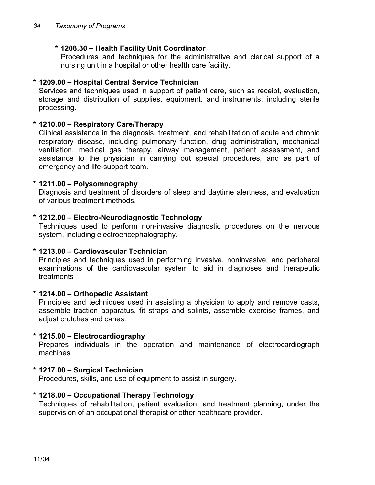## **\* 1208.30 – Health Facility Unit Coordinator**

Procedures and techniques for the administrative and clerical support of a nursing unit in a hospital or other health care facility.

## **\* 1209.00 – Hospital Central Service Technician**

Services and techniques used in support of patient care, such as receipt, evaluation, storage and distribution of supplies, equipment, and instruments, including sterile processing.

# **\* 1210.00 – Respiratory Care/Therapy**

Clinical assistance in the diagnosis, treatment, and rehabilitation of acute and chronic respiratory disease, including pulmonary function, drug administration, mechanical ventilation, medical gas therapy, airway management, patient assessment, and assistance to the physician in carrying out special procedures, and as part of emergency and life-support team.

## **\* 1211.00 – Polysomnography**

Diagnosis and treatment of disorders of sleep and daytime alertness, and evaluation of various treatment methods.

## **\* 1212.00 – Electro-Neurodiagnostic Technology**

Techniques used to perform non-invasive diagnostic procedures on the nervous system, including electroencephalography.

#### **\* 1213.00 – Cardiovascular Technician**

Principles and techniques used in performing invasive, noninvasive, and peripheral examinations of the cardiovascular system to aid in diagnoses and therapeutic treatments

#### **\* 1214.00 – Orthopedic Assistant**

Principles and techniques used in assisting a physician to apply and remove casts, assemble traction apparatus, fit straps and splints, assemble exercise frames, and adjust crutches and canes.

#### **\* 1215.00 – Electrocardiography**

Prepares individuals in the operation and maintenance of electrocardiograph machines

# **\* 1217.00 – Surgical Technician**

Procedures, skills, and use of equipment to assist in surgery.

# **\* 1218.00 – Occupational Therapy Technology**

Techniques of rehabilitation, patient evaluation, and treatment planning, under the supervision of an occupational therapist or other healthcare provider.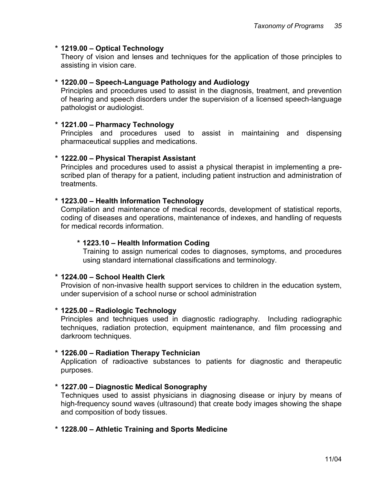## **\* 1219.00 – Optical Technology**

Theory of vision and lenses and techniques for the application of those principles to assisting in vision care.

## **\* 1220.00 – Speech-Language Pathology and Audiology**

Principles and procedures used to assist in the diagnosis, treatment, and prevention of hearing and speech disorders under the supervision of a licensed speech-language pathologist or audiologist.

## **\* 1221.00 – Pharmacy Technology**

Principles and procedures used to assist in maintaining and dispensing pharmaceutical supplies and medications.

## **\* 1222.00 – Physical Therapist Assistant**

Principles and procedures used to assist a physical therapist in implementing a prescribed plan of therapy for a patient, including patient instruction and administration of treatments.

## **\* 1223.00 – Health Information Technology**

Compilation and maintenance of medical records, development of statistical reports, coding of diseases and operations, maintenance of indexes, and handling of requests for medical records information.

#### **\* 1223.10 – Health Information Coding**

Training to assign numerical codes to diagnoses, symptoms, and procedures using standard international classifications and terminology.

#### **\* 1224.00 – School Health Clerk**

Provision of non-invasive health support services to children in the education system, under supervision of a school nurse or school administration

#### **\* 1225.00 – Radiologic Technology**

Principles and techniques used in diagnostic radiography. Including radiographic techniques, radiation protection, equipment maintenance, and film processing and darkroom techniques.

#### **\* 1226.00 – Radiation Therapy Technician**

Application of radioactive substances to patients for diagnostic and therapeutic purposes.

# **\* 1227.00 – Diagnostic Medical Sonography**

Techniques used to assist physicians in diagnosing disease or injury by means of high-frequency sound waves (ultrasound) that create body images showing the shape and composition of body tissues.

# **\* 1228.00 – Athletic Training and Sports Medicine**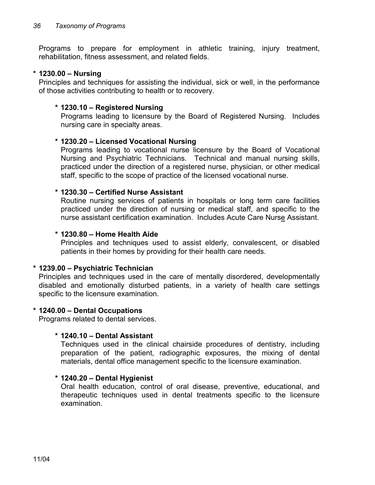Programs to prepare for employment in athletic training, injury treatment, rehabilitation, fitness assessment, and related fields.

#### **\* 1230.00 – Nursing**

Principles and techniques for assisting the individual, sick or well, in the performance of those activities contributing to health or to recovery.

#### **\* 1230.10 – Registered Nursing**

Programs leading to licensure by the Board of Registered Nursing. Includes nursing care in specialty areas.

#### **\* 1230.20 – Licensed Vocational Nursing**

Programs leading to vocational nurse licensure by the Board of Vocational Nursing and Psychiatric Technicians. Technical and manual nursing skills, practiced under the direction of a registered nurse, physician, or other medical staff, specific to the scope of practice of the licensed vocational nurse.

#### **\* 1230.30 – Certified Nurse Assistant**

Routine nursing services of patients in hospitals or long term care facilities practiced under the direction of nursing or medical staff, and specific to the nurse assistant certification examination. Includes Acute Care Nurse Assistant.

#### **\* 1230.80 – Home Health Aide**

Principles and techniques used to assist elderly, convalescent, or disabled patients in their homes by providing for their health care needs.

#### **\* 1239.00 – Psychiatric Technician**

Principles and techniques used in the care of mentally disordered, developmentally disabled and emotionally disturbed patients, in a variety of health care settings specific to the licensure examination.

#### **\* 1240.00 – Dental Occupations**

Programs related to dental services.

#### **\* 1240.10 – Dental Assistant**

Techniques used in the clinical chairside procedures of dentistry, including preparation of the patient, radiographic exposures, the mixing of dental materials, dental office management specific to the licensure examination.

#### **\* 1240.20 – Dental Hygienist**

Oral health education, control of oral disease, preventive, educational, and therapeutic techniques used in dental treatments specific to the licensure examination.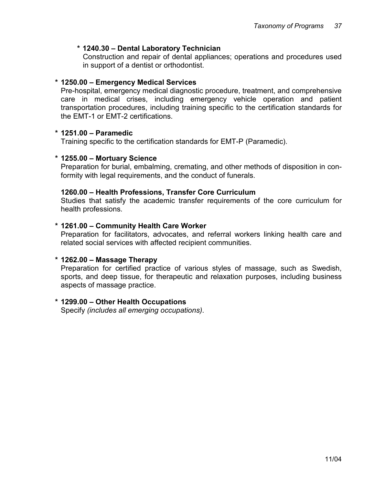## **\* 1240.30 – Dental Laboratory Technician**

Construction and repair of dental appliances; operations and procedures used in support of a dentist or orthodontist.

## **\* 1250.00 – Emergency Medical Services**

Pre-hospital, emergency medical diagnostic procedure, treatment, and comprehensive care in medical crises, including emergency vehicle operation and patient transportation procedures, including training specific to the certification standards for the EMT-1 or EMT-2 certifications.

## **\* 1251.00 – Paramedic**

Training specific to the certification standards for EMT-P (Paramedic).

## **\* 1255.00 – Mortuary Science**

Preparation for burial, embalming, cremating, and other methods of disposition in conformity with legal requirements, and the conduct of funerals.

#### **1260.00 – Health Professions, Transfer Core Curriculum**

Studies that satisfy the academic transfer requirements of the core curriculum for health professions.

## **\* 1261.00 – Community Health Care Worker**

Preparation for facilitators, advocates, and referral workers linking health care and related social services with affected recipient communities.

# **\* 1262.00 – Massage Therapy**

Preparation for certified practice of various styles of massage, such as Swedish, sports, and deep tissue, for therapeutic and relaxation purposes, including business aspects of massage practice.

#### **\* 1299.00 – Other Health Occupations**

Specify *(includes all emerging occupations)*.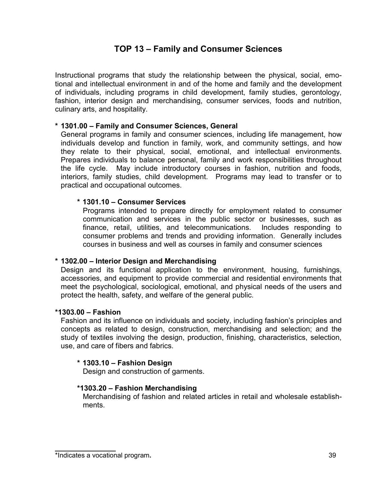# **TOP 13 – Family and Consumer Sciences**

Instructional programs that study the relationship between the physical, social, emotional and intellectual environment in and of the home and family and the development of individuals, including programs in child development, family studies, gerontology, fashion, interior design and merchandising, consumer services, foods and nutrition, culinary arts, and hospitality.

#### **\* 1301.00 – Family and Consumer Sciences, General**

General programs in family and consumer sciences, including life management, how individuals develop and function in family, work, and community settings, and how they relate to their physical, social, emotional, and intellectual environments. Prepares individuals to balance personal, family and work responsibilities throughout the life cycle. May include introductory courses in fashion, nutrition and foods, interiors, family studies, child development. Programs may lead to transfer or to practical and occupational outcomes.

#### **\* 1301.10 – Consumer Services**

Programs intended to prepare directly for employment related to consumer communication and services in the public sector or businesses, such as finance, retail, utilities, and telecommunications. Includes responding to consumer problems and trends and providing information. Generally includes courses in business and well as courses in family and consumer sciences

#### **\* 1302.00 – Interior Design and Merchandising**

Design and its functional application to the environment, housing, furnishings, accessories, and equipment to provide commercial and residential environments that meet the psychological, sociological, emotional, and physical needs of the users and protect the health, safety, and welfare of the general public.

#### **\*1303.00 – Fashion**

Fashion and its influence on individuals and society, including fashion's principles and concepts as related to design, construction, merchandising and selection; and the study of textiles involving the design, production, finishing, characteristics, selection, use, and care of fibers and fabrics.

#### **\* 1303.10 – Fashion Design**

Design and construction of garments.

#### **\*1303.20 – Fashion Merchandising**

Merchandising of fashion and related articles in retail and wholesale establishments.

<sup>\*</sup>Indicates a vocational program**.** 39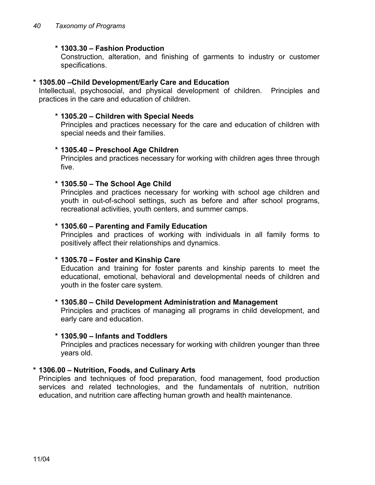#### **\* 1303.30 – Fashion Production**

Construction, alteration, and finishing of garments to industry or customer specifications.

#### **\* 1305.00 –Child Development/Early Care and Education**

Intellectual, psychosocial, and physical development of children. Principles and practices in the care and education of children.

## **\* 1305.20 – Children with Special Needs**

Principles and practices necessary for the care and education of children with special needs and their families.

## **\* 1305.40 – Preschool Age Children**

Principles and practices necessary for working with children ages three through five.

## **\* 1305.50 – The School Age Child**

Principles and practices necessary for working with school age children and youth in out-of-school settings, such as before and after school programs, recreational activities, youth centers, and summer camps.

## **\* 1305.60 – Parenting and Family Education**

Principles and practices of working with individuals in all family forms to positively affect their relationships and dynamics.

# **\* 1305.70 – Foster and Kinship Care**

Education and training for foster parents and kinship parents to meet the educational, emotional, behavioral and developmental needs of children and youth in the foster care system.

#### **\* 1305.80 – Child Development Administration and Management**

Principles and practices of managing all programs in child development, and early care and education.

# **\* 1305.90 – Infants and Toddlers**

Principles and practices necessary for working with children younger than three years old.

# **\* 1306.00 – Nutrition, Foods, and Culinary Arts**

Principles and techniques of food preparation, food management, food production services and related technologies, and the fundamentals of nutrition, nutrition education, and nutrition care affecting human growth and health maintenance.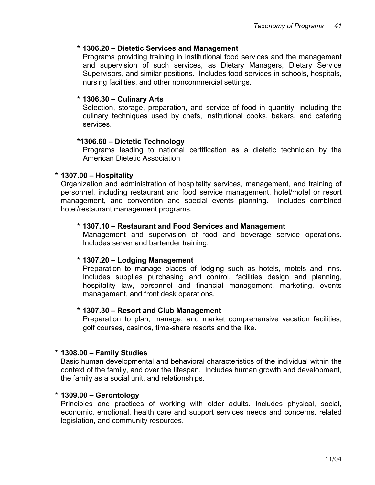## **\* 1306.20 – Dietetic Services and Management**

Programs providing training in institutional food services and the management and supervision of such services, as Dietary Managers, Dietary Service Supervisors, and similar positions. Includes food services in schools, hospitals, nursing facilities, and other noncommercial settings.

#### **\* 1306.30 – Culinary Arts**

Selection, storage, preparation, and service of food in quantity, including the culinary techniques used by chefs, institutional cooks, bakers, and catering services.

#### **\*1306.60 – Dietetic Technology**

Programs leading to national certification as a dietetic technician by the American Dietetic Association

#### **\* 1307.00 – Hospitality**

Organization and administration of hospitality services, management, and training of personnel, including restaurant and food service management, hotel/motel or resort management, and convention and special events planning. Includes combined hotel/restaurant management programs.

#### **\* 1307.10 – Restaurant and Food Services and Management**

Management and supervision of food and beverage service operations. Includes server and bartender training.

#### **\* 1307.20 – Lodging Management**

Preparation to manage places of lodging such as hotels, motels and inns. Includes supplies purchasing and control, facilities design and planning, hospitality law, personnel and financial management, marketing, events management, and front desk operations.

#### **\* 1307.30 – Resort and Club Management**

Preparation to plan, manage, and market comprehensive vacation facilities, golf courses, casinos, time-share resorts and the like.

#### **\* 1308.00 – Family Studies**

Basic human developmental and behavioral characteristics of the individual within the context of the family, and over the lifespan. Includes human growth and development, the family as a social unit, and relationships.

#### **\* 1309.00 – Gerontology**

Principles and practices of working with older adults. Includes physical, social, economic, emotional, health care and support services needs and concerns, related legislation, and community resources.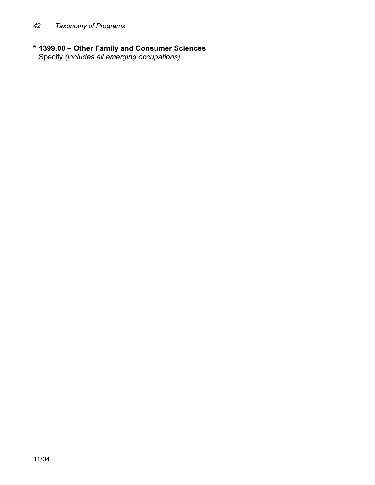#### **\* 1399.00 – Other Family and Consumer Sciences** Specify *(includes all emerging occupations)*.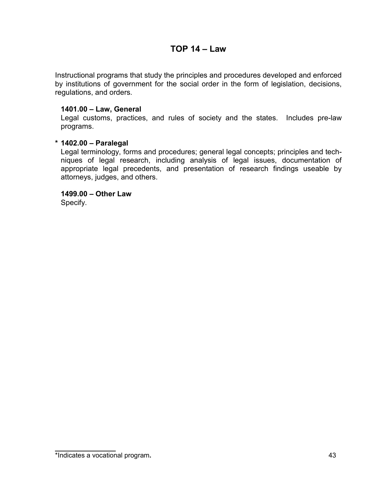# **TOP 14 – Law**

Instructional programs that study the principles and procedures developed and enforced by institutions of government for the social order in the form of legislation, decisions, regulations, and orders.

#### **1401.00 – Law, General**

Legal customs, practices, and rules of society and the states. Includes pre-law programs.

#### **\* 1402.00 – Paralegal**

Legal terminology, forms and procedures; general legal concepts; principles and techniques of legal research, including analysis of legal issues, documentation of appropriate legal precedents, and presentation of research findings useable by attorneys, judges, and others.

**1499.00 – Other Law** Specify.

<sup>\*</sup>Indicates a vocational program**.** 43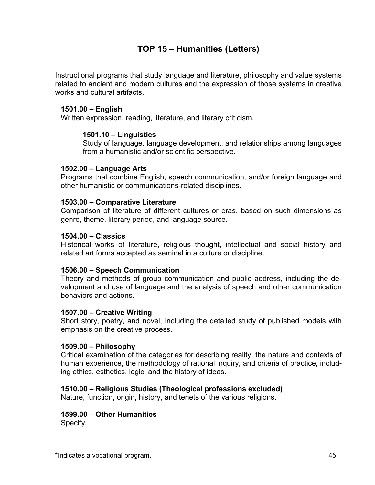# **TOP 15 – Humanities (Letters)**

Instructional programs that study language and literature, philosophy and value systems related to ancient and modern cultures and the expression of those systems in creative works and cultural artifacts.

#### **1501.00 – English**

Written expression, reading, literature, and literary criticism.

#### **1501.10 – Linguistics**

Study of language, language development, and relationships among languages from a humanistic and/or scientific perspective.

#### **1502.00 – Language Arts**

Programs that combine English, speech communication, and/or foreign language and other humanistic or communications-related disciplines.

#### **1503.00 – Comparative Literature**

Comparison of literature of different cultures or eras, based on such dimensions as genre, theme, literary period, and language source.

#### **1504.00 – Classics**

Historical works of literature, religious thought, intellectual and social history and related art forms accepted as seminal in a culture or discipline.

#### **1506.00 – Speech Communication**

Theory and methods of group communication and public address, including the development and use of language and the analysis of speech and other communication behaviors and actions.

#### **1507.00 – Creative Writing**

Short story, poetry, and novel, including the detailed study of published models with emphasis on the creative process.

#### **1509.00 – Philosophy**

Critical examination of the categories for describing reality, the nature and contexts of human experience, the methodology of rational inquiry, and criteria of practice, including ethics, esthetics, logic, and the history of ideas.

#### **1510.00 – Religious Studies (Theological professions excluded)**

Nature, function, origin, history, and tenets of the various religions.

# **1599.00 – Other Humanities**

Specify.

<sup>\*</sup>Indicates a vocational program**.** 45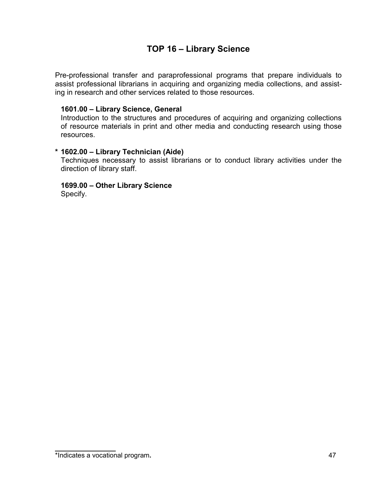# **TOP 16 – Library Science**

Pre-professional transfer and paraprofessional programs that prepare individuals to assist professional librarians in acquiring and organizing media collections, and assisting in research and other services related to those resources.

#### **1601.00 – Library Science, General**

Introduction to the structures and procedures of acquiring and organizing collections of resource materials in print and other media and conducting research using those resources.

# **\* 1602.00 – Library Technician (Aide)**

Techniques necessary to assist librarians or to conduct library activities under the direction of library staff.

# **1699.00 – Other Library Science**

Specify.

<sup>\*</sup>Indicates a vocational program**.** 47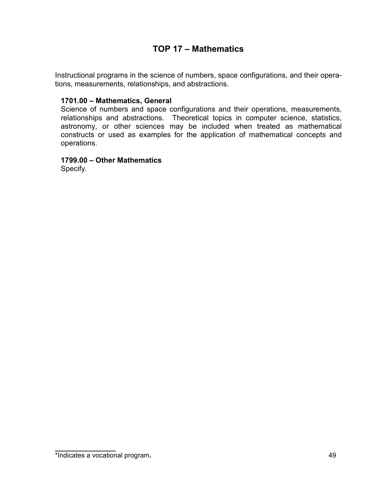# **TOP 17 – Mathematics**

Instructional programs in the science of numbers, space configurations, and their operations, measurements, relationships, and abstractions.

#### **1701.00 – Mathematics, General**

Science of numbers and space configurations and their operations, measurements, relationships and abstractions. Theoretical topics in computer science, statistics, astronomy, or other sciences may be included when treated as mathematical constructs or used as examples for the application of mathematical concepts and operations.

#### **1799.00 – Other Mathematics**

Specify.

<sup>\*</sup>Indicates a vocational program**.** 49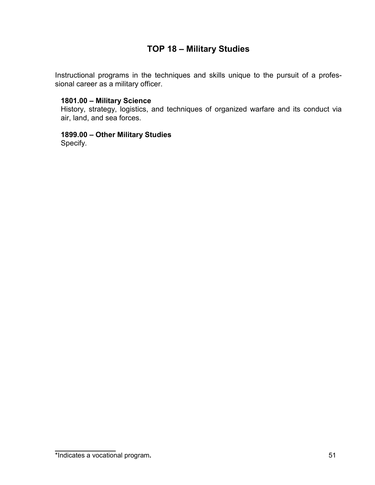# **TOP 18 – Military Studies**

Instructional programs in the techniques and skills unique to the pursuit of a professional career as a military officer.

#### **1801.00 – Military Science**

History, strategy, logistics, and techniques of organized warfare and its conduct via air, land, and sea forces.

#### **1899.00 – Other Military Studies**

Specify.

<sup>\*</sup>Indicates a vocational program**.** 51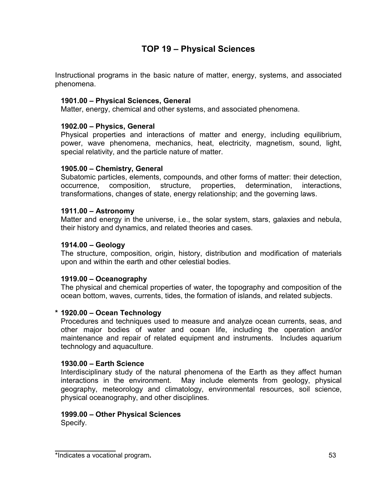# **TOP 19 – Physical Sciences**

Instructional programs in the basic nature of matter, energy, systems, and associated phenomena.

#### **1901.00 – Physical Sciences, General**

Matter, energy, chemical and other systems, and associated phenomena.

#### **1902.00 – Physics, General**

Physical properties and interactions of matter and energy, including equilibrium, power, wave phenomena, mechanics, heat, electricity, magnetism, sound, light, special relativity, and the particle nature of matter.

#### **1905.00 – Chemistry, General**

Subatomic particles, elements, compounds, and other forms of matter: their detection, occurrence, composition, structure, properties, determination, interactions, transformations, changes of state, energy relationship; and the governing laws.

#### **1911.00 – Astronomy**

Matter and energy in the universe, i.e., the solar system, stars, galaxies and nebula, their history and dynamics, and related theories and cases.

#### **1914.00 – Geology**

The structure, composition, origin, history, distribution and modification of materials upon and within the earth and other celestial bodies.

#### **1919.00 – Oceanography**

The physical and chemical properties of water, the topography and composition of the ocean bottom, waves, currents, tides, the formation of islands, and related subjects.

#### **\* 1920.00 – Ocean Technology**

Procedures and techniques used to measure and analyze ocean currents, seas, and other major bodies of water and ocean life, including the operation and/or maintenance and repair of related equipment and instruments. Includes aquarium technology and aquaculture.

#### **1930.00 – Earth Science**

Interdisciplinary study of the natural phenomena of the Earth as they affect human interactions in the environment. May include elements from geology, physical geography, meteorology and climatology, environmental resources, soil science, physical oceanography, and other disciplines.

#### **1999.00 – Other Physical Sciences**

Specify.

<sup>\*</sup>Indicates a vocational program**.** 53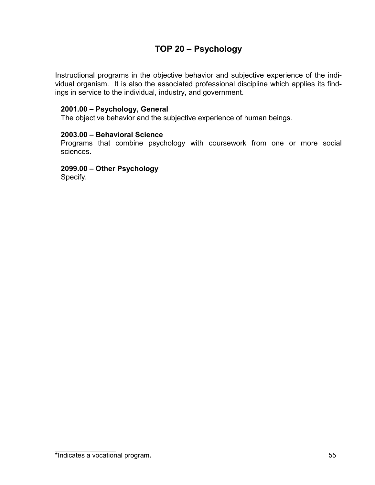# **TOP 20 – Psychology**

Instructional programs in the objective behavior and subjective experience of the individual organism. It is also the associated professional discipline which applies its findings in service to the individual, industry, and government.

#### **2001.00 – Psychology, General**

The objective behavior and the subjective experience of human beings.

#### **2003.00 – Behavioral Science**

Programs that combine psychology with coursework from one or more social sciences.

#### **2099.00 – Other Psychology**

Specify.

<sup>\*</sup>Indicates a vocational program**.** 55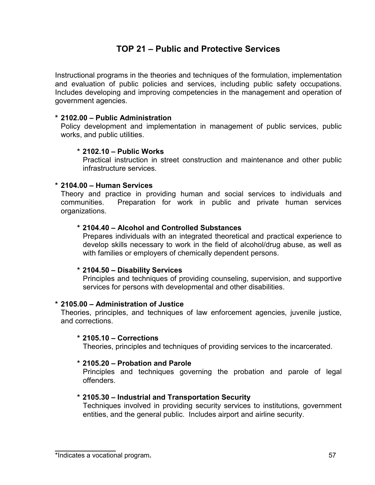# **TOP 21 – Public and Protective Services**

Instructional programs in the theories and techniques of the formulation, implementation and evaluation of public policies and services, including public safety occupations. Includes developing and improving competencies in the management and operation of government agencies.

#### **\* 2102.00 – Public Administration**

Policy development and implementation in management of public services, public works, and public utilities.

#### **\* 2102.10 – Public Works**

Practical instruction in street construction and maintenance and other public infrastructure services.

#### **\* 2104.00 – Human Services**

Theory and practice in providing human and social services to individuals and Preparation for work in public and private human services organizations.

#### **\* 2104.40 – Alcohol and Controlled Substances**

Prepares individuals with an integrated theoretical and practical experience to develop skills necessary to work in the field of alcohol/drug abuse, as well as with families or employers of chemically dependent persons.

#### **\* 2104.50 – Disability Services**

Principles and techniques of providing counseling, supervision, and supportive services for persons with developmental and other disabilities.

#### **\* 2105.00 – Administration of Justice**

Theories, principles, and techniques of law enforcement agencies, juvenile justice, and corrections.

#### **\* 2105.10 – Corrections**

Theories, principles and techniques of providing services to the incarcerated.

#### **\* 2105.20 – Probation and Parole**

Principles and techniques governing the probation and parole of legal offenders.

#### **\* 2105.30 – Industrial and Transportation Security**

Techniques involved in providing security services to institutions, government entities, and the general public. Includes airport and airline security.

<sup>\*</sup>Indicates a vocational program**.** 57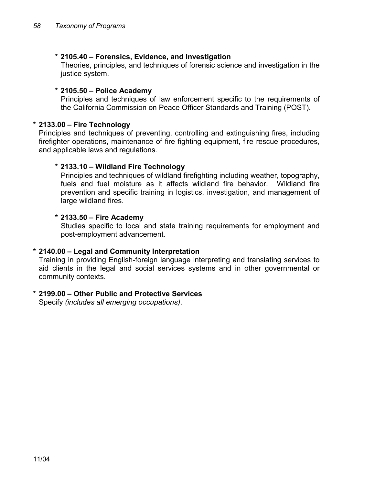# **\* 2105.40 – Forensics, Evidence, and Investigation**

Theories, principles, and techniques of forensic science and investigation in the justice system.

# **\* 2105.50 – Police Academy**

Principles and techniques of law enforcement specific to the requirements of the California Commission on Peace Officer Standards and Training (POST).

## **\* 2133.00 – Fire Technology**

Principles and techniques of preventing, controlling and extinguishing fires, including firefighter operations, maintenance of fire fighting equipment, fire rescue procedures, and applicable laws and regulations.

## **\* 2133.10 – Wildland Fire Technology**

Principles and techniques of wildland firefighting including weather, topography, fuels and fuel moisture as it affects wildland fire behavior. Wildland fire prevention and specific training in logistics, investigation, and management of large wildland fires.

## **\* 2133.50 – Fire Academy**

Studies specific to local and state training requirements for employment and post-employment advancement.

#### **\* 2140.00 – Legal and Community Interpretation**

Training in providing English-foreign language interpreting and translating services to aid clients in the legal and social services systems and in other governmental or community contexts.

# **\* 2199.00 – Other Public and Protective Services**

Specify *(includes all emerging occupations)*.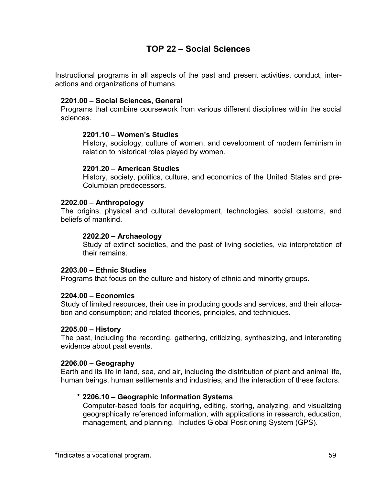# **TOP 22 – Social Sciences**

Instructional programs in all aspects of the past and present activities, conduct, interactions and organizations of humans.

### **2201.00 – Social Sciences, General**

Programs that combine coursework from various different disciplines within the social sciences.

### **2201.10 – Women's Studies**

History, sociology, culture of women, and development of modern feminism in relation to historical roles played by women.

### **2201.20 – American Studies**

History, society, politics, culture, and economics of the United States and pre-Columbian predecessors.

#### **2202.00 – Anthropology**

The origins, physical and cultural development, technologies, social customs, and beliefs of mankind.

### **2202.20 – Archaeology**

Study of extinct societies, and the past of living societies, via interpretation of their remains.

#### **2203.00 – Ethnic Studies**

Programs that focus on the culture and history of ethnic and minority groups.

#### **2204.00 – Economics**

Study of limited resources, their use in producing goods and services, and their allocation and consumption; and related theories, principles, and techniques.

#### **2205.00 – History**

The past, including the recording, gathering, criticizing, synthesizing, and interpreting evidence about past events.

#### **2206.00 – Geography**

Earth and its life in land, sea, and air, including the distribution of plant and animal life, human beings, human settlements and industries, and the interaction of these factors.

## **\* 2206.10 – Geographic Information Systems**

Computer-based tools for acquiring, editing, storing, analyzing, and visualizing geographically referenced information, with applications in research, education, management, and planning. Includes Global Positioning System (GPS).

<sup>\*</sup>Indicates a vocational program**.** 59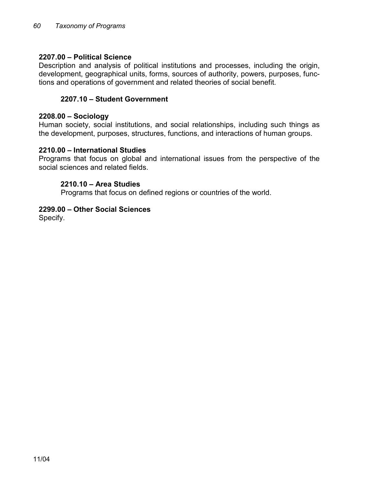# **2207.00 – Political Science**

Description and analysis of political institutions and processes, including the origin, development, geographical units, forms, sources of authority, powers, purposes, functions and operations of government and related theories of social benefit.

### **2207.10 – Student Government**

### **2208.00 – Sociology**

Human society, social institutions, and social relationships, including such things as the development, purposes, structures, functions, and interactions of human groups.

## **2210.00 – International Studies**

Programs that focus on global and international issues from the perspective of the social sciences and related fields.

## **2210.10 – Area Studies**

Programs that focus on defined regions or countries of the world.

## **2299.00 – Other Social Sciences**

Specify.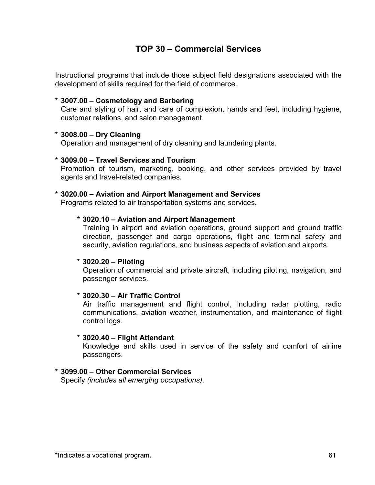# **TOP 30 – Commercial Services**

Instructional programs that include those subject field designations associated with the development of skills required for the field of commerce.

## **\* 3007.00 – Cosmetology and Barbering**

Care and styling of hair, and care of complexion, hands and feet, including hygiene, customer relations, and salon management.

### **\* 3008.00 – Dry Cleaning**

Operation and management of dry cleaning and laundering plants.

#### **\* 3009.00 – Travel Services and Tourism**

Promotion of tourism, marketing, booking, and other services provided by travel agents and travel-related companies.

#### **\* 3020.00 – Aviation and Airport Management and Services**

Programs related to air transportation systems and services.

#### **\* 3020.10 – Aviation and Airport Management**

Training in airport and aviation operations, ground support and ground traffic direction, passenger and cargo operations, flight and terminal safety and security, aviation regulations, and business aspects of aviation and airports.

#### **\* 3020.20 – Piloting**

Operation of commercial and private aircraft, including piloting, navigation, and passenger services.

#### **\* 3020.30 – Air Traffic Control**

Air traffic management and flight control, including radar plotting, radio communications, aviation weather, instrumentation, and maintenance of flight control logs.

### **\* 3020.40 – Flight Attendant**

Knowledge and skills used in service of the safety and comfort of airline passengers.

#### **\* 3099.00 – Other Commercial Services**

Specify *(includes all emerging occupations)*.

<sup>\*</sup>Indicates a vocational program**.** 61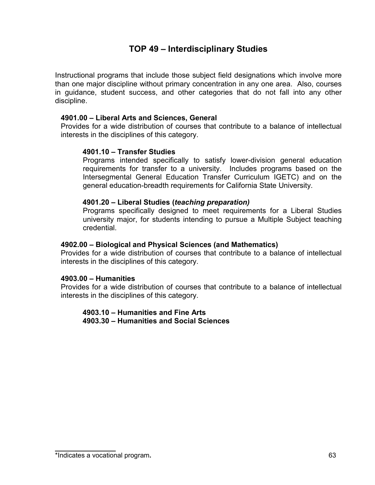# **TOP 49 – Interdisciplinary Studies**

Instructional programs that include those subject field designations which involve more than one major discipline without primary concentration in any one area. Also, courses in guidance, student success, and other categories that do not fall into any other discipline.

### **4901.00 – Liberal Arts and Sciences, General**

Provides for a wide distribution of courses that contribute to a balance of intellectual interests in the disciplines of this category.

### **4901.10 – Transfer Studies**

Programs intended specifically to satisfy lower-division general education requirements for transfer to a university. Includes programs based on the Intersegmental General Education Transfer Curriculum IGETC) and on the general education-breadth requirements for California State University.

### **4901.20 – Liberal Studies (***teaching preparation)*

Programs specifically designed to meet requirements for a Liberal Studies university major, for students intending to pursue a Multiple Subject teaching credential.

#### **4902.00 – Biological and Physical Sciences (and Mathematics)**

Provides for a wide distribution of courses that contribute to a balance of intellectual interests in the disciplines of this category.

#### **4903.00 – Humanities**

Provides for a wide distribution of courses that contribute to a balance of intellectual interests in the disciplines of this category.

**4903.10 – Humanities and Fine Arts 4903.30 – Humanities and Social Sciences**

<sup>\*</sup>Indicates a vocational program**.** 63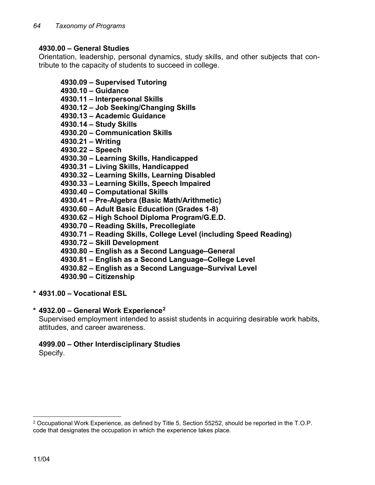## **4930.00 – General Studies**

Orientation, leadership, personal dynamics, study skills, and other subjects that contribute to the capacity of students to succeed in college.

- **4930.09 – Supervised Tutoring**
- **4930.10 – Guidance**
- **4930.11 – Interpersonal Skills**
- **4930.12 – Job Seeking/Changing Skills**
- **4930.13 – Academic Guidance**
- **4930.14 – Study Skills**
- **4930.20 – Communication Skills**
- **4930.21 – Writing**
- **4930.22 – Speech**
- **4930.30 – Learning Skills, Handicapped**
- **4930.31 – Living Skills, Handicapped**
- **4930.32 – Learning Skills, Learning Disabled**
- **4930.33 – Learning Skills, Speech Impaired**
- **4930.40 – Computational Skills**
- **4930.41 – Pre-Algebra (Basic Math/Arithmetic)**
- **4930.60 – Adult Basic Education (Grades 1-8)**
- **4930.62 – High School Diploma Program/G.E.D.**
- **4930.70 – Reading Skills, Precollegiate**
- **4930.71 – Reading Skills, College Level (including Speed Reading)**
- **4930.72 – Skill Development**
- **4930.80 – English as a Second Language–General**
- **4930.81 – English as a Second Language–College Level**
- **4930.82 – English as a Second Language–Survival Level**
- **4930.90 – Citizenship**
- **\* 4931.00 – Vocational ESL**

## **\* 4932.00 – General Work Experience[2](#page-77-0)**

Supervised employment intended to assist students in acquiring desirable work habits, attitudes, and career awareness.

# **4999.00 – Other Interdisciplinary Studies**

Specify.

<span id="page-77-0"></span> <sup>2</sup> Occupational Work Experience, as defined by Title 5, Section 55252, should be reported in the T.O.P. code that designates the occupation in which the experience takes place.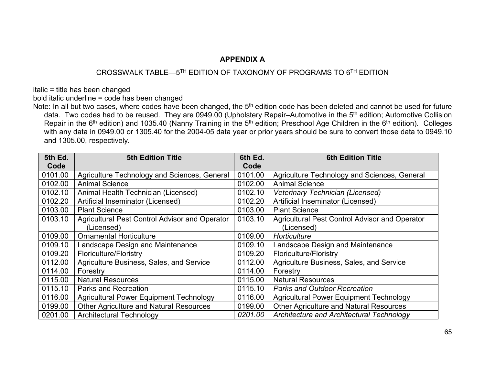## **APPENDIX A**

# CROSSWALK TABLE—5TH EDITION OF TAXONOMY OF PROGRAMS TO 6TH EDITION

italic = title has been changed

bold italic underline = code has been changed

Note: In all but two cases, where codes have been changed, the 5<sup>th</sup> edition code has been deleted and cannot be used for future data. Two codes had to be reused. They are 0949.00 (Upholstery Repair–Automotive in the 5<sup>th</sup> edition; Automotive Collision Repair in the 6<sup>th</sup> edition) and 1035.40 (Nanny Training in the 5<sup>th</sup> edition; Preschool Age Children in the 6<sup>th</sup> edition). Colleges with any data in 0949.00 or 1305.40 for the 2004-05 data year or prior years should be sure to convert those data to 0949.10 and 1305.00, respectively.

| 5th Ed. | <b>5th Edition Title</b>                       | 6th Ed. | <b>6th Edition Title</b>                              |
|---------|------------------------------------------------|---------|-------------------------------------------------------|
| Code    |                                                | Code    |                                                       |
| 0101.00 | Agriculture Technology and Sciences, General   | 0101.00 | Agriculture Technology and Sciences, General          |
| 0102.00 | <b>Animal Science</b>                          | 0102.00 | <b>Animal Science</b>                                 |
| 0102.10 | Animal Health Technician (Licensed)            | 0102.10 | <b>Veterinary Technician (Licensed)</b>               |
| 0102.20 | Artificial Inseminator (Licensed)              | 0102.20 | Artificial Inseminator (Licensed)                     |
| 0103.00 | <b>Plant Science</b>                           | 0103.00 | <b>Plant Science</b>                                  |
| 0103.10 | Agricultural Pest Control Advisor and Operator | 0103.10 | <b>Agricultural Pest Control Advisor and Operator</b> |
|         | (Licensed)                                     |         | (Licensed)                                            |
| 0109.00 | <b>Ornamental Horticulture</b>                 | 0109.00 | Horticulture                                          |
| 0109.10 | Landscape Design and Maintenance               | 0109.10 | <b>Landscape Design and Maintenance</b>               |
| 0109.20 | Floriculture/Floristry                         | 0109.20 | <b>Floriculture/Floristry</b>                         |
| 0112.00 | Agriculture Business, Sales, and Service       | 0112.00 | Agriculture Business, Sales, and Service              |
| 0114.00 | Forestry                                       | 0114.00 | Forestry                                              |
| 0115.00 | <b>Natural Resources</b>                       | 0115.00 | <b>Natural Resources</b>                              |
| 0115.10 | <b>Parks and Recreation</b>                    | 0115.10 | <b>Parks and Outdoor Recreation</b>                   |
| 0116.00 | <b>Agricultural Power Equipment Technology</b> | 0116.00 | <b>Agricultural Power Equipment Technology</b>        |
| 0199.00 | <b>Other Agriculture and Natural Resources</b> | 0199.00 | <b>Other Agriculture and Natural Resources</b>        |
| 0201.00 | Architectural Technology                       | 0201.00 | Architecture and Architectural Technology             |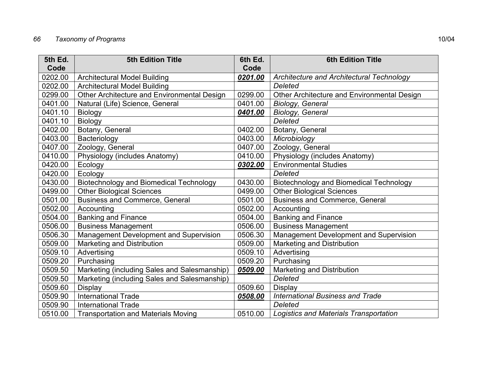| 5th Ed. | <b>5th Edition Title</b>                       | 6th Ed. | <b>6th Edition Title</b>                       |
|---------|------------------------------------------------|---------|------------------------------------------------|
| Code    |                                                | Code    |                                                |
| 0202.00 | <b>Architectural Model Building</b>            | 0201.00 | Architecture and Architectural Technology      |
| 0202.00 | <b>Architectural Model Building</b>            |         | <b>Deleted</b>                                 |
| 0299.00 | Other Architecture and Environmental Design    | 0299.00 | Other Architecture and Environmental Design    |
| 0401.00 | Natural (Life) Science, General                | 0401.00 | Biology, General                               |
| 0401.10 | <b>Biology</b>                                 | 0401.00 | Biology, General                               |
| 0401.10 | Biology                                        |         | <b>Deleted</b>                                 |
| 0402.00 | Botany, General                                | 0402.00 | Botany, General                                |
| 0403.00 | Bacteriology                                   | 0403.00 | Microbiology                                   |
| 0407.00 | Zoology, General                               | 0407.00 | Zoology, General                               |
| 0410.00 | Physiology (includes Anatomy)                  | 0410.00 | Physiology (includes Anatomy)                  |
| 0420.00 | Ecology                                        | 0302.00 | <b>Environmental Studies</b>                   |
| 0420.00 | Ecology                                        |         | <b>Deleted</b>                                 |
| 0430.00 | <b>Biotechnology and Biomedical Technology</b> | 0430.00 | <b>Biotechnology and Biomedical Technology</b> |
| 0499.00 | <b>Other Biological Sciences</b>               | 0499.00 | <b>Other Biological Sciences</b>               |
| 0501.00 | <b>Business and Commerce, General</b>          | 0501.00 | <b>Business and Commerce, General</b>          |
| 0502.00 | Accounting                                     | 0502.00 | Accounting                                     |
| 0504.00 | <b>Banking and Finance</b>                     | 0504.00 | <b>Banking and Finance</b>                     |
| 0506.00 | <b>Business Management</b>                     | 0506.00 | <b>Business Management</b>                     |
| 0506.30 | Management Development and Supervision         | 0506.30 | Management Development and Supervision         |
| 0509.00 | <b>Marketing and Distribution</b>              | 0509.00 | Marketing and Distribution                     |
| 0509.10 | Advertising                                    | 0509.10 | Advertising                                    |
| 0509.20 | Purchasing                                     | 0509.20 | Purchasing                                     |
| 0509.50 | Marketing (including Sales and Salesmanship)   | 0509.00 | <b>Marketing and Distribution</b>              |
| 0509.50 | Marketing (including Sales and Salesmanship)   |         | <b>Deleted</b>                                 |
| 0509.60 | Display                                        | 0509.60 | <b>Display</b>                                 |
| 0509.90 | <b>International Trade</b>                     | 0508.00 | <b>International Business and Trade</b>        |
| 0509.90 | <b>International Trade</b>                     |         | <b>Deleted</b>                                 |
| 0510.00 | <b>Transportation and Materials Moving</b>     | 0510.00 | Logistics and Materials Transportation         |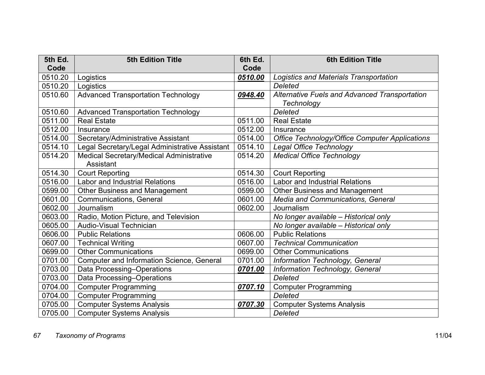| 5th Ed. | <b>5th Edition Title</b>                              | 6th Ed. | <b>6th Edition Title</b>                                           |
|---------|-------------------------------------------------------|---------|--------------------------------------------------------------------|
| Code    |                                                       | Code    |                                                                    |
| 0510.20 | Logistics                                             | 0510.00 | Logistics and Materials Transportation                             |
| 0510.20 | Logistics                                             |         | <b>Deleted</b>                                                     |
| 0510.60 | <b>Advanced Transportation Technology</b>             | 0948.40 | Alternative Fuels and Advanced Transportation<br><b>Technology</b> |
| 0510.60 | <b>Advanced Transportation Technology</b>             |         | <b>Deleted</b>                                                     |
| 0511.00 | <b>Real Estate</b>                                    | 0511.00 | <b>Real Estate</b>                                                 |
| 0512.00 | Insurance                                             | 0512.00 | Insurance                                                          |
| 0514.00 | Secretary/Administrative Assistant                    | 0514.00 | Office Technology/Office Computer Applications                     |
| 0514.10 | Legal Secretary/Legal Administrative Assistant        | 0514.10 | Legal Office Technology                                            |
| 0514.20 | Medical Secretary/Medical Administrative<br>Assistant | 0514.20 | <b>Medical Office Technology</b>                                   |
| 0514.30 | <b>Court Reporting</b>                                | 0514.30 | <b>Court Reporting</b>                                             |
| 0516.00 | <b>Labor and Industrial Relations</b>                 | 0516.00 | <b>Labor and Industrial Relations</b>                              |
| 0599.00 | <b>Other Business and Management</b>                  | 0599.00 | <b>Other Business and Management</b>                               |
| 0601.00 | <b>Communications, General</b>                        | 0601.00 | Media and Communications, General                                  |
| 0602.00 | Journalism                                            | 0602.00 | Journalism                                                         |
| 0603.00 | Radio, Motion Picture, and Television                 |         | No longer available - Historical only                              |
| 0605.00 | <b>Audio-Visual Technician</b>                        |         | No longer available - Historical only                              |
| 0606.00 | <b>Public Relations</b>                               | 0606.00 | <b>Public Relations</b>                                            |
| 0607.00 | <b>Technical Writing</b>                              | 0607.00 | <b>Technical Communication</b>                                     |
| 0699.00 | <b>Other Communications</b>                           | 0699.00 | <b>Other Communications</b>                                        |
| 0701.00 | <b>Computer and Information Science, General</b>      | 0701.00 | Information Technology, General                                    |
| 0703.00 | Data Processing-Operations                            | 0701.00 | Information Technology, General                                    |
| 0703.00 | Data Processing-Operations                            |         | <b>Deleted</b>                                                     |
| 0704.00 | <b>Computer Programming</b>                           | 0707.10 | <b>Computer Programming</b>                                        |
| 0704.00 | <b>Computer Programming</b>                           |         | <b>Deleted</b>                                                     |
| 0705.00 | <b>Computer Systems Analysis</b>                      | 0707.30 | <b>Computer Systems Analysis</b>                                   |
| 0705.00 | <b>Computer Systems Analysis</b>                      |         | <b>Deleted</b>                                                     |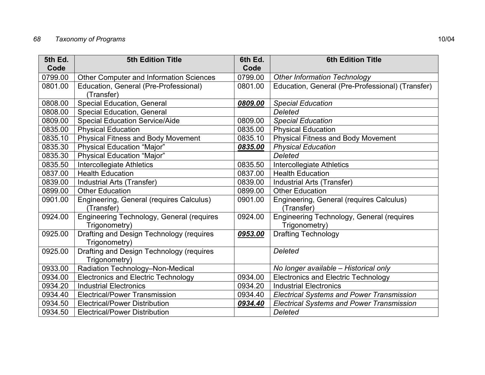| 5th Ed. | <b>5th Edition Title</b>                         | 6th Ed. | <b>6th Edition Title</b>                         |
|---------|--------------------------------------------------|---------|--------------------------------------------------|
| Code    |                                                  | Code    |                                                  |
| 0799.00 | <b>Other Computer and Information Sciences</b>   | 0799.00 | <b>Other Information Technology</b>              |
| 0801.00 | Education, General (Pre-Professional)            | 0801.00 | Education, General (Pre-Professional) (Transfer) |
|         | (Transfer)                                       |         |                                                  |
| 0808.00 | <b>Special Education, General</b>                | 0809.00 | <b>Special Education</b>                         |
| 0808.00 | <b>Special Education, General</b>                |         | <b>Deleted</b>                                   |
| 0809.00 | <b>Special Education Service/Aide</b>            | 0809.00 | <b>Special Education</b>                         |
| 0835.00 | <b>Physical Education</b>                        | 0835.00 | <b>Physical Education</b>                        |
| 0835.10 | <b>Physical Fitness and Body Movement</b>        | 0835.10 | <b>Physical Fitness and Body Movement</b>        |
| 0835.30 | <b>Physical Education "Major"</b>                | 0835.00 | <b>Physical Education</b>                        |
| 0835.30 | <b>Physical Education "Major"</b>                |         | <b>Deleted</b>                                   |
| 0835.50 | <b>Intercollegiate Athletics</b>                 | 0835.50 | Intercollegiate Athletics                        |
| 0837.00 | <b>Health Education</b>                          | 0837.00 | <b>Health Education</b>                          |
| 0839.00 | Industrial Arts (Transfer)                       | 0839.00 | Industrial Arts (Transfer)                       |
| 0899.00 | <b>Other Education</b>                           | 0899.00 | <b>Other Education</b>                           |
| 0901.00 | Engineering, General (requires Calculus)         | 0901.00 | Engineering, General (requires Calculus)         |
|         | (Transfer)                                       |         | (Transfer)                                       |
| 0924.00 | <b>Engineering Technology, General (requires</b> | 0924.00 | <b>Engineering Technology, General (requires</b> |
|         | Trigonometry)                                    |         | Trigonometry)                                    |
| 0925.00 | Drafting and Design Technology (requires         | 0953.00 | <b>Drafting Technology</b>                       |
|         | Trigonometry)                                    |         |                                                  |
| 0925.00 | Drafting and Design Technology (requires         |         | <b>Deleted</b>                                   |
|         | Trigonometry)                                    |         |                                                  |
| 0933.00 | Radiation Technology-Non-Medical                 |         | No longer available - Historical only            |
| 0934.00 | <b>Electronics and Electric Technology</b>       | 0934.00 | <b>Electronics and Electric Technology</b>       |
| 0934.20 | <b>Industrial Electronics</b>                    | 0934.20 | <b>Industrial Electronics</b>                    |
| 0934.40 | <b>Electrical/Power Transmission</b>             | 0934.40 | <b>Electrical Systems and Power Transmission</b> |
| 0934.50 | <b>Electrical/Power Distribution</b>             | 0934.40 | <b>Electrical Systems and Power Transmission</b> |
| 0934.50 | <b>Electrical/Power Distribution</b>             |         | <b>Deleted</b>                                   |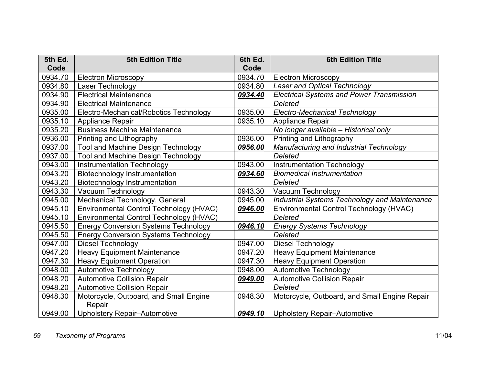| 5th Ed. | <b>5th Edition Title</b>                    | 6th Ed. | <b>6th Edition Title</b>                         |
|---------|---------------------------------------------|---------|--------------------------------------------------|
| Code    |                                             | Code    |                                                  |
| 0934.70 | <b>Electron Microscopy</b>                  | 0934.70 | <b>Electron Microscopy</b>                       |
| 0934.80 | Laser Technology                            | 0934.80 | <b>Laser and Optical Technology</b>              |
| 0934.90 | <b>Electrical Maintenance</b>               | 0934.40 | <b>Electrical Systems and Power Transmission</b> |
| 0934.90 | <b>Electrical Maintenance</b>               |         | <b>Deleted</b>                                   |
| 0935.00 | Electro-Mechanical/Robotics Technology      | 0935.00 | <b>Electro-Mechanical Technology</b>             |
| 0935.10 | Appliance Repair                            | 0935.10 | Appliance Repair                                 |
| 0935.20 | <b>Business Machine Maintenance</b>         |         | No longer available - Historical only            |
| 0936.00 | Printing and Lithography                    | 0936.00 | Printing and Lithography                         |
| 0937.00 | Tool and Machine Design Technology          | 0956.00 | Manufacturing and Industrial Technology          |
| 0937.00 | Tool and Machine Design Technology          |         | <b>Deleted</b>                                   |
| 0943.00 | <b>Instrumentation Technology</b>           | 0943.00 | <b>Instrumentation Technology</b>                |
| 0943.20 | Biotechnology Instrumentation               | 0934.60 | <b>Biomedical Instrumentation</b>                |
| 0943.20 | Biotechnology Instrumentation               |         | <b>Deleted</b>                                   |
| 0943.30 | Vacuum Technology                           | 0943.30 | Vacuum Technology                                |
| 0945.00 | Mechanical Technology, General              | 0945.00 | Industrial Systems Technology and Maintenance    |
| 0945.10 | Environmental Control Technology (HVAC)     | 0946.00 | Environmental Control Technology (HVAC)          |
| 0945.10 | Environmental Control Technology (HVAC)     |         | <b>Deleted</b>                                   |
| 0945.50 | <b>Energy Conversion Systems Technology</b> | 0946.10 | <b>Energy Systems Technology</b>                 |
| 0945.50 | <b>Energy Conversion Systems Technology</b> |         | <b>Deleted</b>                                   |
| 0947.00 | Diesel Technology                           | 0947.00 | Diesel Technology                                |
| 0947.20 | <b>Heavy Equipment Maintenance</b>          | 0947.20 | <b>Heavy Equipment Maintenance</b>               |
| 0947.30 | <b>Heavy Equipment Operation</b>            | 0947.30 | <b>Heavy Equipment Operation</b>                 |
| 0948.00 | <b>Automotive Technology</b>                | 0948.00 | <b>Automotive Technology</b>                     |
| 0948.20 | <b>Automotive Collision Repair</b>          | 0949.00 | <b>Automotive Collision Repair</b>               |
| 0948.20 | <b>Automotive Collision Repair</b>          |         | <b>Deleted</b>                                   |
| 0948.30 | Motorcycle, Outboard, and Small Engine      | 0948.30 | Motorcycle, Outboard, and Small Engine Repair    |
|         | Repair                                      |         |                                                  |
| 0949.00 | Upholstery Repair-Automotive                | 0949.10 | <b>Upholstery Repair-Automotive</b>              |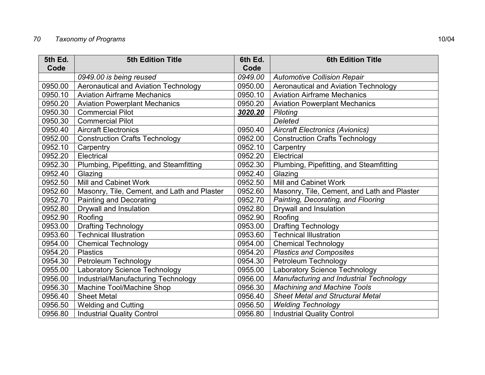| 5th Ed. | <b>5th Edition Title</b>                    | 6th Ed. | <b>6th Edition Title</b>                    |
|---------|---------------------------------------------|---------|---------------------------------------------|
| Code    |                                             | Code    |                                             |
|         | 0949.00 is being reused                     | 0949.00 | <b>Automotive Collision Repair</b>          |
| 0950.00 | <b>Aeronautical and Aviation Technology</b> | 0950.00 | <b>Aeronautical and Aviation Technology</b> |
| 0950.10 | <b>Aviation Airframe Mechanics</b>          | 0950.10 | <b>Aviation Airframe Mechanics</b>          |
| 0950.20 | <b>Aviation Powerplant Mechanics</b>        | 0950.20 | <b>Aviation Powerplant Mechanics</b>        |
| 0950.30 | <b>Commercial Pilot</b>                     | 3020.20 | Piloting                                    |
| 0950.30 | <b>Commercial Pilot</b>                     |         | <b>Deleted</b>                              |
| 0950.40 | <b>Aircraft Electronics</b>                 | 0950.40 | <b>Aircraft Electronics (Avionics)</b>      |
| 0952.00 | <b>Construction Crafts Technology</b>       | 0952.00 | <b>Construction Crafts Technology</b>       |
| 0952.10 | Carpentry                                   | 0952.10 | Carpentry                                   |
| 0952.20 | Electrical                                  | 0952.20 | Electrical                                  |
| 0952.30 | Plumbing, Pipefitting, and Steamfitting     | 0952.30 | Plumbing, Pipefitting, and Steamfitting     |
| 0952.40 | Glazing                                     | 0952.40 | Glazing                                     |
| 0952.50 | <b>Mill and Cabinet Work</b>                | 0952.50 | Mill and Cabinet Work                       |
| 0952.60 | Masonry, Tile, Cement, and Lath and Plaster | 0952.60 | Masonry, Tile, Cement, and Lath and Plaster |
| 0952.70 | <b>Painting and Decorating</b>              | 0952.70 | Painting, Decorating, and Flooring          |
| 0952.80 | Drywall and Insulation                      | 0952.80 | Drywall and Insulation                      |
| 0952.90 | Roofing                                     | 0952.90 | Roofing                                     |
| 0953.00 | <b>Drafting Technology</b>                  | 0953.00 | <b>Drafting Technology</b>                  |
| 0953.60 | <b>Technical Illustration</b>               | 0953.60 | <b>Technical Illustration</b>               |
| 0954.00 | <b>Chemical Technology</b>                  | 0954.00 | <b>Chemical Technology</b>                  |
| 0954.20 | <b>Plastics</b>                             | 0954.20 | <b>Plastics and Composites</b>              |
| 0954.30 | <b>Petroleum Technology</b>                 | 0954.30 | Petroleum Technology                        |
| 0955.00 | <b>Laboratory Science Technology</b>        | 0955.00 | <b>Laboratory Science Technology</b>        |
| 0956.00 | <b>Industrial/Manufacturing Technology</b>  | 0956.00 | Manufacturing and Industrial Technology     |
| 0956.30 | Machine Tool/Machine Shop                   | 0956.30 | <b>Machining and Machine Tools</b>          |
| 0956.40 | <b>Sheet Metal</b>                          | 0956.40 | <b>Sheet Metal and Structural Metal</b>     |
| 0956.50 | <b>Welding and Cutting</b>                  | 0956.50 | <b>Welding Technology</b>                   |
| 0956.80 | <b>Industrial Quality Control</b>           | 0956.80 | <b>Industrial Quality Control</b>           |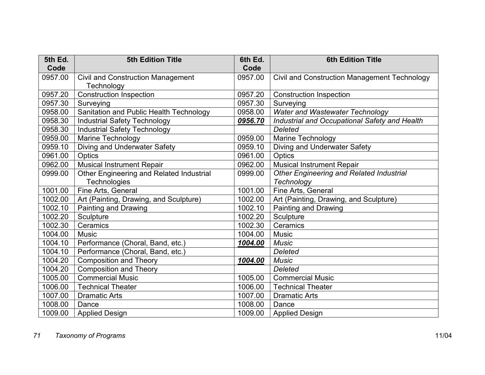| 5th Ed. | <b>5th Edition Title</b>                 | 6th Ed. | <b>6th Edition Title</b>                            |
|---------|------------------------------------------|---------|-----------------------------------------------------|
| Code    |                                          | Code    |                                                     |
| 0957.00 | <b>Civil and Construction Management</b> | 0957.00 | <b>Civil and Construction Management Technology</b> |
|         | Technology                               |         |                                                     |
| 0957.20 | <b>Construction Inspection</b>           | 0957.20 | <b>Construction Inspection</b>                      |
| 0957.30 | Surveying                                | 0957.30 | Surveying                                           |
| 0958.00 | Sanitation and Public Health Technology  | 0958.00 | <b>Water and Wastewater Technology</b>              |
| 0958.30 | <b>Industrial Safety Technology</b>      | 0956.70 | Industrial and Occupational Safety and Health       |
| 0958.30 | <b>Industrial Safety Technology</b>      |         | <b>Deleted</b>                                      |
| 0959.00 | <b>Marine Technology</b>                 | 0959.00 | <b>Marine Technology</b>                            |
| 0959.10 | Diving and Underwater Safety             | 0959.10 | Diving and Underwater Safety                        |
| 0961.00 | Optics                                   | 0961.00 | Optics                                              |
| 0962.00 | <b>Musical Instrument Repair</b>         | 0962.00 | <b>Musical Instrument Repair</b>                    |
| 0999.00 | Other Engineering and Related Industrial | 0999.00 | <b>Other Engineering and Related Industrial</b>     |
|         | Technologies                             |         | <b>Technology</b>                                   |
| 1001.00 | Fine Arts, General                       | 1001.00 | Fine Arts, General                                  |
| 1002.00 | Art (Painting, Drawing, and Sculpture)   | 1002.00 | Art (Painting, Drawing, and Sculpture)              |
| 1002.10 | Painting and Drawing                     | 1002.10 | Painting and Drawing                                |
| 1002.20 | <b>Sculpture</b>                         | 1002.20 | Sculpture                                           |
| 1002.30 | Ceramics                                 | 1002.30 | Ceramics                                            |
| 1004.00 | <b>Music</b>                             | 1004.00 | <b>Music</b>                                        |
| 1004.10 | Performance (Choral, Band, etc.)         | 1004.00 | <b>Music</b>                                        |
| 1004.10 | Performance (Choral, Band, etc.)         |         | <b>Deleted</b>                                      |
| 1004.20 | <b>Composition and Theory</b>            | 1004.00 | <b>Music</b>                                        |
| 1004.20 | <b>Composition and Theory</b>            |         | <b>Deleted</b>                                      |
| 1005.00 | <b>Commercial Music</b>                  | 1005.00 | <b>Commercial Music</b>                             |
| 1006.00 | <b>Technical Theater</b>                 | 1006.00 | <b>Technical Theater</b>                            |
| 1007.00 | <b>Dramatic Arts</b>                     | 1007.00 | <b>Dramatic Arts</b>                                |
| 1008.00 | Dance                                    | 1008.00 | Dance                                               |
| 1009.00 | <b>Applied Design</b>                    | 1009.00 | <b>Applied Design</b>                               |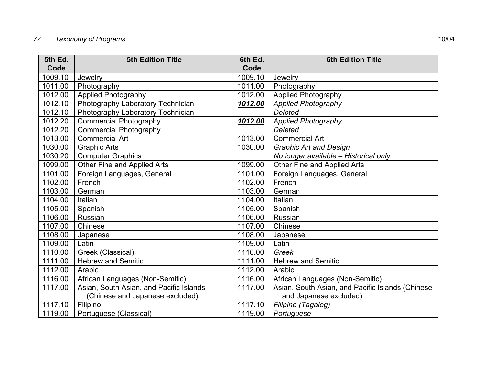| 5th Ed. | <b>5th Edition Title</b>                | 6th Ed. | <b>6th Edition Title</b>                         |
|---------|-----------------------------------------|---------|--------------------------------------------------|
| Code    |                                         | Code    |                                                  |
| 1009.10 | Jewelry                                 | 1009.10 | Jewelry                                          |
| 1011.00 | Photography                             | 1011.00 | Photography                                      |
| 1012.00 | <b>Applied Photography</b>              | 1012.00 | <b>Applied Photography</b>                       |
| 1012.10 | Photography Laboratory Technician       | 1012.00 | <b>Applied Photography</b>                       |
| 1012.10 | Photography Laboratory Technician       |         | <b>Deleted</b>                                   |
| 1012.20 | <b>Commercial Photography</b>           | 1012.00 | <b>Applied Photography</b>                       |
| 1012.20 | <b>Commercial Photography</b>           |         | <b>Deleted</b>                                   |
| 1013.00 | <b>Commercial Art</b>                   | 1013.00 | <b>Commercial Art</b>                            |
| 1030.00 | <b>Graphic Arts</b>                     | 1030.00 | <b>Graphic Art and Design</b>                    |
| 1030.20 | <b>Computer Graphics</b>                |         | No longer available - Historical only            |
| 1099.00 | Other Fine and Applied Arts             | 1099.00 | Other Fine and Applied Arts                      |
| 1101.00 | Foreign Languages, General              | 1101.00 | Foreign Languages, General                       |
| 1102.00 | French                                  | 1102.00 | French                                           |
| 1103.00 | German                                  | 1103.00 | German                                           |
| 1104.00 | Italian                                 | 1104.00 | Italian                                          |
| 1105.00 | Spanish                                 | 1105.00 | Spanish                                          |
| 1106.00 | Russian                                 | 1106.00 | <b>Russian</b>                                   |
| 1107.00 | Chinese                                 | 1107.00 | Chinese                                          |
| 1108.00 | Japanese                                | 1108.00 | Japanese                                         |
| 1109.00 | Latin                                   | 1109.00 | Latin                                            |
| 1110.00 | Greek (Classical)                       | 1110.00 | Greek                                            |
| 1111.00 | <b>Hebrew and Semitic</b>               | 1111.00 | <b>Hebrew and Semitic</b>                        |
| 1112.00 | Arabic                                  | 1112.00 | Arabic                                           |
| 1116.00 | African Languages (Non-Semitic)         | 1116.00 | African Languages (Non-Semitic)                  |
| 1117.00 | Asian, South Asian, and Pacific Islands | 1117.00 | Asian, South Asian, and Pacific Islands (Chinese |
|         | (Chinese and Japanese excluded)         |         | and Japanese excluded)                           |
| 1117.10 | Filipino                                | 1117.10 | Filipino (Tagalog)                               |
| 1119.00 | Portuguese (Classical)                  | 1119.00 | Portuguese                                       |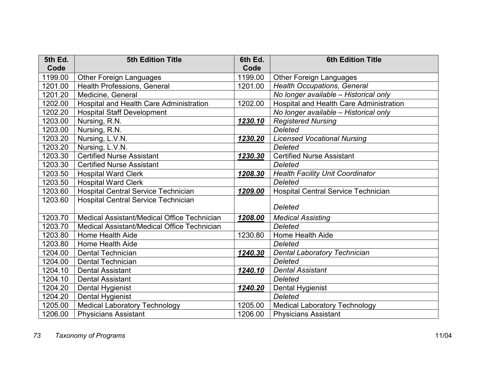| 5th Ed. | <b>5th Edition Title</b>                       | 6th Ed. | <b>6th Edition Title</b>                   |
|---------|------------------------------------------------|---------|--------------------------------------------|
| Code    |                                                | Code    |                                            |
| 1199.00 | <b>Other Foreign Languages</b>                 | 1199.00 | <b>Other Foreign Languages</b>             |
| 1201.00 | Health Professions, General                    | 1201.00 | <b>Health Occupations, General</b>         |
| 1201.20 | Medicine, General                              |         | No longer available - Historical only      |
| 1202.00 | <b>Hospital and Health Care Administration</b> | 1202.00 | Hospital and Health Care Administration    |
| 1202.20 | <b>Hospital Staff Development</b>              |         | No longer available - Historical only      |
| 1203.00 | Nursing, R.N.                                  | 1230.10 | <b>Registered Nursing</b>                  |
| 1203.00 | Nursing, R.N.                                  |         | <b>Deleted</b>                             |
| 1203.20 | Nursing, L.V.N.                                | 1230.20 | <b>Licensed Vocational Nursing</b>         |
| 1203.20 | Nursing, L.V.N.                                |         | <b>Deleted</b>                             |
| 1203.30 | <b>Certified Nurse Assistant</b>               | 1230.30 | <b>Certified Nurse Assistant</b>           |
| 1203.30 | <b>Certified Nurse Assistant</b>               |         | <b>Deleted</b>                             |
| 1203.50 | <b>Hospital Ward Clerk</b>                     | 1208.30 | <b>Health Facility Unit Coordinator</b>    |
| 1203.50 | <b>Hospital Ward Clerk</b>                     |         | <b>Deleted</b>                             |
| 1203.60 | <b>Hospital Central Service Technician</b>     | 1209.00 | <b>Hospital Central Service Technician</b> |
| 1203.60 | <b>Hospital Central Service Technician</b>     |         |                                            |
|         |                                                |         | <b>Deleted</b>                             |
| 1203.70 | Medical Assistant/Medical Office Technician    | 1208.00 | <b>Medical Assisting</b>                   |
| 1203.70 | Medical Assistant/Medical Office Technician    |         | <b>Deleted</b>                             |
| 1203.80 | <b>Home Health Aide</b>                        | 1230.80 | <b>Home Health Aide</b>                    |
| 1203.80 | <b>Home Health Aide</b>                        |         | <b>Deleted</b>                             |
| 1204.00 | <b>Dental Technician</b>                       | 1240.30 | <b>Dental Laboratory Technician</b>        |
| 1204.00 | <b>Dental Technician</b>                       |         | <b>Deleted</b>                             |
| 1204.10 | <b>Dental Assistant</b>                        | 1240.10 | <b>Dental Assistant</b>                    |
| 1204.10 | <b>Dental Assistant</b>                        |         | <b>Deleted</b>                             |
| 1204.20 | <b>Dental Hygienist</b>                        | 1240.20 | Dental Hygienist                           |
| 1204.20 | <b>Dental Hygienist</b>                        |         | <b>Deleted</b>                             |
| 1205.00 | <b>Medical Laboratory Technology</b>           | 1205.00 | <b>Medical Laboratory Technology</b>       |
| 1206.00 | <b>Physicians Assistant</b>                    | 1206.00 | <b>Physicians Assistant</b>                |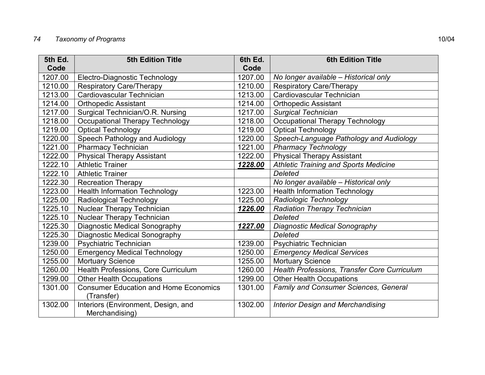| 5th Ed. | <b>5th Edition Title</b>                     | 6th Ed. | <b>6th Edition Title</b>                     |
|---------|----------------------------------------------|---------|----------------------------------------------|
| Code    |                                              | Code    |                                              |
| 1207.00 | Electro-Diagnostic Technology                | 1207.00 | No longer available - Historical only        |
| 1210.00 | <b>Respiratory Care/Therapy</b>              | 1210.00 | <b>Respiratory Care/Therapy</b>              |
| 1213.00 | Cardiovascular Technician                    | 1213.00 | Cardiovascular Technician                    |
| 1214.00 | <b>Orthopedic Assistant</b>                  | 1214.00 | <b>Orthopedic Assistant</b>                  |
| 1217.00 | Surgical Technician/O.R. Nursing             | 1217.00 | <b>Surgical Technician</b>                   |
| 1218.00 | <b>Occupational Therapy Technology</b>       | 1218.00 | <b>Occupational Therapy Technology</b>       |
| 1219.00 | <b>Optical Technology</b>                    | 1219.00 | <b>Optical Technology</b>                    |
| 1220.00 | Speech Pathology and Audiology               | 1220.00 | Speech-Language Pathology and Audiology      |
| 1221.00 | <b>Pharmacy Technician</b>                   | 1221.00 | <b>Pharmacy Technology</b>                   |
| 1222.00 | <b>Physical Therapy Assistant</b>            | 1222.00 | <b>Physical Therapy Assistant</b>            |
| 1222.10 | <b>Athletic Trainer</b>                      | 1228.00 | Athletic Training and Sports Medicine        |
| 1222.10 | <b>Athletic Trainer</b>                      |         | <b>Deleted</b>                               |
| 1222.30 | <b>Recreation Therapy</b>                    |         | No longer available - Historical only        |
| 1223.00 | <b>Health Information Technology</b>         | 1223.00 | <b>Health Information Technology</b>         |
| 1225.00 | <b>Radiological Technology</b>               | 1225.00 | Radiologic Technology                        |
| 1225.10 | <b>Nuclear Therapy Technician</b>            | 1226.00 | Radiation Therapy Technician                 |
| 1225.10 | <b>Nuclear Therapy Technician</b>            |         | <b>Deleted</b>                               |
| 1225.30 | <b>Diagnostic Medical Sonography</b>         | 1227.00 | <b>Diagnostic Medical Sonography</b>         |
| 1225.30 | <b>Diagnostic Medical Sonography</b>         |         | <b>Deleted</b>                               |
| 1239.00 | Psychiatric Technician                       | 1239.00 | Psychiatric Technician                       |
| 1250.00 | <b>Emergency Medical Technology</b>          | 1250.00 | <b>Emergency Medical Services</b>            |
| 1255.00 | Mortuary Science                             | 1255.00 | <b>Mortuary Science</b>                      |
| 1260.00 | Health Professions, Core Curriculum          | 1260.00 | Health Professions, Transfer Core Curriculum |
| 1299.00 | <b>Other Health Occupations</b>              | 1299.00 | <b>Other Health Occupations</b>              |
| 1301.00 | <b>Consumer Education and Home Economics</b> | 1301.00 | Family and Consumer Sciences, General        |
|         | (Transfer)                                   |         |                                              |
| 1302.00 | Interiors (Environment, Design, and          | 1302.00 | <b>Interior Design and Merchandising</b>     |
|         | Merchandising)                               |         |                                              |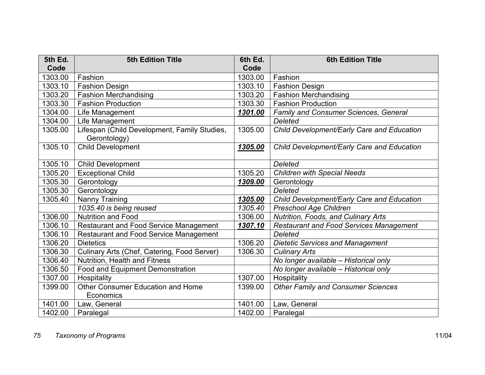| 5th Ed. | <b>5th Edition Title</b>                                     | 6th Ed. | <b>6th Edition Title</b>                       |
|---------|--------------------------------------------------------------|---------|------------------------------------------------|
| Code    |                                                              | Code    |                                                |
| 1303.00 | Fashion                                                      | 1303.00 | Fashion                                        |
| 1303.10 | <b>Fashion Design</b>                                        | 1303.10 | <b>Fashion Design</b>                          |
| 1303.20 | <b>Fashion Merchandising</b>                                 | 1303.20 | <b>Fashion Merchandising</b>                   |
| 1303.30 | <b>Fashion Production</b>                                    | 1303.30 | <b>Fashion Production</b>                      |
| 1304.00 | Life Management                                              | 1301.00 | Family and Consumer Sciences, General          |
| 1304.00 | Life Management                                              |         | <b>Deleted</b>                                 |
| 1305.00 | Lifespan (Child Development, Family Studies,<br>Gerontology) | 1305.00 | Child Development/Early Care and Education     |
| 1305.10 | <b>Child Development</b>                                     | 1305.00 | Child Development/Early Care and Education     |
| 1305.10 | <b>Child Development</b>                                     |         | <b>Deleted</b>                                 |
| 1305.20 | <b>Exceptional Child</b>                                     | 1305.20 | <b>Children with Special Needs</b>             |
| 1305.30 | Gerontology                                                  | 1309.00 | Gerontology                                    |
| 1305.30 | Gerontology                                                  |         | <b>Deleted</b>                                 |
| 1305.40 | <b>Nanny Training</b>                                        | 1305.00 | Child Development/Early Care and Education     |
|         | 1035.40 is being reused                                      | 1305.40 | <b>Preschool Age Children</b>                  |
| 1306.00 | <b>Nutrition and Food</b>                                    | 1306.00 | Nutrition, Foods, and Culinary Arts            |
| 1306.10 | <b>Restaurant and Food Service Management</b>                | 1307.10 | <b>Restaurant and Food Services Management</b> |
| 1306.10 | <b>Restaurant and Food Service Management</b>                |         | <b>Deleted</b>                                 |
| 1306.20 | <b>Dietetics</b>                                             | 1306.20 | <b>Dietetic Services and Management</b>        |
| 1306.30 | Culinary Arts (Chef, Catering, Food Server)                  | 1306.30 | <b>Culinary Arts</b>                           |
| 1306.40 | <b>Nutrition, Health and Fitness</b>                         |         | No longer available - Historical only          |
| 1306.50 | Food and Equipment Demonstration                             |         | No longer available - Historical only          |
| 1307.00 | Hospitality                                                  | 1307.00 | Hospitality                                    |
| 1399.00 | Other Consumer Education and Home                            | 1399.00 | <b>Other Family and Consumer Sciences</b>      |
|         | Economics                                                    |         |                                                |
| 1401.00 | Law, General                                                 | 1401.00 | Law, General                                   |
| 1402.00 | Paralegal                                                    | 1402.00 | Paralegal                                      |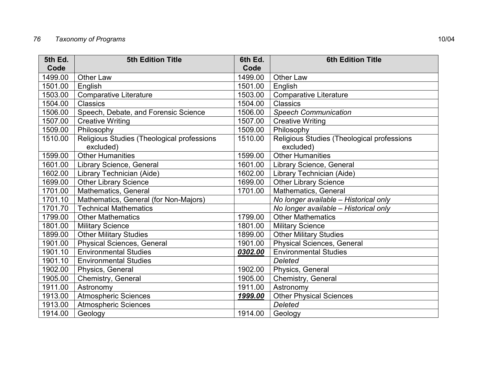| 5th Ed. | <b>5th Edition Title</b>                   | 6th Ed. | <b>6th Edition Title</b>                   |
|---------|--------------------------------------------|---------|--------------------------------------------|
| Code    |                                            | Code    |                                            |
| 1499.00 | <b>Other Law</b>                           | 1499.00 | <b>Other Law</b>                           |
| 1501.00 | English                                    | 1501.00 | English                                    |
| 1503.00 | <b>Comparative Literature</b>              | 1503.00 | <b>Comparative Literature</b>              |
| 1504.00 | <b>Classics</b>                            | 1504.00 | <b>Classics</b>                            |
| 1506.00 | Speech, Debate, and Forensic Science       | 1506.00 | <b>Speech Communication</b>                |
| 1507.00 | <b>Creative Writing</b>                    | 1507.00 | <b>Creative Writing</b>                    |
| 1509.00 | Philosophy                                 | 1509.00 | Philosophy                                 |
| 1510.00 | Religious Studies (Theological professions | 1510.00 | Religious Studies (Theological professions |
|         | excluded)                                  |         | excluded)                                  |
| 1599.00 | <b>Other Humanities</b>                    | 1599.00 | <b>Other Humanities</b>                    |
| 1601.00 | Library Science, General                   | 1601.00 | Library Science, General                   |
| 1602.00 | Library Technician (Aide)                  | 1602.00 | Library Technician (Aide)                  |
| 1699.00 | <b>Other Library Science</b>               | 1699.00 | Other Library Science                      |
| 1701.00 | Mathematics, General                       | 1701.00 | Mathematics, General                       |
| 1701.10 | Mathematics, General (for Non-Majors)      |         | No longer available - Historical only      |
| 1701.70 | <b>Technical Mathematics</b>               |         | No longer available - Historical only      |
| 1799.00 | <b>Other Mathematics</b>                   | 1799.00 | <b>Other Mathematics</b>                   |
| 1801.00 | <b>Military Science</b>                    | 1801.00 | <b>Military Science</b>                    |
| 1899.00 | <b>Other Military Studies</b>              | 1899.00 | <b>Other Military Studies</b>              |
| 1901.00 | <b>Physical Sciences, General</b>          | 1901.00 | <b>Physical Sciences, General</b>          |
| 1901.10 | <b>Environmental Studies</b>               | 0302.00 | <b>Environmental Studies</b>               |
| 1901.10 | <b>Environmental Studies</b>               |         | <b>Deleted</b>                             |
| 1902.00 | Physics, General                           | 1902.00 | Physics, General                           |
| 1905.00 | Chemistry, General                         | 1905.00 | Chemistry, General                         |
| 1911.00 | Astronomy                                  | 1911.00 | Astronomy                                  |
| 1913.00 | <b>Atmospheric Sciences</b>                | 1999.00 | <b>Other Physical Sciences</b>             |
| 1913.00 | <b>Atmospheric Sciences</b>                |         | <b>Deleted</b>                             |
| 1914.00 | Geology                                    | 1914.00 | Geology                                    |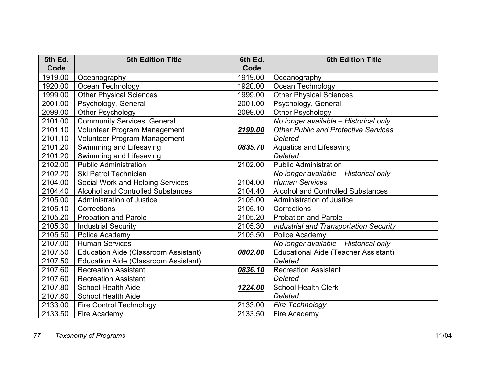| 5th Ed. | <b>5th Edition Title</b>                    | 6th Ed. | <b>6th Edition Title</b>                      |
|---------|---------------------------------------------|---------|-----------------------------------------------|
| Code    |                                             | Code    |                                               |
| 1919.00 | Oceanography                                | 1919.00 | Oceanography                                  |
| 1920.00 | Ocean Technology                            | 1920.00 | Ocean Technology                              |
| 1999.00 | <b>Other Physical Sciences</b>              | 1999.00 | <b>Other Physical Sciences</b>                |
| 2001.00 | Psychology, General                         | 2001.00 | Psychology, General                           |
| 2099.00 | Other Psychology                            | 2099.00 | Other Psychology                              |
| 2101.00 | <b>Community Services, General</b>          |         | No longer available - Historical only         |
| 2101.10 | Volunteer Program Management                | 2199.00 | <b>Other Public and Protective Services</b>   |
| 2101.10 | Volunteer Program Management                |         | <b>Deleted</b>                                |
| 2101.20 | Swimming and Lifesaving                     | 0835.70 | <b>Aquatics and Lifesaving</b>                |
| 2101.20 | Swimming and Lifesaving                     |         | <b>Deleted</b>                                |
| 2102.00 | <b>Public Administration</b>                | 2102.00 | <b>Public Administration</b>                  |
| 2102.20 | Ski Patrol Technician                       |         | No longer available - Historical only         |
| 2104.00 | Social Work and Helping Services            | 2104.00 | <b>Human Services</b>                         |
| 2104.40 | <b>Alcohol and Controlled Substances</b>    | 2104.40 | <b>Alcohol and Controlled Substances</b>      |
| 2105.00 | <b>Administration of Justice</b>            | 2105.00 | <b>Administration of Justice</b>              |
| 2105.10 | Corrections                                 | 2105.10 | Corrections                                   |
| 2105.20 | <b>Probation and Parole</b>                 | 2105.20 | <b>Probation and Parole</b>                   |
| 2105.30 | <b>Industrial Security</b>                  | 2105.30 | <b>Industrial and Transportation Security</b> |
| 2105.50 | Police Academy                              | 2105.50 | Police Academy                                |
| 2107.00 | Human Services                              |         | No longer available - Historical only         |
| 2107.50 | <b>Education Aide (Classroom Assistant)</b> | 0802.00 | <b>Educational Aide (Teacher Assistant)</b>   |
| 2107.50 | <b>Education Aide (Classroom Assistant)</b> |         | <b>Deleted</b>                                |
| 2107.60 | <b>Recreation Assistant</b>                 | 0836.10 | <b>Recreation Assistant</b>                   |
| 2107.60 | <b>Recreation Assistant</b>                 |         | <b>Deleted</b>                                |
| 2107.80 | <b>School Health Aide</b>                   | 1224.00 | <b>School Health Clerk</b>                    |
| 2107.80 | <b>School Health Aide</b>                   |         | <b>Deleted</b>                                |
| 2133.00 | <b>Fire Control Technology</b>              | 2133.00 | <b>Fire Technology</b>                        |
| 2133.50 | Fire Academy                                | 2133.50 | Fire Academy                                  |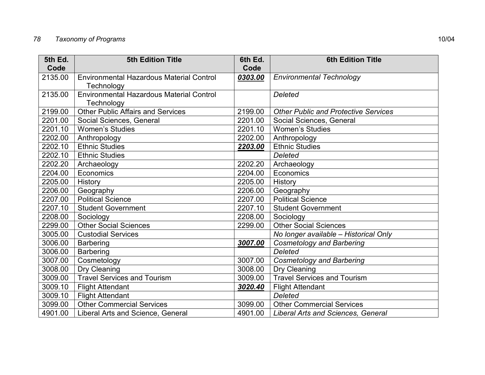| 5th Ed. | <b>5th Edition Title</b>                        | 6th Ed. | <b>6th Edition Title</b>                    |
|---------|-------------------------------------------------|---------|---------------------------------------------|
| Code    |                                                 | Code    |                                             |
| 2135.00 | <b>Environmental Hazardous Material Control</b> | 0303.00 | <b>Environmental Technology</b>             |
|         | Technology                                      |         |                                             |
| 2135.00 | <b>Environmental Hazardous Material Control</b> |         | <b>Deleted</b>                              |
|         | Technology                                      |         |                                             |
| 2199.00 | <b>Other Public Affairs and Services</b>        | 2199.00 | <b>Other Public and Protective Services</b> |
| 2201.00 | Social Sciences, General                        | 2201.00 | Social Sciences, General                    |
| 2201.10 | <b>Women's Studies</b>                          | 2201.10 | <b>Women's Studies</b>                      |
| 2202.00 | Anthropology                                    | 2202.00 | Anthropology                                |
| 2202.10 | <b>Ethnic Studies</b>                           | 2203.00 | <b>Ethnic Studies</b>                       |
| 2202.10 | <b>Ethnic Studies</b>                           |         | <b>Deleted</b>                              |
| 2202.20 | Archaeology                                     | 2202.20 | Archaeology                                 |
| 2204.00 | Economics                                       | 2204.00 | Economics                                   |
| 2205.00 | History                                         | 2205.00 | History                                     |
| 2206.00 | Geography                                       | 2206.00 | Geography                                   |
| 2207.00 | <b>Political Science</b>                        | 2207.00 | <b>Political Science</b>                    |
| 2207.10 | <b>Student Government</b>                       | 2207.10 | <b>Student Government</b>                   |
| 2208.00 | Sociology                                       | 2208.00 | Sociology                                   |
| 2299.00 | <b>Other Social Sciences</b>                    | 2299.00 | <b>Other Social Sciences</b>                |
| 3005.00 | <b>Custodial Services</b>                       |         | No longer available - Historical Only       |
| 3006.00 | <b>Barbering</b>                                | 3007.00 | <b>Cosmetology and Barbering</b>            |
| 3006.00 | <b>Barbering</b>                                |         | <b>Deleted</b>                              |
| 3007.00 | Cosmetology                                     | 3007.00 | <b>Cosmetology and Barbering</b>            |
| 3008.00 | Dry Cleaning                                    | 3008.00 | Dry Cleaning                                |
| 3009.00 | <b>Travel Services and Tourism</b>              | 3009.00 | <b>Travel Services and Tourism</b>          |
| 3009.10 | <b>Flight Attendant</b>                         | 3020.40 | <b>Flight Attendant</b>                     |
| 3009.10 | <b>Flight Attendant</b>                         |         | <b>Deleted</b>                              |
| 3099.00 | <b>Other Commercial Services</b>                | 3099.00 | <b>Other Commercial Services</b>            |
| 4901.00 | Liberal Arts and Science, General               | 4901.00 | <b>Liberal Arts and Sciences, General</b>   |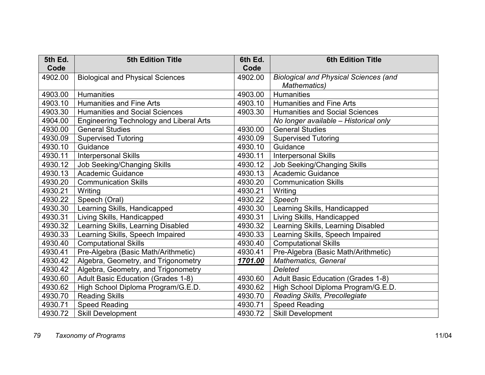| 5th Ed. | <b>5th Edition Title</b>                       | 6th Ed. | <b>6th Edition Title</b>                                             |
|---------|------------------------------------------------|---------|----------------------------------------------------------------------|
| Code    |                                                | Code    |                                                                      |
| 4902.00 | <b>Biological and Physical Sciences</b>        | 4902.00 | <b>Biological and Physical Sciences (and</b><br><b>Mathematics</b> ) |
| 4903.00 | <b>Humanities</b>                              | 4903.00 | <b>Humanities</b>                                                    |
| 4903.10 | <b>Humanities and Fine Arts</b>                | 4903.10 | <b>Humanities and Fine Arts</b>                                      |
| 4903.30 | <b>Humanities and Social Sciences</b>          | 4903.30 | <b>Humanities and Social Sciences</b>                                |
| 4904.00 | <b>Engineering Technology and Liberal Arts</b> |         | No longer available - Historical only                                |
| 4930.00 | <b>General Studies</b>                         | 4930.00 | <b>General Studies</b>                                               |
| 4930.09 | <b>Supervised Tutoring</b>                     | 4930.09 | <b>Supervised Tutoring</b>                                           |
| 4930.10 | Guidance                                       | 4930.10 | Guidance                                                             |
| 4930.11 | <b>Interpersonal Skills</b>                    | 4930.11 | <b>Interpersonal Skills</b>                                          |
| 4930.12 | Job Seeking/Changing Skills                    | 4930.12 | Job Seeking/Changing Skills                                          |
| 4930.13 | Academic Guidance                              | 4930.13 | <b>Academic Guidance</b>                                             |
| 4930.20 | <b>Communication Skills</b>                    | 4930.20 | <b>Communication Skills</b>                                          |
| 4930.21 | Writing                                        | 4930.21 | Writing                                                              |
| 4930.22 | Speech (Oral)                                  | 4930.22 | Speech                                                               |
| 4930.30 | Learning Skills, Handicapped                   | 4930.30 | Learning Skills, Handicapped                                         |
| 4930.31 | Living Skills, Handicapped                     | 4930.31 | Living Skills, Handicapped                                           |
| 4930.32 | Learning Skills, Learning Disabled             | 4930.32 | Learning Skills, Learning Disabled                                   |
| 4930.33 | Learning Skills, Speech Impaired               | 4930.33 | Learning Skills, Speech Impaired                                     |
| 4930.40 | <b>Computational Skills</b>                    | 4930.40 | <b>Computational Skills</b>                                          |
| 4930.41 | Pre-Algebra (Basic Math/Arithmetic)            | 4930.41 | Pre-Algebra (Basic Math/Arithmetic)                                  |
| 4930.42 | Algebra, Geometry, and Trigonometry            | 1701.00 | <b>Mathematics, General</b>                                          |
| 4930.42 | Algebra, Geometry, and Trigonometry            |         | <b>Deleted</b>                                                       |
| 4930.60 | <b>Adult Basic Education (Grades 1-8)</b>      | 4930.60 | <b>Adult Basic Education (Grades 1-8)</b>                            |
| 4930.62 | High School Diploma Program/G.E.D.             | 4930.62 | High School Diploma Program/G.E.D.                                   |
| 4930.70 | <b>Reading Skills</b>                          | 4930.70 | Reading Skills, Precollegiate                                        |
| 4930.71 | <b>Speed Reading</b>                           | 4930.71 | <b>Speed Reading</b>                                                 |
| 4930.72 | <b>Skill Development</b>                       | 4930.72 | <b>Skill Development</b>                                             |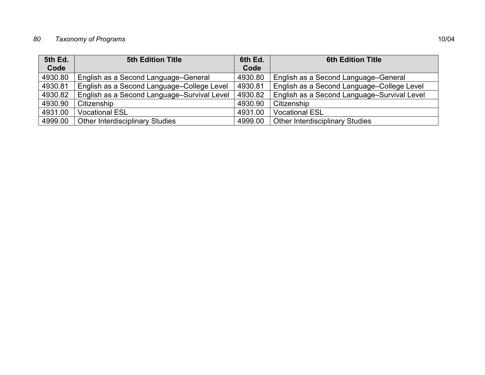| 5th Ed. | <b>5th Edition Title</b>                    | 6th Ed. | <b>6th Edition Title</b>                    |
|---------|---------------------------------------------|---------|---------------------------------------------|
| Code    |                                             | Code    |                                             |
| 4930.80 | English as a Second Language–General        | 4930.80 | English as a Second Language–General        |
| 4930.81 | English as a Second Language–College Level  | 4930.81 | English as a Second Language–College Level  |
| 4930.82 | English as a Second Language-Survival Level | 4930.82 | English as a Second Language-Survival Level |
| 4930.90 | Citizenship                                 | 4930.90 | Citizenship                                 |
| 4931.00 | <b>Vocational ESL</b>                       | 4931.00 | <b>Vocational ESL</b>                       |
| 4999.00 | <b>Other Interdisciplinary Studies</b>      | 4999.00 | <b>Other Interdisciplinary Studies</b>      |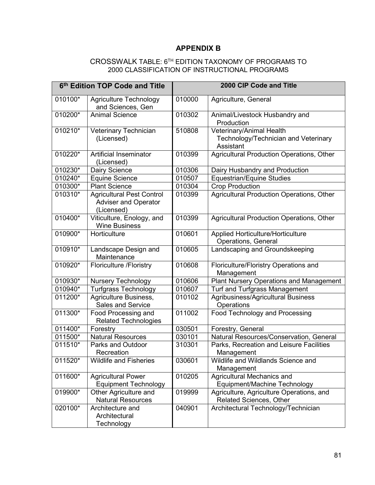# **APPENDIX B**

## CROSSWALK TABLE: 6TH EDITION TAXONOMY OF PROGRAMS TO 2000 CLASSIFICATION OF INSTRUCTIONAL PROGRAMS

| 6 <sup>th</sup> Edition TOP Code and Title |                                                                               |        | 2000 CIP Code and Title                                                       |
|--------------------------------------------|-------------------------------------------------------------------------------|--------|-------------------------------------------------------------------------------|
| 010100*                                    | <b>Agriculture Technology</b><br>and Sciences, Gen                            | 010000 | Agriculture, General                                                          |
| 010200*                                    | <b>Animal Science</b>                                                         | 010302 | Animal/Livestock Husbandry and<br>Production                                  |
| 010210*                                    | Veterinary Technician<br>(Licensed)                                           | 510808 | Veterinary/Animal Health<br>Technology/Technician and Veterinary<br>Assistant |
| 010220*                                    | <b>Artificial Inseminator</b><br>(Licensed)                                   | 010399 | Agricultural Production Operations, Other                                     |
| 010230*                                    | Dairy Science                                                                 | 010306 | Dairy Husbandry and Production                                                |
| 010240*                                    | <b>Equine Science</b>                                                         | 010507 | <b>Equestrian/Equine Studies</b>                                              |
| 010300*                                    | <b>Plant Science</b>                                                          | 010304 | <b>Crop Production</b>                                                        |
| 010310*                                    | <b>Agricultural Pest Control</b><br><b>Adviser and Operator</b><br>(Licensed) | 010399 | Agricultural Production Operations, Other                                     |
| 010400*                                    | Viticulture, Enology, and<br><b>Wine Business</b>                             | 010399 | Agricultural Production Operations, Other                                     |
| 010900*                                    | Horticulture                                                                  | 010601 | Applied Horticulture/Horticulture<br>Operations, General                      |
| 010910*                                    | Landscape Design and<br>Maintenance                                           | 010605 | Landscaping and Groundskeeping                                                |
| 010920*                                    | <b>Floriculture /Floristry</b>                                                | 010608 | Floriculture/Floristry Operations and<br>Management                           |
| 010930*                                    | <b>Nursery Technology</b>                                                     | 010606 | <b>Plant Nursery Operations and Management</b>                                |
| 010940*                                    | <b>Turfgrass Technology</b>                                                   | 010607 | <b>Turf and Turfgrass Management</b>                                          |
| 011200*                                    | Agriculture Business,<br><b>Sales and Service</b>                             | 010102 | Agribusiness/Agricultural Business<br>Operations                              |
| 011300*                                    | Food Processing and<br><b>Related Technologies</b>                            | 011002 | <b>Food Technology and Processing</b>                                         |
| 011400*                                    | Forestry                                                                      | 030501 | Forestry, General                                                             |
| 011500*                                    | <b>Natural Resources</b>                                                      | 030101 | Natural Resources/Conservation, General                                       |
| 011510*                                    | Parks and Outdoor<br>Recreation                                               | 310301 | Parks, Recreation and Leisure Facilities<br>Management                        |
| 011520*                                    | <b>Wildlife and Fisheries</b>                                                 | 030601 | Wildlife and Wildlands Science and<br>Management                              |
| 011600*                                    | <b>Agricultural Power</b><br><b>Equipment Technology</b>                      | 010205 | Agricultural Mechanics and<br>Equipment/Machine Technology                    |
| 019900*                                    | Other Agriculture and<br><b>Natural Resources</b>                             | 019999 | Agriculture, Agriculture Operations, and<br><b>Related Sciences, Other</b>    |
| 020100*                                    | Architecture and<br>Architectural<br>Technology                               | 040901 | Architectural Technology/Technician                                           |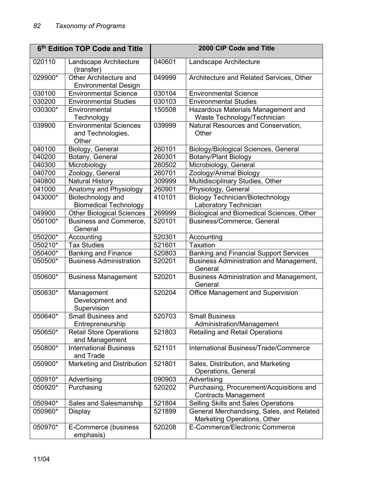| 6 <sup>th</sup> Edition TOP Code and Title |                                                             |        | 2000 CIP Code and Title                                                  |
|--------------------------------------------|-------------------------------------------------------------|--------|--------------------------------------------------------------------------|
| 020110                                     | Landscape Architecture<br>(transfer)                        | 040601 | Landscape Architecture                                                   |
| 029900*                                    | Other Architecture and<br><b>Environmental Design</b>       | 049999 | Architecture and Related Services, Other                                 |
| 030100                                     | <b>Environmental Science</b>                                | 030104 | <b>Environmental Science</b>                                             |
| 030200                                     | <b>Environmental Studies</b>                                | 030103 | <b>Environmental Studies</b>                                             |
| 030300*                                    | Environmental<br>Technology                                 | 150508 | Hazardous Materials Management and<br>Waste Technology/Technician        |
| 039900                                     | <b>Environmental Sciences</b><br>and Technologies,<br>Other | 039999 | Natural Resources and Conservation,<br>Other                             |
| 040100                                     | Biology, General                                            | 260101 | <b>Biology/Biological Sciences, General</b>                              |
| 040200                                     | Botany, General                                             | 260301 | <b>Botany/Plant Biology</b>                                              |
| 040300                                     | Microbiology                                                | 260502 | Microbiology, General                                                    |
| 040700                                     | Zoology, General                                            | 260701 | Zoology/Animal Biology                                                   |
| 040800                                     | <b>Natural History</b>                                      | 309999 | Multidisciplinary Studies, Other                                         |
| 041000                                     | Anatomy and Physiology                                      | 260901 | Physiology, General                                                      |
| 043000*                                    | Biotechnology and<br><b>Biomedical Technology</b>           | 410101 | <b>Biology Technician/Biotechnology</b><br>Laboratory Technician         |
| 049900                                     | <b>Other Biological Sciences</b>                            | 269999 | Biological and Biomedical Sciences, Other                                |
| 050100*                                    | <b>Business and Commerce,</b><br>General                    | 520101 | Business/Commerce, General                                               |
| 050200*                                    | Accounting                                                  | 520301 | Accounting                                                               |
| 050210*                                    | <b>Tax Studies</b>                                          | 521601 | Taxation                                                                 |
| 050400*                                    | <b>Banking and Finance</b>                                  | 520803 | <b>Banking and Financial Support Services</b>                            |
| 050500*                                    | <b>Business Administration</b>                              | 520201 | <b>Business Administration and Management,</b><br>General                |
| 050600*                                    | <b>Business Management</b>                                  | 520201 | <b>Business Administration and Management,</b><br>General                |
| 050630*                                    | Management<br>Development and<br>Supervision                | 520204 | Office Management and Supervision                                        |
| 050640*                                    | Small Business and<br>Entrepreneurship                      | 520703 | <b>Small Business</b><br>Administration/Management                       |
| 050650*                                    | <b>Retail Store Operations</b><br>and Management            | 521803 | <b>Retailing and Retail Operations</b>                                   |
| 050800*                                    | <b>International Business</b><br>and Trade                  | 521101 | International Business/Trade/Commerce                                    |
| 050900*                                    | Marketing and Distribution                                  | 521801 | Sales, Distribution, and Marketing<br><b>Operations, General</b>         |
| 050910*                                    | Advertising                                                 | 090903 | Advertising                                                              |
| 050920*                                    | Purchasing                                                  | 520202 | Purchasing, Procurement/Acquisitions and<br><b>Contracts Management</b>  |
| 050940*                                    | Sales and Salesmanship                                      | 521804 | Selling Skills and Sales Operations                                      |
| 050960*                                    | Display                                                     | 521899 | General Merchandising, Sales, and Related<br>Marketing Operations, Other |
| 050970*                                    | E-Commerce (business<br>emphasis)                           | 520208 | E-Commerce/Electronic Commerce                                           |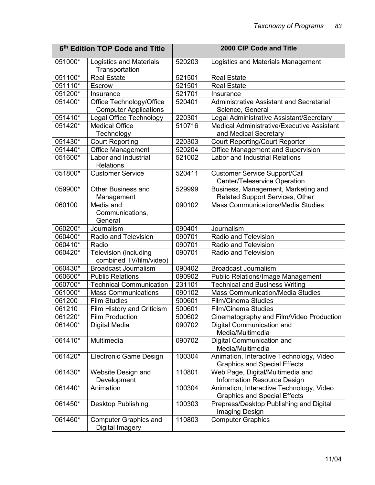| 6th Edition TOP Code and Title |                                                          | 2000 CIP Code and Title |                                                                                 |  |
|--------------------------------|----------------------------------------------------------|-------------------------|---------------------------------------------------------------------------------|--|
| 051000*                        | <b>Logistics and Materials</b><br>Transportation         | 520203                  | Logistics and Materials Management                                              |  |
| 051100*                        | <b>Real Estate</b>                                       | 521501                  | <b>Real Estate</b>                                                              |  |
| 051110*                        | Escrow                                                   | 521501                  | <b>Real Estate</b>                                                              |  |
| 051200*                        | Insurance                                                | 521701                  | Insurance                                                                       |  |
| 051400*                        | Office Technology/Office<br><b>Computer Applications</b> | 520401                  | <b>Administrative Assistant and Secretarial</b><br>Science, General             |  |
| 051410*                        | Legal Office Technology                                  | 220301                  | Legal Administrative Assistant/Secretary                                        |  |
| 051420*                        | <b>Medical Office</b><br>Technology                      | 510716                  | Medical Administrative/Executive Assistant<br>and Medical Secretary             |  |
| 051430*                        | <b>Court Reporting</b>                                   | 220303                  | <b>Court Reporting/Court Reporter</b>                                           |  |
| 051440*                        | Office Management                                        | 520204                  | Office Management and Supervision                                               |  |
| 051600*                        | Labor and Industrial<br><b>Relations</b>                 | 521002                  | <b>Labor and Industrial Relations</b>                                           |  |
| 051800*                        | <b>Customer Service</b>                                  | 520411                  | <b>Customer Service Support/Call</b><br>Center/Teleservice Operation            |  |
| 059900*                        | <b>Other Business and</b><br>Management                  | 529999                  | Business, Management, Marketing and<br>Related Support Services, Other          |  |
| 060100                         | Media and<br>Communications,<br>General                  | 090102                  | Mass Communications/Media Studies                                               |  |
| 060200*                        | Journalism                                               | 090401                  | Journalism                                                                      |  |
| 060400*                        | Radio and Television                                     | 090701                  | Radio and Television                                                            |  |
| 060410*                        | Radio                                                    | 090701                  | Radio and Television                                                            |  |
| 060420*                        | <b>Television (including</b><br>combined TV/film/video)  | 090701                  | <b>Radio and Television</b>                                                     |  |
| 060430*                        | <b>Broadcast Journalism</b>                              | 090402                  | <b>Broadcast Journalism</b>                                                     |  |
| 060600*                        | <b>Public Relations</b>                                  | 090902                  | <b>Public Relations/Image Management</b>                                        |  |
| 060700*                        | <b>Technical Communication</b>                           | 231101                  | <b>Technical and Business Writing</b>                                           |  |
| 061000*                        | <b>Mass Communications</b>                               | 090102                  | <b>Mass Communication/Media Studies</b>                                         |  |
| 061200                         | <b>Film Studies</b>                                      | 500601                  | <b>Film/Cinema Studies</b>                                                      |  |
| 061210                         | Film History and Criticism                               | 500601                  | <b>Film/Cinema Studies</b>                                                      |  |
| $061220*$                      | <b>Film Production</b>                                   | 500602                  | Cinematography and Film/Video Production                                        |  |
| 061400*                        | <b>Digital Media</b>                                     | 090702                  | <b>Digital Communication and</b><br>Media/Multimedia                            |  |
| 061410*                        | Multimedia                                               | 090702                  | Digital Communication and<br>Media/Multimedia                                   |  |
| 061420*                        | <b>Electronic Game Design</b>                            | 100304                  | Animation, Interactive Technology, Video<br><b>Graphics and Special Effects</b> |  |
| 061430*                        | Website Design and<br>Development                        | 110801                  | Web Page, Digital/Multimedia and<br><b>Information Resource Design</b>          |  |
| 061440*                        | Animation                                                | 100304                  | Animation, Interactive Technology, Video<br><b>Graphics and Special Effects</b> |  |
| 061450*                        | <b>Desktop Publishing</b>                                | 100303                  | Prepress/Desktop Publishing and Digital<br>Imaging Design                       |  |
| 061460*                        | <b>Computer Graphics and</b><br>Digital Imagery          | 110803                  | <b>Computer Graphics</b>                                                        |  |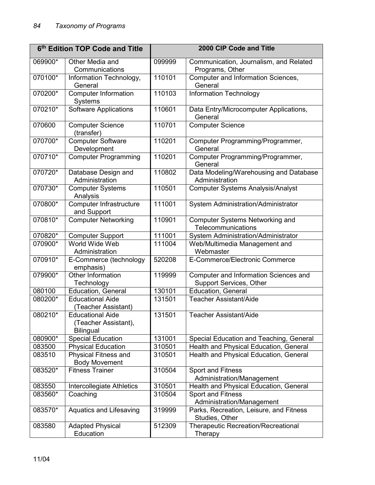| 6 <sup>th</sup> Edition TOP Code and Title |                                                                     | 2000 CIP Code and Title |                                                                  |
|--------------------------------------------|---------------------------------------------------------------------|-------------------------|------------------------------------------------------------------|
| 069900*                                    | Other Media and<br>Communications                                   | 099999                  | Communication, Journalism, and Related<br>Programs, Other        |
| 070100*                                    | Information Technology,<br>General                                  | 110101                  | Computer and Information Sciences,<br>General                    |
| 070200*                                    | <b>Computer Information</b><br><b>Systems</b>                       | 110103                  | <b>Information Technology</b>                                    |
| 070210*                                    | <b>Software Applications</b>                                        | 110601                  | Data Entry/Microcomputer Applications,<br>General                |
| 070600                                     | <b>Computer Science</b><br>(transfer)                               | 110701                  | <b>Computer Science</b>                                          |
| 070700*                                    | <b>Computer Software</b><br>Development                             | 110201                  | Computer Programming/Programmer,<br>General                      |
| 070710*                                    | <b>Computer Programming</b>                                         | 110201                  | Computer Programming/Programmer,<br>General                      |
| 070720*                                    | Database Design and<br>Administration                               | 110802                  | Data Modeling/Warehousing and Database<br>Administration         |
| 070730*                                    | Computer Systems<br>Analysis                                        | 110501                  | <b>Computer Systems Analysis/Analyst</b>                         |
| 070800*                                    | <b>Computer Infrastructure</b><br>and Support                       | 111001                  | <b>System Administration/Administrator</b>                       |
| 070810*                                    | <b>Computer Networking</b>                                          | 110901                  | <b>Computer Systems Networking and</b><br>Telecommunications     |
| 070820*                                    | <b>Computer Support</b>                                             | 111001                  | System Administration/Administrator                              |
| 070900*                                    | World Wide Web<br>Administration                                    | 111004                  | Web/Multimedia Management and<br>Webmaster                       |
| 070910*                                    | E-Commerce (technology<br>emphasis)                                 | 520208                  | E-Commerce/Electronic Commerce                                   |
| 079900*                                    | Other Information<br>Technology                                     | 119999                  | Computer and Information Sciences and<br>Support Services, Other |
| 080100                                     | Education, General                                                  | 130101                  | Education, General                                               |
| 080200*                                    | <b>Educational Aide</b><br>(Teacher Assistant)                      | 131501                  | <b>Teacher Assistant/Aide</b>                                    |
| 080210*                                    | <b>Educational Aide</b><br>(Teacher Assistant),<br><b>Bilingual</b> | 131501                  | <b>Teacher Assistant/Aide</b>                                    |
| 080900*                                    | <b>Special Education</b>                                            | 131001                  | Special Education and Teaching, General                          |
| 083500                                     | <b>Physical Education</b>                                           | 310501                  | Health and Physical Education, General                           |
| 083510                                     | <b>Physical Fitness and</b><br><b>Body Movement</b>                 | 310501                  | Health and Physical Education, General                           |
| 083520*                                    | <b>Fitness Trainer</b>                                              | 310504                  | <b>Sport and Fitness</b><br>Administration/Management            |
| 083550                                     | Intercollegiate Athletics                                           | 310501                  | Health and Physical Education, General                           |
| 083560*                                    | Coaching                                                            | 310504                  | <b>Sport and Fitness</b><br>Administration/Management            |
| 083570*                                    | <b>Aquatics and Lifesaving</b>                                      | 319999                  | Parks, Recreation, Leisure, and Fitness<br>Studies, Other        |
| 083580                                     | <b>Adapted Physical</b><br>Education                                | 512309                  | Therapeutic Recreation/Recreational<br>Therapy                   |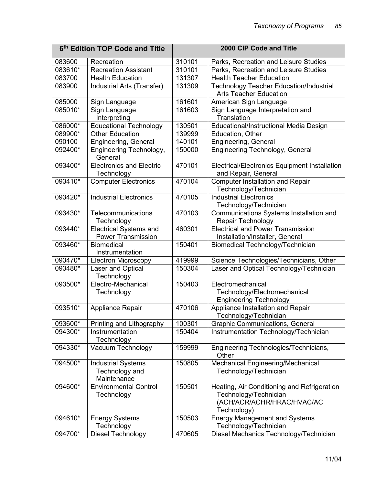|         | 6th Edition TOP Code and Title                             |        | 2000 CIP Code and Title                                                                                           |
|---------|------------------------------------------------------------|--------|-------------------------------------------------------------------------------------------------------------------|
| 083600  | Recreation                                                 | 310101 | Parks, Recreation and Leisure Studies                                                                             |
| 083610* | <b>Recreation Assistant</b>                                | 310101 | Parks, Recreation and Leisure Studies                                                                             |
| 083700  | <b>Health Education</b>                                    | 131307 | <b>Health Teacher Education</b>                                                                                   |
| 083900  | Industrial Arts (Transfer)                                 | 131309 | <b>Technology Teacher Education/Industrial</b><br><b>Arts Teacher Education</b>                                   |
| 085000  | Sign Language                                              | 161601 | American Sign Language                                                                                            |
| 085010* | Sign Language<br>Interpreting                              | 161603 | Sign Language Interpretation and<br>Translation                                                                   |
| 086000* | <b>Educational Technology</b>                              | 130501 | Educational/Instructional Media Design                                                                            |
| 089900* | <b>Other Education</b>                                     | 139999 | Education, Other                                                                                                  |
| 090100  | Engineering, General                                       | 140101 | Engineering, General                                                                                              |
| 092400* | Engineering Technology,<br>General                         | 150000 | <b>Engineering Technology, General</b>                                                                            |
| 093400* | <b>Electronics and Electric</b><br>Technology              | 470101 | Electrical/Electronics Equipment Installation<br>and Repair, General                                              |
| 093410* | Computer Electronics                                       | 470104 | <b>Computer Installation and Repair</b><br>Technology/Technician                                                  |
| 093420* | <b>Industrial Electronics</b>                              | 470105 | <b>Industrial Electronics</b><br>Technology/Technician                                                            |
| 093430* | Telecommunications<br>Technology                           | 470103 | Communications Systems Installation and<br>Repair Technology                                                      |
| 093440* | Electrical Systems and<br><b>Power Transmission</b>        | 460301 | <b>Electrical and Power Transmission</b><br>Installation/Installer, General                                       |
| 093460* | <b>Biomedical</b><br>Instrumentation                       | 150401 | Biomedical Technology/Technician                                                                                  |
| 093470* | <b>Electron Microscopy</b>                                 | 419999 | Science Technologies/Technicians, Other                                                                           |
| 093480* | <b>Laser and Optical</b><br>Technology                     | 150304 | Laser and Optical Technology/Technician                                                                           |
| 093500* | Electro-Mechanical<br>Technology                           | 150403 | Electromechanical<br>Technology/Electromechanical<br><b>Engineering Technology</b>                                |
| 093510* | Appliance Repair                                           | 470106 | Appliance Installation and Repair<br>Technology/Technician                                                        |
| 093600* | Printing and Lithography                                   | 100301 | <b>Graphic Communications, General</b>                                                                            |
| 094300* | Instrumentation<br>Technology                              | 150404 | Instrumentation Technology/Technician                                                                             |
| 094330* | Vacuum Technology                                          | 159999 | Engineering Technologies/Technicians,<br>Other                                                                    |
| 094500* | <b>Industrial Systems</b><br>Technology and<br>Maintenance | 150805 | Mechanical Engineering/Mechanical<br>Technology/Technician                                                        |
| 094600* | <b>Environmental Control</b><br>Technology                 | 150501 | Heating, Air Conditioning and Refrigeration<br>Technology/Technician<br>(ACH/ACR/ACHR/HRAC/HVAC/AC<br>Technology) |
| 094610* | <b>Energy Systems</b><br>Technology                        | 150503 | <b>Energy Management and Systems</b><br>Technology/Technician                                                     |
| 094700* | Diesel Technology                                          | 470605 | Diesel Mechanics Technology/Technician                                                                            |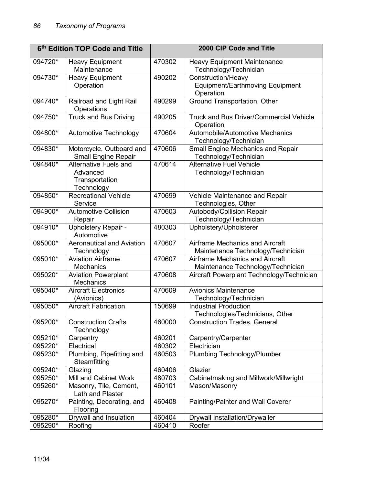| 6 <sup>th</sup> Edition TOP Code and Title |                                                                          | 2000 CIP Code and Title |                                                                           |
|--------------------------------------------|--------------------------------------------------------------------------|-------------------------|---------------------------------------------------------------------------|
| 094720*                                    | <b>Heavy Equipment</b><br>Maintenance                                    | 470302                  | <b>Heavy Equipment Maintenance</b><br>Technology/Technician               |
| 094730*                                    | <b>Heavy Equipment</b><br>Operation                                      | 490202                  | Construction/Heavy<br><b>Equipment/Earthmoving Equipment</b><br>Operation |
| 094740*                                    | Railroad and Light Rail<br>Operations                                    | 490299                  | Ground Transportation, Other                                              |
| 094750*                                    | <b>Truck and Bus Driving</b>                                             | 490205                  | <b>Truck and Bus Driver/Commercial Vehicle</b><br>Operation               |
| 094800*                                    | <b>Automotive Technology</b>                                             | 470604                  | Automobile/Automotive Mechanics<br>Technology/Technician                  |
| 094830*                                    | Motorcycle, Outboard and<br><b>Small Engine Repair</b>                   | 470606                  | <b>Small Engine Mechanics and Repair</b><br>Technology/Technician         |
| 094840*                                    | <b>Alternative Fuels and</b><br>Advanced<br>Transportation<br>Technology | 470614                  | <b>Alternative Fuel Vehicle</b><br>Technology/Technician                  |
| 094850*                                    | <b>Recreational Vehicle</b><br>Service                                   | 470699                  | Vehicle Maintenance and Repair<br>Technologies, Other                     |
| 094900*                                    | <b>Automotive Collision</b><br>Repair                                    | 470603                  | Autobody/Collision Repair<br>Technology/Technician                        |
| 094910*                                    | Upholstery Repair -<br>Automotive                                        | 480303                  | Upholstery/Upholsterer                                                    |
| 095000*                                    | <b>Aeronautical and Aviation</b><br>Technology                           | 470607                  | Airframe Mechanics and Aircraft<br>Maintenance Technology/Technician      |
| 095010*                                    | <b>Aviation Airframe</b><br>Mechanics                                    | 470607                  | Airframe Mechanics and Aircraft<br>Maintenance Technology/Technician      |
| 095020*                                    | <b>Aviation Powerplant</b><br><b>Mechanics</b>                           | 470608                  | Aircraft Powerplant Technology/Technician                                 |
| 095040*                                    | <b>Aircraft Electronics</b><br>(Avionics)                                | 470609                  | <b>Avionics Maintenance</b><br>Technology/Technician                      |
| 095050*                                    | <b>Aircraft Fabrication</b>                                              | 150699                  | <b>Industrial Production</b><br>Technologies/Technicians, Other           |
| 095200*                                    | <b>Construction Crafts</b><br>Technology                                 | 460000                  | <b>Construction Trades, General</b>                                       |
| 095210*                                    | Carpentry                                                                | 460201                  | Carpentry/Carpenter                                                       |
| 095220*                                    | Electrical                                                               | 460302                  | Electrician                                                               |
| 095230*                                    | Plumbing, Pipefitting and<br>Steamfitting                                | 460503                  | Plumbing Technology/Plumber                                               |
| 095240*                                    | Glazing                                                                  | 460406                  | Glazier                                                                   |
| 095250*                                    | Mill and Cabinet Work                                                    | 480703                  | Cabinetmaking and Millwork/Millwright                                     |
| 095260*                                    | Masonry, Tile, Cement,<br>Lath and Plaster                               | 460101                  | Mason/Masonry                                                             |
| 095270*                                    | Painting, Decorating, and<br>Flooring                                    | 460408                  | Painting/Painter and Wall Coverer                                         |
| 095280*                                    | Drywall and Insulation                                                   | 460404                  | <b>Drywall Installation/Drywaller</b>                                     |
| 095290*                                    | Roofing                                                                  | 460410                  | Roofer                                                                    |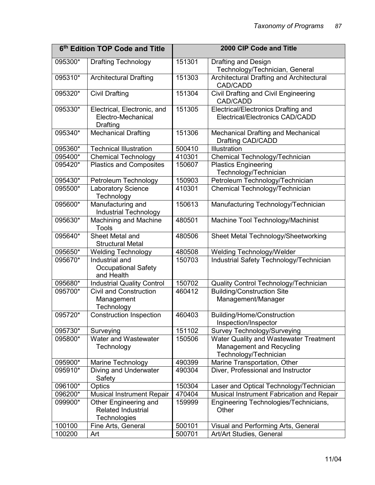| 6 <sup>th</sup> Edition TOP Code and Title |                                                                    |        | 2000 CIP Code and Title                                                                     |
|--------------------------------------------|--------------------------------------------------------------------|--------|---------------------------------------------------------------------------------------------|
| 095300*                                    | <b>Drafting Technology</b>                                         | 151301 | <b>Drafting and Design</b><br>Technology/Technician, General                                |
| 095310*                                    | <b>Architectural Drafting</b>                                      | 151303 | Architectural Drafting and Architectural<br>CAD/CADD                                        |
| 095320*                                    | <b>Civil Drafting</b>                                              | 151304 | Civil Drafting and Civil Engineering<br>CAD/CADD                                            |
| 095330*                                    | Electrical, Electronic, and<br>Electro-Mechanical<br>Drafting      | 151305 | <b>Electrical/Electronics Drafting and</b><br>Electrical/Electronics CAD/CADD               |
| 095340*                                    | <b>Mechanical Drafting</b>                                         | 151306 | Mechanical Drafting and Mechanical<br>Drafting CAD/CADD                                     |
| 095360*                                    | <b>Technical Illustration</b>                                      | 500410 | Illustration                                                                                |
| 095400*                                    | <b>Chemical Technology</b>                                         | 410301 | Chemical Technology/Technician                                                              |
| 095420*                                    | <b>Plastics and Composites</b>                                     | 150607 | <b>Plastics Engineering</b><br>Technology/Technician                                        |
| 095430*                                    | Petroleum Technology                                               | 150903 | Petroleum Technology/Technician                                                             |
| 095500*                                    | <b>Laboratory Science</b><br>Technology                            | 410301 | Chemical Technology/Technician                                                              |
| 095600*                                    | Manufacturing and<br><b>Industrial Technology</b>                  | 150613 | Manufacturing Technology/Technician                                                         |
| 095630*                                    | Machining and Machine<br><b>Tools</b>                              | 480501 | Machine Tool Technology/Machinist                                                           |
| 095640*                                    | Sheet Metal and<br><b>Structural Metal</b>                         | 480506 | Sheet Metal Technology/Sheetworking                                                         |
| 095650*                                    | <b>Welding Technology</b>                                          | 480508 | Welding Technology/Welder                                                                   |
| 095670*                                    | Industrial and<br><b>Occupational Safety</b><br>and Health         | 150703 | Industrial Safety Technology/Technician                                                     |
| 095680*                                    | <b>Industrial Quality Control</b>                                  | 150702 | Quality Control Technology/Technician                                                       |
| 095700*                                    | <b>Civil and Construction</b><br>Management<br>Technology          | 460412 | <b>Building/Construction Site</b><br>Management/Manager                                     |
| 095720*                                    | <b>Construction Inspection</b>                                     | 460403 | <b>Building/Home/Construction</b><br>Inspection/Inspector                                   |
| 095730*                                    | Surveying                                                          | 151102 | <b>Survey Technology/Surveying</b>                                                          |
| 095800*                                    | Water and Wastewater<br>Technology                                 | 150506 | Water Quality and Wastewater Treatment<br>Management and Recycling<br>Technology/Technician |
| 095900*                                    | Marine Technology                                                  | 490399 | Marine Transportation, Other                                                                |
| 095910*                                    | Diving and Underwater<br>Safety                                    | 490304 | Diver, Professional and Instructor                                                          |
| 096100*                                    | Optics                                                             | 150304 | Laser and Optical Technology/Technician                                                     |
| 096200*                                    | <b>Musical Instrument Repair</b>                                   | 470404 | <b>Musical Instrument Fabrication and Repair</b>                                            |
| 099900*                                    | Other Engineering and<br><b>Related Industrial</b><br>Technologies | 159999 | Engineering Technologies/Technicians,<br>Other                                              |
| 100100                                     | Fine Arts, General                                                 | 500101 | Visual and Performing Arts, General                                                         |
| 100200                                     | Art                                                                | 500701 | Art/Art Studies, General                                                                    |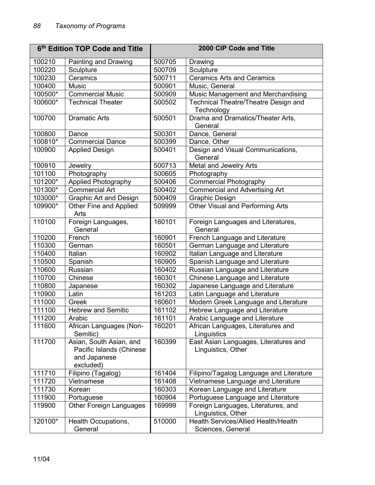| 6th Edition TOP Code and Title |                                                                                  | 2000 CIP Code and Title |                                                                  |  |
|--------------------------------|----------------------------------------------------------------------------------|-------------------------|------------------------------------------------------------------|--|
| 100210                         | Painting and Drawing                                                             | 500705                  | Drawing                                                          |  |
| 100220                         | Sculpture                                                                        | 500709                  | Sculpture                                                        |  |
| 100230                         | Ceramics                                                                         | 500711                  | <b>Ceramics Arts and Ceramics</b>                                |  |
| 100400                         | <b>Music</b>                                                                     | 500901                  | Music, General                                                   |  |
| 100500*                        | <b>Commercial Music</b>                                                          | 500909                  | Music Management and Merchandising                               |  |
| 100600*                        | <b>Technical Theater</b>                                                         | 500502                  | Technical Theatre/Theatre Design and                             |  |
|                                |                                                                                  |                         | Technology                                                       |  |
| 100700                         | <b>Dramatic Arts</b>                                                             | 500501                  | Drama and Dramatics/Theater Arts,<br>General                     |  |
| 100800                         | Dance                                                                            | 500301                  | Dance, General                                                   |  |
| 100810*                        | <b>Commercial Dance</b>                                                          | 500399                  | Dance, Other                                                     |  |
| 100900                         | <b>Applied Design</b>                                                            | 500401                  | Design and Visual Communications,<br>General                     |  |
| 100910                         | Jewelry                                                                          | 500713                  | Metal and Jewelry Arts                                           |  |
| 101100                         | Photography                                                                      | 500605                  | Photography                                                      |  |
| 101200*                        | <b>Applied Photography</b>                                                       | 500406                  | <b>Commercial Photography</b>                                    |  |
| 101300*                        | <b>Commercial Art</b>                                                            | 500402                  | <b>Commercial and Advertising Art</b>                            |  |
| 103000*                        | <b>Graphic Art and Design</b>                                                    | 500409                  | <b>Graphic Design</b>                                            |  |
| 109900*                        | <b>Other Fine and Applied</b><br>Arts                                            | 509999                  | Other Visual and Performing Arts                                 |  |
| 110100                         | Foreign Languages,<br>General                                                    | 160101                  | Foreign Languages and Literatures,<br>General                    |  |
| 110200                         | French                                                                           | 160901                  | French Language and Literature                                   |  |
| 110300                         | German                                                                           | 160501                  | German Language and Literature                                   |  |
| 110400                         | Italian                                                                          | 160902                  | Italian Language and Literature                                  |  |
| 110500                         | Spanish                                                                          | 160905                  | Spanish Language and Literature                                  |  |
| 110600                         | Russian                                                                          | 160402                  | Russian Language and Literature                                  |  |
| 110700                         | Chinese                                                                          | 160301                  | Chinese Language and Literature                                  |  |
| 110800                         | Japanese                                                                         | 160302                  | Japanese Language and Literature                                 |  |
| 110900                         | Latin                                                                            | 161203                  | Latin Language and Literature                                    |  |
| 111000                         | Greek                                                                            | 160601                  | Modern Greek Language and Literature                             |  |
| 111100                         | <b>Hebrew and Semitic</b>                                                        | 161102                  | Hebrew Language and Literature                                   |  |
| 111200                         | Arabic                                                                           | 161101                  | Arabic Language and Literature                                   |  |
| 111600                         | African Languages (Non-<br>Semitic)                                              | 160201                  | African Languages, Literatures and<br>Linguistics                |  |
| 111700                         | Asian, South Asian, and<br>Pacific Islands (Chinese<br>and Japanese<br>excluded) | 160399                  | East Asian Languages, Literatures and<br>Linguistics, Other      |  |
| 111710                         | Filipino (Tagalog)                                                               | 161404                  | Filipino/Tagalog Language and Literature                         |  |
| 111720                         | Vietnamese                                                                       | 161408                  | Vietnamese Language and Literature                               |  |
| 111730                         | Korean                                                                           | 160303                  | Korean Language and Literature                                   |  |
| 111900                         | Portuguese                                                                       | 160904                  | Portuguese Language and Literature                               |  |
| 119900                         | <b>Other Foreign Languages</b>                                                   | 169999                  | Foreign Languages, Literatures, and<br>Linguistics, Other        |  |
| 120100*                        | Health Occupations,<br>General                                                   | 510000                  | <b>Health Services/Allied Health/Health</b><br>Sciences, General |  |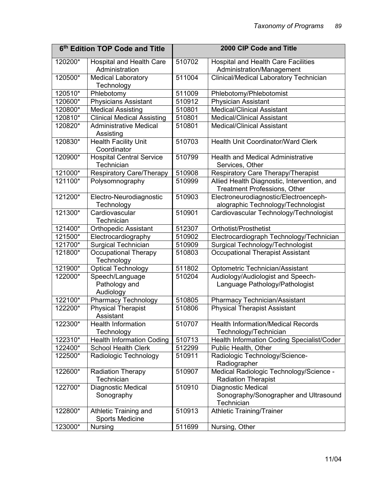| 6th Edition TOP Code and Title |                                                   | 2000 CIP Code and Title |                                                                                    |
|--------------------------------|---------------------------------------------------|-------------------------|------------------------------------------------------------------------------------|
| 120200*                        | <b>Hospital and Health Care</b><br>Administration | 510702                  | <b>Hospital and Health Care Facilities</b><br>Administration/Management            |
| 120500*                        | <b>Medical Laboratory</b><br>Technology           | 511004                  | Clinical/Medical Laboratory Technician                                             |
| 120510*                        | Phlebotomy                                        | 511009                  | Phlebotomy/Phlebotomist                                                            |
| 120600*                        | <b>Physicians Assistant</b>                       | 510912                  | <b>Physician Assistant</b>                                                         |
| 120800*                        | <b>Medical Assisting</b>                          | 510801                  | <b>Medical/Clinical Assistant</b>                                                  |
| 120810*                        | <b>Clinical Medical Assisting</b>                 | 510801                  | <b>Medical/Clinical Assistant</b>                                                  |
| 120820*                        | <b>Administrative Medical</b><br>Assisting        | 510801                  | <b>Medical/Clinical Assistant</b>                                                  |
| 120830*                        | <b>Health Facility Unit</b><br>Coordinator        | 510703                  | Health Unit Coordinator/Ward Clerk                                                 |
| 120900*                        | <b>Hospital Central Service</b><br>Technician     | 510799                  | <b>Health and Medical Administrative</b><br>Services, Other                        |
| 121000*                        | <b>Respiratory Care/Therapy</b>                   | 510908                  | Respiratory Care Therapy/Therapist                                                 |
| 121100*                        | Polysomnography                                   | 510999                  | Allied Health Diagnostic, Intervention, and<br><b>Treatment Professions, Other</b> |
| 121200*                        | Electro-Neurodiagnostic<br>Technology             | 510903                  | Electroneurodiagnostic/Electroenceph-<br>alographic Technology/Technologist        |
| 121300*                        | Cardiovascular<br>Technician                      | 510901                  | Cardiovascular Technology/Technologist                                             |
| 121400*                        | <b>Orthopedic Assistant</b>                       | 512307                  | Orthotist/Prosthetist                                                              |
| 121500*                        | Electrocardiography                               | 510902                  | Electrocardiograph Technology/Technician                                           |
| 121700*                        | <b>Surgical Technician</b>                        | 510909                  | Surgical Technology/Technologist                                                   |
| 121800*                        | <b>Occupational Therapy</b><br>Technology         | 510803                  | <b>Occupational Therapist Assistant</b>                                            |
| 121900*                        | <b>Optical Technology</b>                         | 511802                  | Optometric Technician/Assistant                                                    |
| 122000*                        | Speech/Language<br>Pathology and<br>Audiology     | 510204                  | Audiology/Audiologist and Speech-<br>Language Pathology/Pathologist                |
| 122100*                        | <b>Pharmacy Technology</b>                        | 510805                  | <b>Pharmacy Technician/Assistant</b>                                               |
| 122200*                        | <b>Physical Therapist</b><br>Assistant            | 510806                  | <b>Physical Therapist Assistant</b>                                                |
| 122300*                        | <b>Health Information</b><br>Technology           | 510707                  | <b>Health Information/Medical Records</b><br>Technology/Technician                 |
| 122310*                        | <b>Health Information Coding</b>                  | 510713                  | Health Information Coding Specialist/Coder                                         |
| 122400*                        | <b>School Health Clerk</b>                        | 512299                  | Public Health, Other                                                               |
| 122500*                        | Radiologic Technology                             | 510911                  | Radiologic Technology/Science-<br>Radiographer                                     |
| 122600*                        | Radiation Therapy<br>Technician                   | 510907                  | Medical Radiologic Technology/Science -<br><b>Radiation Therapist</b>              |
| 122700*                        | Diagnostic Medical<br>Sonography                  | 510910                  | <b>Diagnostic Medical</b><br>Sonography/Sonographer and Ultrasound<br>Technician   |
| 122800*                        | Athletic Training and<br><b>Sports Medicine</b>   | 510913                  | <b>Athletic Training/Trainer</b>                                                   |
| 123000*                        | <b>Nursing</b>                                    | 511699                  | Nursing, Other                                                                     |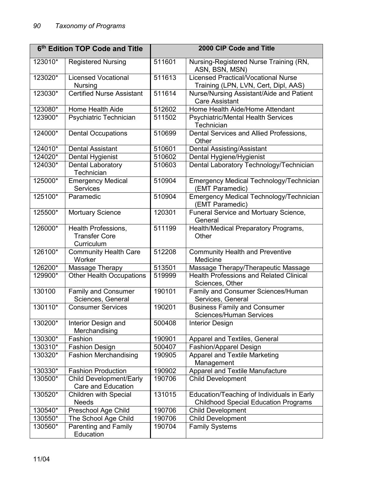| 6 <sup>th</sup> Edition TOP Code and Title |                                                           | 2000 CIP Code and Title |                                                                                           |  |
|--------------------------------------------|-----------------------------------------------------------|-------------------------|-------------------------------------------------------------------------------------------|--|
| 123010*                                    | <b>Registered Nursing</b>                                 | 511601                  | Nursing-Registered Nurse Training (RN,<br>ASN, BSN, MSN)                                  |  |
| 123020*                                    | <b>Licensed Vocational</b><br>Nursing                     | 511613                  | <b>Licensed Practical/Vocational Nurse</b><br>Training (LPN, LVN, Cert, Dipl, AAS)        |  |
| 123030*                                    | <b>Certified Nurse Assistant</b>                          | 511614                  | Nurse/Nursing Assistant/Aide and Patient<br><b>Care Assistant</b>                         |  |
| 123080*                                    | Home Health Aide                                          | 512602                  | Home Health Aide/Home Attendant                                                           |  |
| 123900*                                    | Psychiatric Technician                                    | 511502                  | <b>Psychiatric/Mental Health Services</b><br>Technician                                   |  |
| 124000*                                    | <b>Dental Occupations</b>                                 | 510699                  | Dental Services and Allied Professions,<br>Other                                          |  |
| 124010*                                    | <b>Dental Assistant</b>                                   | 510601                  | <b>Dental Assisting/Assistant</b>                                                         |  |
| 124020*                                    | Dental Hygienist                                          | 510602                  | Dental Hygiene/Hygienist                                                                  |  |
| 124030*                                    | <b>Dental Laboratory</b><br>Technician                    | 510603                  | Dental Laboratory Technology/Technician                                                   |  |
| 125000*                                    | <b>Emergency Medical</b><br><b>Services</b>               | 510904                  | Emergency Medical Technology/Technician<br>(EMT Paramedic)                                |  |
| 125100*                                    | Paramedic                                                 | 510904                  | Emergency Medical Technology/Technician<br>(EMT Paramedic)                                |  |
| 125500*                                    | <b>Mortuary Science</b>                                   | 120301                  | Funeral Service and Mortuary Science,<br>General                                          |  |
| 126000*                                    | Health Professions,<br><b>Transfer Core</b><br>Curriculum | 511199                  | Health/Medical Preparatory Programs,<br>Other                                             |  |
| 126100*                                    | <b>Community Health Care</b><br>Worker                    | 512208                  | <b>Community Health and Preventive</b><br>Medicine                                        |  |
| 126200*                                    | Massage Therapy                                           | 513501                  | Massage Therapy/Therapeutic Massage                                                       |  |
| 129900*                                    | <b>Other Health Occupations</b>                           | 519999                  | <b>Health Professions and Related Clinical</b><br>Sciences, Other                         |  |
| 130100                                     | <b>Family and Consumer</b><br>Sciences, General           | 190101                  | Family and Consumer Sciences/Human<br>Services, General                                   |  |
| 130110*                                    | <b>Consumer Services</b>                                  | 190201                  | <b>Business Family and Consumer</b><br><b>Sciences/Human Services</b>                     |  |
| 130200*                                    | Interior Design and<br>Merchandising                      | 500408                  | <b>Interior Design</b>                                                                    |  |
| 130300*                                    | Fashion                                                   | 190901                  | Apparel and Textiles, General                                                             |  |
| 130310*                                    | <b>Fashion Design</b>                                     | 500407                  | Fashion/Apparel Design                                                                    |  |
| 130320*                                    | <b>Fashion Merchandising</b>                              | 190905                  | <b>Apparel and Textile Marketing</b><br>Management                                        |  |
| 130330*                                    | Fashion Production                                        | 190902                  | <b>Apparel and Textile Manufacture</b>                                                    |  |
| 130500*                                    | Child Development/Early<br><b>Care and Education</b>      | 190706                  | <b>Child Development</b>                                                                  |  |
| 130520*                                    | <b>Children with Special</b><br><b>Needs</b>              | 131015                  | Education/Teaching of Individuals in Early<br><b>Childhood Special Education Programs</b> |  |
| 130540*                                    | Preschool Age Child                                       | 190706                  | <b>Child Development</b>                                                                  |  |
| 130550*                                    | The School Age Child                                      | 190706                  | <b>Child Development</b>                                                                  |  |
| 130560*                                    | <b>Parenting and Family</b><br>Education                  | 190704                  | <b>Family Systems</b>                                                                     |  |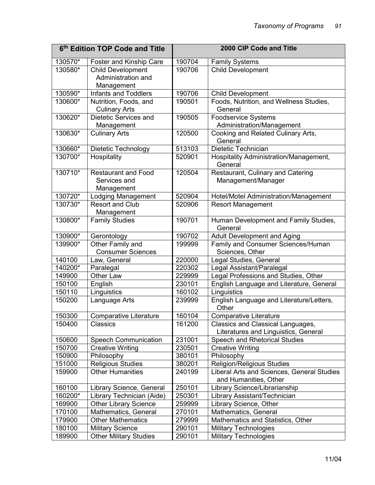| 6 <sup>th</sup> Edition TOP Code and Title |                                                              | 2000 CIP Code and Title |                                                                                  |  |
|--------------------------------------------|--------------------------------------------------------------|-------------------------|----------------------------------------------------------------------------------|--|
| 130570*                                    | Foster and Kinship Care                                      | 190704                  | <b>Family Systems</b>                                                            |  |
| 130580*                                    | <b>Child Development</b><br>Administration and<br>Management | 190706                  | <b>Child Development</b>                                                         |  |
| 130590*                                    | <b>Infants and Toddlers</b>                                  | 190706                  | <b>Child Development</b>                                                         |  |
| 130600*                                    | Nutrition, Foods, and<br><b>Culinary Arts</b>                | 190501                  | Foods, Nutrition, and Wellness Studies,<br>General                               |  |
| 130620*                                    | Dietetic Services and<br>Management                          | 190505                  | <b>Foodservice Systems</b><br>Administration/Management                          |  |
| 130630*                                    | <b>Culinary Arts</b>                                         | 120500                  | Cooking and Related Culinary Arts,<br>General                                    |  |
| 130660*                                    | Dietetic Technology                                          | 513103                  | Dietetic Technician                                                              |  |
| 130700*                                    | Hospitality                                                  | 520901                  | Hospitality Administration/Management,<br>General                                |  |
| 130710*                                    | <b>Restaurant and Food</b><br>Services and<br>Management     | 120504                  | Restaurant, Culinary and Catering<br>Management/Manager                          |  |
| 130720*                                    | <b>Lodging Management</b>                                    | 520904                  | Hotel/Motel Administration/Management                                            |  |
| 130730*                                    | <b>Resort and Club</b><br>Management                         | 520906                  | <b>Resort Management</b>                                                         |  |
| 130800*                                    | <b>Family Studies</b>                                        | 190701                  | Human Development and Family Studies,<br>General                                 |  |
| 130900*                                    | Gerontology                                                  | 190702                  | <b>Adult Development and Aging</b>                                               |  |
| 139900*                                    | Other Family and<br><b>Consumer Sciences</b>                 | 199999                  | Family and Consumer Sciences/Human<br>Sciences, Other                            |  |
| 140100                                     | Law, General                                                 | 220000                  | Legal Studies, General                                                           |  |
| 140200*                                    | Paralegal                                                    | 220302                  | Legal Assistant/Paralegal                                                        |  |
| 149900                                     | Other Law                                                    | 229999                  | Legal Professions and Studies, Other                                             |  |
| 150100                                     | English                                                      | 230101                  | English Language and Literature, General                                         |  |
| 150110                                     | Linguistics                                                  | 160102                  | Linguistics                                                                      |  |
| 150200                                     | Language Arts                                                | 239999                  | English Language and Literature/Letters,<br>Other                                |  |
| 150300                                     | <b>Comparative Literature</b>                                | 160104                  | <b>Comparative Literature</b>                                                    |  |
| 150400                                     | Classics                                                     | 161200                  | <b>Classics and Classical Languages,</b><br>Literatures and Linguistics, General |  |
| 150600                                     | <b>Speech Communication</b>                                  | 231001                  | Speech and Rhetorical Studies                                                    |  |
| 150700                                     | <b>Creative Writing</b>                                      | 230501                  | <b>Creative Writing</b>                                                          |  |
| 150900                                     | Philosophy                                                   | 380101                  | Philosophy                                                                       |  |
| 151000                                     | <b>Religious Studies</b>                                     | 380201                  | <b>Religion/Religious Studies</b>                                                |  |
| 159900                                     | <b>Other Humanities</b>                                      | 240199                  | Liberal Arts and Sciences, General Studies<br>and Humanities, Other              |  |
| 160100                                     | Library Science, General                                     | 250101                  | Library Science/Librarianship                                                    |  |
| 160200*                                    | Library Technician (Aide)                                    | 250301                  | Library Assistant/Technician                                                     |  |
| 169900                                     | <b>Other Library Science</b>                                 | 259999                  | Library Science, Other                                                           |  |
| 170100                                     | Mathematics, General                                         | 270101                  | Mathematics, General                                                             |  |
| 179900                                     | <b>Other Mathematics</b>                                     | 279999                  | Mathematics and Statistics, Other                                                |  |
| 180100                                     | <b>Military Science</b>                                      | 290101                  | <b>Military Technologies</b>                                                     |  |
| 189900                                     | <b>Other Military Studies</b>                                | 290101                  | <b>Military Technologies</b>                                                     |  |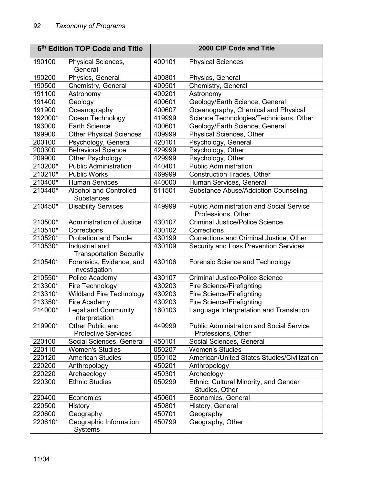| 6th Edition TOP Code and Title |                                                    | 2000 CIP Code and Title |                                                                       |  |
|--------------------------------|----------------------------------------------------|-------------------------|-----------------------------------------------------------------------|--|
| 190100                         | Physical Sciences,<br>General                      | 400101                  | <b>Physical Sciences</b>                                              |  |
| 190200                         | Physics, General                                   | 400801                  | Physics, General                                                      |  |
| 190500                         | Chemistry, General                                 | 400501                  | Chemistry, General                                                    |  |
| 191100                         | Astronomy                                          | 400201                  | Astronomy                                                             |  |
| 191400                         | Geology                                            | 400601                  | Geology/Earth Science, General                                        |  |
| 191900                         | Oceanography                                       | 400607                  | Oceanography, Chemical and Physical                                   |  |
| 192000*                        | Ocean Technology                                   | 419999                  | Science Technologies/Technicians, Other                               |  |
| 193000                         | <b>Earth Science</b>                               | 400601                  | Geology/Earth Science, General                                        |  |
| 199900                         | <b>Other Physical Sciences</b>                     | 409999                  | Physical Sciences, Other                                              |  |
| 200100                         | Psychology, General                                | 420101                  | Psychology, General                                                   |  |
| 200300                         | <b>Behavioral Science</b>                          | 429999                  | Psychology, Other                                                     |  |
| 209900                         | <b>Other Psychology</b>                            | 429999                  | Psychology, Other                                                     |  |
| 210200*                        | <b>Public Administration</b>                       | 440401                  | <b>Public Administration</b>                                          |  |
| 210210*                        | <b>Public Works</b>                                | 469999                  | <b>Construction Trades, Other</b>                                     |  |
| 210400*                        | <b>Human Services</b>                              | 440000                  | Human Services, General                                               |  |
| 210440*                        | <b>Alcohol and Controlled</b><br><b>Substances</b> | 511501                  | <b>Substance Abuse/Addiction Counseling</b>                           |  |
| 210450*                        | <b>Disability Services</b>                         | 449999                  | <b>Public Administration and Social Service</b><br>Professions, Other |  |
| 210500*                        | <b>Administration of Justice</b>                   | 430107                  | <b>Criminal Justice/Police Science</b>                                |  |
| 210510*                        | Corrections                                        | 430102                  | Corrections                                                           |  |
| 210520*                        | <b>Probation and Parole</b>                        | 430199                  | Corrections and Criminal Justice, Other                               |  |
| 210530*                        | Industrial and<br><b>Transportation Security</b>   | 430109                  | <b>Security and Loss Prevention Services</b>                          |  |
| 210540*                        | Forensics, Evidence, and<br>Investigation          | 430106                  | <b>Forensic Science and Technology</b>                                |  |
| 210550*                        | Police Academy                                     | 430107                  | <b>Criminal Justice/Police Science</b>                                |  |
| 213300*                        | Fire Technology                                    | 430203                  | <b>Fire Science/Firefighting</b>                                      |  |
| 213310*                        | <b>Wildland Fire Technology</b>                    | 430203                  | Fire Science/Firefighting                                             |  |
| 213350*                        | Fire Academy                                       | 430203                  | <b>Fire Science/Firefighting</b>                                      |  |
| 214000*                        | <b>Legal and Community</b><br>Interpretation       | 160103                  | Language Interpretation and Translation                               |  |
| 219900*                        | Other Public and<br><b>Protective Services</b>     | 449999                  | <b>Public Administration and Social Service</b><br>Professions, Other |  |
| 220100                         | Social Sciences, General                           | 450101                  | Social Sciences, General                                              |  |
| 220110                         | <b>Women's Studies</b>                             | 050207                  | <b>Women's Studies</b>                                                |  |
| 220120                         | <b>American Studies</b>                            | 050102                  | American/United States Studies/Civilization                           |  |
| 220200                         | Anthropology                                       | 450201                  | Anthropology                                                          |  |
| 220220                         | Archaeology                                        | 450301                  | Archeology                                                            |  |
| 220300                         | <b>Ethnic Studies</b>                              | 050299                  | Ethnic, Cultural Minority, and Gender<br>Studies, Other               |  |
| 220400                         | Economics                                          | 450601                  | Economics, General                                                    |  |
| 220500                         | History                                            | 450801                  | History, General                                                      |  |
| 220600                         | Geography                                          | 450701                  | Geography                                                             |  |
| 220610*                        | Geographic Information<br>Systems                  | 450799                  | Geography, Other                                                      |  |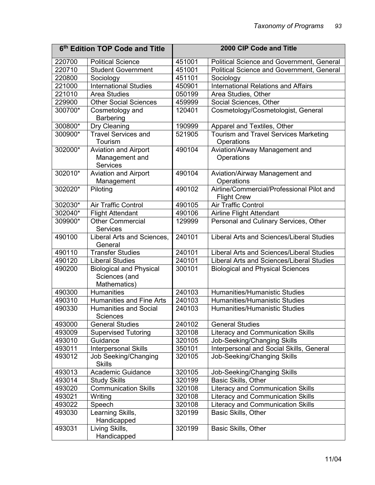| 6th Edition TOP Code and Title |                                                                  | 2000 CIP Code and Title |                                                                 |  |
|--------------------------------|------------------------------------------------------------------|-------------------------|-----------------------------------------------------------------|--|
| 220700                         | <b>Political Science</b>                                         | 451001                  | <b>Political Science and Government, General</b>                |  |
| 220710                         | <b>Student Government</b>                                        | 451001                  | Political Science and Government, General                       |  |
| 220800                         | Sociology                                                        | 451101                  | Sociology                                                       |  |
| 221000                         | <b>International Studies</b>                                     | 450901                  | <b>International Relations and Affairs</b>                      |  |
| 221010                         | <b>Area Studies</b>                                              | 050199                  | Area Studies, Other                                             |  |
| 229900                         | <b>Other Social Sciences</b>                                     | 459999                  | Social Sciences, Other                                          |  |
| 300700*                        | Cosmetology and<br><b>Barbering</b>                              | 120401                  | Cosmetology/Cosmetologist, General                              |  |
| 300800*                        | Dry Cleaning                                                     | 190999                  | Apparel and Textiles, Other                                     |  |
| 300900*                        | <b>Travel Services and</b><br>Tourism                            | 521905                  | <b>Tourism and Travel Services Marketing</b><br>Operations      |  |
| 302000*                        | <b>Aviation and Airport</b><br>Management and<br><b>Services</b> | 490104                  | Aviation/Airway Management and<br>Operations                    |  |
| 302010*                        | <b>Aviation and Airport</b>                                      | 490104                  | Aviation/Airway Management and                                  |  |
|                                | Management                                                       |                         | Operations                                                      |  |
| 302020*                        | Piloting                                                         | 490102                  | Airline/Commercial/Professional Pilot and<br><b>Flight Crew</b> |  |
| 302030*                        | <b>Air Traffic Control</b>                                       | 490105                  | <b>Air Traffic Control</b>                                      |  |
| 302040*                        | <b>Flight Attendant</b>                                          | 490106                  | <b>Airline Flight Attendant</b>                                 |  |
| 309900*                        | <b>Other Commercial</b><br><b>Services</b>                       | 129999                  | Personal and Culinary Services, Other                           |  |
| 490100                         | Liberal Arts and Sciences,<br>General                            | 240101                  | Liberal Arts and Sciences/Liberal Studies                       |  |
| 490110                         | <b>Transfer Studies</b>                                          | 240101                  | Liberal Arts and Sciences/Liberal Studies                       |  |
| 490120                         | <b>Liberal Studies</b>                                           | 240101                  | Liberal Arts and Sciences/Liberal Studies                       |  |
| 490200                         | <b>Biological and Physical</b><br>Sciences (and<br>Mathematics)  | 300101                  | <b>Biological and Physical Sciences</b>                         |  |
| 490300                         | <b>Humanities</b>                                                | 240103                  | Humanities/Humanistic Studies                                   |  |
| 490310                         | <b>Humanities and Fine Arts</b>                                  | 240103                  | Humanities/Humanistic Studies                                   |  |
| 490330                         | <b>Humanities and Social</b><br><b>Sciences</b>                  | 240103                  | Humanities/Humanistic Studies                                   |  |
| 493000                         | <b>General Studies</b>                                           | 240102                  | <b>General Studies</b>                                          |  |
| 493009                         | <b>Supervised Tutoring</b>                                       | 320108                  | <b>Literacy and Communication Skills</b>                        |  |
| 493010                         | Guidance                                                         | 320105                  | Job-Seeking/Changing Skills                                     |  |
| 493011                         | <b>Interpersonal Skills</b>                                      | 350101                  | Interpersonal and Social Skills, General                        |  |
| 493012                         | Job Seeking/Changing<br><b>Skills</b>                            | 320105                  | Job-Seeking/Changing Skills                                     |  |
| 493013                         | Academic Guidance                                                | 320105                  | Job-Seeking/Changing Skills                                     |  |
| 493014                         | <b>Study Skills</b>                                              | 320199                  | Basic Skills, Other                                             |  |
| 493020                         | <b>Communication Skills</b>                                      | 320108                  | <b>Literacy and Communication Skills</b>                        |  |
| 493021                         | Writing                                                          | 320108                  | Literacy and Communication Skills                               |  |
| 493022                         | Speech                                                           | 320108                  | <b>Literacy and Communication Skills</b>                        |  |
| 493030                         | Learning Skills,<br>Handicapped                                  | 320199                  | <b>Basic Skills, Other</b>                                      |  |
| 493031                         | Living Skills,<br>Handicapped                                    | 320199                  | Basic Skills, Other                                             |  |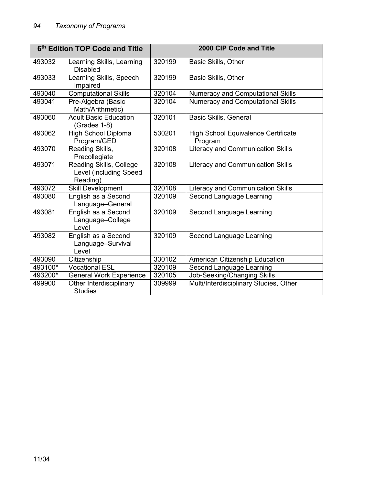| 6 <sup>th</sup> Edition TOP Code and Title |                                                                      | 2000 CIP Code and Title |                                                |
|--------------------------------------------|----------------------------------------------------------------------|-------------------------|------------------------------------------------|
| 493032                                     | Learning Skills, Learning<br><b>Disabled</b>                         | 320199                  | <b>Basic Skills, Other</b>                     |
| 493033                                     | Learning Skills, Speech<br>Impaired                                  | 320199                  | Basic Skills, Other                            |
| 493040                                     | <b>Computational Skills</b>                                          | 320104                  | <b>Numeracy and Computational Skills</b>       |
| 493041                                     | Pre-Algebra (Basic<br>Math/Arithmetic)                               | 320104                  | <b>Numeracy and Computational Skills</b>       |
| 493060                                     | <b>Adult Basic Education</b><br>(Grades 1-8)                         | 320101                  | <b>Basic Skills, General</b>                   |
| 493062                                     | High School Diploma<br>Program/GED                                   | 530201                  | High School Equivalence Certificate<br>Program |
| 493070                                     | Reading Skills,<br>Precollegiate                                     | 320108                  | <b>Literacy and Communication Skills</b>       |
| 493071                                     | Reading Skills, College<br><b>Level (including Speed</b><br>Reading) | 320108                  | <b>Literacy and Communication Skills</b>       |
| 493072                                     | <b>Skill Development</b>                                             | 320108                  | <b>Literacy and Communication Skills</b>       |
| 493080                                     | English as a Second<br>Language-General                              | 320109                  | Second Language Learning                       |
| 493081                                     | English as a Second<br>Language-College<br>Level                     | 320109                  | Second Language Learning                       |
| 493082                                     | English as a Second<br>Language-Survival<br>Level                    | 320109                  | Second Language Learning                       |
| 493090                                     | Citizenship                                                          | 330102                  | American Citizenship Education                 |
| 493100*                                    | <b>Vocational ESL</b>                                                | 320109                  | Second Language Learning                       |
| 493200*                                    | <b>General Work Experience</b>                                       | 320105                  | Job-Seeking/Changing Skills                    |
| 499900                                     | Other Interdisciplinary<br><b>Studies</b>                            | 309999                  | Multi/Interdisciplinary Studies, Other         |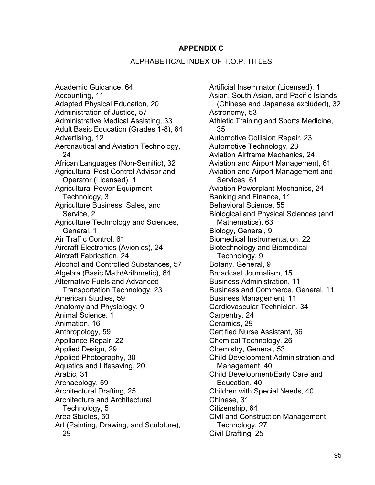## **APPENDIX C**

## ALPHABETICAL INDEX OF T.O.P. TITLES

Academic Guidance, 64 Accounting, 11 Adapted Physical Education, 20 Administration of Justice, 57 Administrative Medical Assisting, 33 Adult Basic Education (Grades 1-8), 64 Advertising, 12 Aeronautical and Aviation Technology, 24 African Languages (Non-Semitic), 32 Agricultural Pest Control Advisor and Operator (Licensed), 1 Agricultural Power Equipment Technology, 3 Agriculture Business, Sales, and Service, 2 Agriculture Technology and Sciences, General, 1 Air Traffic Control, 61 Aircraft Electronics (Avionics), 24 Aircraft Fabrication, 24 Alcohol and Controlled Substances, 57 Algebra (Basic Math/Arithmetic), 64 Alternative Fuels and Advanced Transportation Technology, 23 American Studies, 59 Anatomy and Physiology, 9 Animal Science, 1 Animation, 16 Anthropology, 59 Appliance Repair, 22 Applied Design, 29 Applied Photography, 30 Aquatics and Lifesaving, 20 Arabic, 31 Archaeology, 59 Architectural Drafting, 25 Architecture and Architectural Technology, 5 Area Studies, 60 Art (Painting, Drawing, and Sculpture), 29

Artificial Inseminator (Licensed), 1 Asian, South Asian, and Pacific Islands (Chinese and Japanese excluded), 32 Astronomy, 53 Athletic Training and Sports Medicine, 35 Automotive Collision Repair, 23 Automotive Technology, 23 Aviation Airframe Mechanics, 24 Aviation and Airport Management, 61 Aviation and Airport Management and Services, 61 Aviation Powerplant Mechanics, 24 Banking and Finance, 11 Behavioral Science, 55 Biological and Physical Sciences (and Mathematics), 63 Biology, General, 9 Biomedical Instrumentation, 22 Biotechnology and Biomedical Technology, 9 Botany, General, 9 Broadcast Journalism, 15 Business Administration, 11 Business and Commerce, General, 11 Business Management, 11 Cardiovascular Technician, 34 Carpentry, 24 Ceramics, 29 Certified Nurse Assistant, 36 Chemical Technology, 26 Chemistry, General, 53 Child Development Administration and Management, 40 Child Development/Early Care and Education, 40 Children with Special Needs, 40 Chinese, 31 Citizenship, 64 Civil and Construction Management Technology, 27 Civil Drafting, 25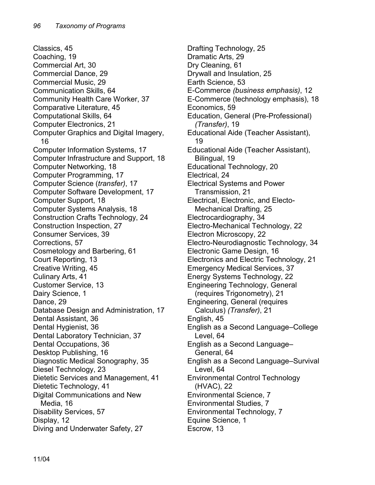Classics, 45 Coaching, 19 Commercial Art, 30 Commercial Dance, 29 Commercial Music, 29 Communication Skills, 64 Community Health Care Worker, 37 Comparative Literature, 45 Computational Skills, 64 Computer Electronics, 21 Computer Graphics and Digital Imagery, 16 Computer Information Systems, 17 Computer Infrastructure and Support, 18 Computer Networking, 18 Computer Programming, 17 Computer Science (*transfer)*, 17 Computer Software Development, 17 Computer Support, 18 Computer Systems Analysis, 18 Construction Crafts Technology, 24 Construction Inspection, 27 Consumer Services, 39 Corrections, 57 Cosmetology and Barbering, 61 Court Reporting, 13 Creative Writing, 45 Culinary Arts, 41 Customer Service, 13 Dairy Science, 1 Dance, 29 Database Design and Administration, 17 Dental Assistant, 36 Dental Hygienist, 36 Dental Laboratory Technician, 37 Dental Occupations, 36 Desktop Publishing, 16 Diagnostic Medical Sonography, 35 Diesel Technology, 23 Dietetic Services and Management, 41 Dietetic Technology, 41 Digital Communications and New Media, 16 Disability Services, 57 Display, 12 Diving and Underwater Safety, 27

Drafting Technology, 25 Dramatic Arts, 29 Dry Cleaning, 61 Drywall and Insulation, 25 Earth Science, 53 E-Commerce *(business emphasis)*, 12 E-Commerce (technology emphasis), 18 Economics, 59 Education, General (Pre-Professional) *(Transfer)*, 19 Educational Aide (Teacher Assistant), 19 Educational Aide (Teacher Assistant), Bilingual, 19 Educational Technology, 20 Electrical, 24 Electrical Systems and Power Transmission, 21 Electrical, Electronic, and Electo-Mechanical Drafting, 25 Electrocardiography, 34 Electro-Mechanical Technology, 22 Electron Microscopy, 22 Electro-Neurodiagnostic Technology, 34 Electronic Game Design, 16 Electronics and Electric Technology, 21 Emergency Medical Services, 37 Energy Systems Technology, 22 Engineering Technology, General (requires Trigonometry), 21 Engineering, General (requires Calculus) *(Transfer)*, 21 English, 45 English as a Second Language–College Level, 64 English as a Second Language– General, 64 English as a Second Language–Survival Level, 64 Environmental Control Technology (HVAC), 22 Environmental Science, 7 Environmental Studies, 7 Environmental Technology, 7 Equine Science, 1 Escrow, 13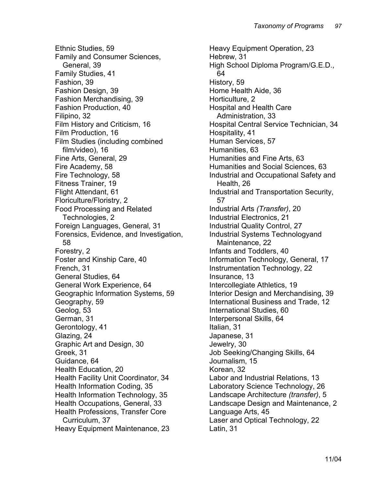Ethnic Studies, 59 Family and Consumer Sciences, General, 39 Family Studies, 41 Fashion, 39 Fashion Design, 39 Fashion Merchandising, 39 Fashion Production, 40 Filipino, 32 Film History and Criticism, 16 Film Production, 16 Film Studies (including combined film/video), 16 Fine Arts, General, 29 Fire Academy, 58 Fire Technology, 58 Fitness Trainer, 19 Flight Attendant, 61 Floriculture/Floristry, 2 Food Processing and Related Technologies, 2 Foreign Languages, General, 31 Forensics, Evidence, and Investigation, 58 Forestry, 2 Foster and Kinship Care, 40 French, 31 General Studies, 64 General Work Experience, 64 Geographic Information Systems, 59 Geography, 59 Geolog, 53 German, 31 Gerontology, 41 Glazing, 24 Graphic Art and Design, 30 Greek, 31 Guidance, 64 Health Education, 20 Health Facility Unit Coordinator, 34 Health Information Coding, 35 Health Information Technology, 35 Health Occupations, General, 33 Health Professions, Transfer Core Curriculum, 37 Heavy Equipment Maintenance, 23

Heavy Equipment Operation, 23 Hebrew, 31 High School Diploma Program/G.E.D., 64 History, 59 Home Health Aide, 36 Horticulture, 2 Hospital and Health Care Administration, 33 Hospital Central Service Technician, 34 Hospitality, 41 Human Services, 57 Humanities, 63 Humanities and Fine Arts, 63 Humanities and Social Sciences, 63 Industrial and Occupational Safety and Health, 26 Industrial and Transportation Security, 57 Industrial Arts *(Transfer)*, 20 Industrial Electronics, 21 Industrial Quality Control, 27 Industrial Systems Technologyand Maintenance, 22 Infants and Toddlers, 40 Information Technology, General, 17 Instrumentation Technology, 22 Insurance, 13 Intercollegiate Athletics, 19 Interior Design and Merchandising, 39 International Business and Trade, 12 International Studies, 60 Interpersonal Skills, 64 Italian, 31 Japanese, 31 Jewelry, 30 Job Seeking/Changing Skills, 64 Journalism, 15 Korean, 32 Labor and Industrial Relations, 13 Laboratory Science Technology, 26 Landscape Architecture *(transfer)*, 5 Landscape Design and Maintenance, 2 Language Arts, 45 Laser and Optical Technology, 22 Latin, 31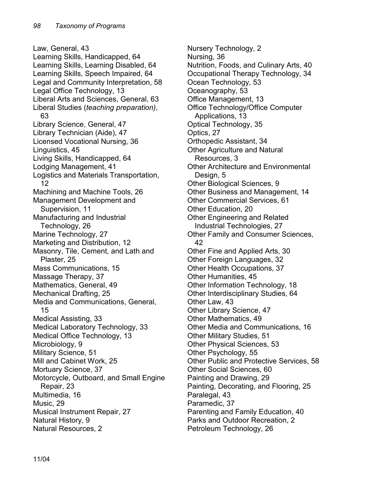Law, General, 43 Learning Skills, Handicapped, 64 Learning Skills, Learning Disabled, 64 Learning Skills, Speech Impaired, 64 Legal and Community Interpretation, 58 Legal Office Technology, 13 Liberal Arts and Sciences, General, 63 Liberal Studies (*teaching preparation)*, 63 Library Science, General, 47 Library Technician (Aide), 47 Licensed Vocational Nursing, 36 Linguistics, 45 Living Skills, Handicapped, 64 Lodging Management, 41 Logistics and Materials Transportation, 12 Machining and Machine Tools, 26 Management Development and Supervision, 11 Manufacturing and Industrial Technology, 26 Marine Technology, 27 Marketing and Distribution, 12 Masonry, Tile, Cement, and Lath and Plaster, 25 Mass Communications, 15 Massage Therapy, 37 Mathematics, General, 49 Mechanical Drafting, 25 Media and Communications, General, 15 Medical Assisting, 33 Medical Laboratory Technology, 33 Medical Office Technology, 13 Microbiology, 9 Military Science, 51 Mill and Cabinet Work, 25 Mortuary Science, 37 Motorcycle, Outboard, and Small Engine Repair, 23 Multimedia, 16 Music, 29 Musical Instrument Repair, 27 Natural History, 9 Natural Resources, 2

Nursery Technology, 2 Nursing, 36 Nutrition, Foods, and Culinary Arts, 40 Occupational Therapy Technology, 34 Ocean Technology, 53 Oceanography, 53 Office Management, 13 Office Technology/Office Computer Applications, 13 Optical Technology, 35 Optics, 27 Orthopedic Assistant, 34 Other Agriculture and Natural Resources, 3 Other Architecture and Environmental Design, 5 Other Biological Sciences, 9 Other Business and Management, 14 Other Commercial Services, 61 Other Education, 20 Other Engineering and Related Industrial Technologies, 27 Other Family and Consumer Sciences, 42 Other Fine and Applied Arts, 30 Other Foreign Languages, 32 Other Health Occupations, 37 Other Humanities, 45 Other Information Technology, 18 Other Interdisciplinary Studies, 64 Other Law, 43 Other Library Science, 47 Other Mathematics, 49 Other Media and Communications, 16 Other Military Studies, 51 Other Physical Sciences, 53 Other Psychology, 55 Other Public and Protective Services, 58 Other Social Sciences, 60 Painting and Drawing, 29 Painting, Decorating, and Flooring, 25 Paralegal, 43 Paramedic, 37 Parenting and Family Education, 40 Parks and Outdoor Recreation, 2 Petroleum Technology, 26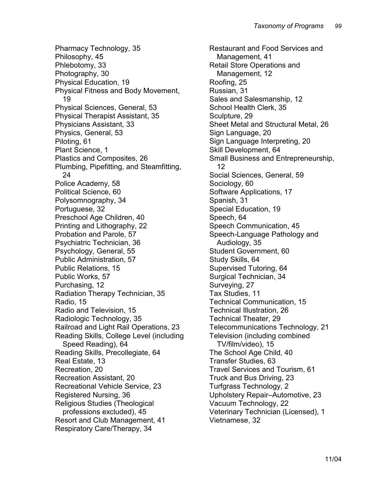Pharmacy Technology, 35 Philosophy, 45 Phlebotomy, 33 Photography, 30 Physical Education, 19 Physical Fitness and Body Movement, 19 Physical Sciences, General, 53 Physical Therapist Assistant, 35 Physicians Assistant, 33 Physics, General, 53 Piloting, 61 Plant Science, 1 Plastics and Composites, 26 Plumbing, Pipefitting, and Steamfitting, 24 Police Academy, 58 Political Science, 60 Polysomnography, 34 Portuguese, 32 Preschool Age Children, 40 Printing and Lithography, 22 Probation and Parole, 57 Psychiatric Technician, 36 Psychology, General, 55 Public Administration, 57 Public Relations, 15 Public Works, 57 Purchasing, 12 Radiation Therapy Technician, 35 Radio, 15 Radio and Television, 15 Radiologic Technology, 35 Railroad and Light Rail Operations, 23 Reading Skills, College Level (including Speed Reading), 64 Reading Skills, Precollegiate, 64 Real Estate, 13 Recreation, 20 Recreation Assistant, 20 Recreational Vehicle Service, 23 Registered Nursing, 36 Religious Studies (Theological professions excluded), 45 Resort and Club Management, 41 Respiratory Care/Therapy, 34

Restaurant and Food Services and Management, 41 Retail Store Operations and Management, 12 Roofing, 25 Russian, 31 Sales and Salesmanship, 12 School Health Clerk, 35 Sculpture, 29 Sheet Metal and Structural Metal, 26 Sign Language, 20 Sign Language Interpreting, 20 Skill Development, 64 Small Business and Entrepreneurship, 12 Social Sciences, General, 59 Sociology, 60 Software Applications, 17 Spanish, 31 Special Education, 19 Speech, 64 Speech Communication, 45 Speech-Language Pathology and Audiology, 35 Student Government, 60 Study Skills, 64 Supervised Tutoring, 64 Surgical Technician, 34 Surveying, 27 Tax Studies, 11 Technical Communication, 15 Technical Illustration, 26 Technical Theater, 29 Telecommunications Technology, 21 Television (including combined TV/film/video), 15 The School Age Child, 40 Transfer Studies, 63 Travel Services and Tourism, 61 Truck and Bus Driving, 23 Turfgrass Technology, 2 Upholstery Repair–Automotive, 23 Vacuum Technology, 22 Veterinary Technician (Licensed), 1 Vietnamese, 32